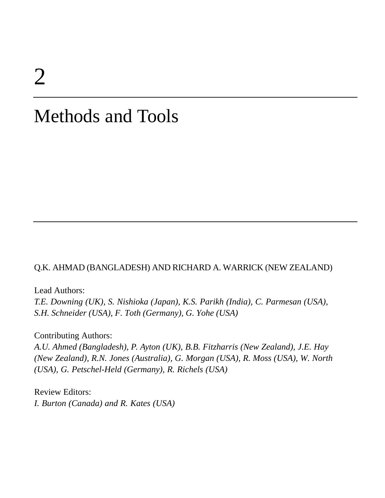# Methods and Tools

## Q.K. AHMAD (BANGLADESH) AND RICHARD A. WARRICK (NEW ZEALAND)

Lead Authors:

*T.E. Downing (UK), S. Nishioka (Japan), K.S. Parikh (India), C. Parmesan (USA), S.H. Schneider (USA), F. Toth (Germany), G. Yohe (USA)*

Contributing Authors:

*A.U. Ahmed (Bangladesh), P. Ayton (UK), B.B. Fitzharris (New Zealand), J.E. Hay (New Zealand), R.N. Jones (Australia), G. Morgan (USA), R. Moss (USA), W. North (USA), G. Petschel-Held (Germany), R. Richels (USA)*

Review Editors: *I. Burton (Canada) and R. Kates (USA)*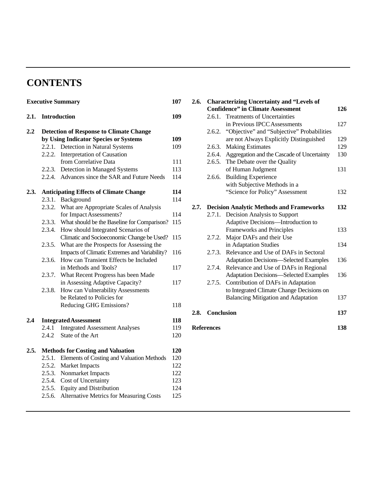## **CONTENTS**

| <b>Executive Summary</b> |                                                |                                                                                       |            |  |  |
|--------------------------|------------------------------------------------|---------------------------------------------------------------------------------------|------------|--|--|
| 2.1.                     | <b>Introduction</b>                            |                                                                                       |            |  |  |
| 2.2                      | <b>Detection of Response to Climate Change</b> |                                                                                       |            |  |  |
|                          |                                                | by Using Indicator Species or Systems                                                 | 109        |  |  |
|                          |                                                | 2.2.1. Detection in Natural Systems                                                   | 109        |  |  |
|                          | 2.2.2.                                         | Interpretation of Causation                                                           |            |  |  |
|                          |                                                | from Correlative Data                                                                 | 111        |  |  |
|                          |                                                | 2.2.3. Detection in Managed Systems<br>2.2.4. Advances since the SAR and Future Needs | 113<br>114 |  |  |
|                          |                                                |                                                                                       |            |  |  |
| 2.3.                     | <b>Anticipating Effects of Climate Change</b>  |                                                                                       |            |  |  |
|                          | 2.3.1.                                         | Background                                                                            | 114        |  |  |
|                          | 2.3.2.                                         | What are Appropriate Scales of Analysis                                               |            |  |  |
|                          |                                                | for Impact Assessments?                                                               | 114        |  |  |
|                          | 2.3.3.                                         | What should be the Baseline for Comparison?                                           | 115        |  |  |
|                          | 2.3.4.                                         | How should Integrated Scenarios of                                                    |            |  |  |
|                          |                                                | Climatic and Socioeconomic Change be Used?                                            | 115        |  |  |
|                          | 2.3.5.                                         | What are the Prospects for Assessing the                                              |            |  |  |
|                          |                                                | Impacts of Climatic Extremes and Variability?                                         | 116        |  |  |
|                          | 2.3.6.                                         | How can Transient Effects be Included                                                 |            |  |  |
|                          |                                                | in Methods and Tools?                                                                 | 117        |  |  |
|                          | 2.3.7.                                         | What Recent Progress has been Made                                                    |            |  |  |
|                          |                                                | in Assessing Adaptive Capacity?                                                       | 117        |  |  |
|                          | 2.3.8.                                         | How can Vulnerability Assessments                                                     |            |  |  |
|                          |                                                | be Related to Policies for                                                            |            |  |  |
|                          |                                                | Reducing GHG Emissions?                                                               | 118        |  |  |
| 2.4                      | <b>Integrated Assessment</b>                   | 118                                                                                   |            |  |  |
|                          | 2.4.1                                          | <b>Integrated Assessment Analyses</b>                                                 | 119        |  |  |
|                          | 2.4.2                                          | State of the Art                                                                      | 120        |  |  |
| 2.5.                     | <b>Methods for Costing and Valuation</b>       |                                                                                       |            |  |  |
|                          | 2.5.1.                                         | Elements of Costing and Valuation Methods                                             | 120<br>120 |  |  |
|                          | 2.5.2.                                         | <b>Market Impacts</b>                                                                 | 122        |  |  |
|                          | 2.5.3.                                         | Nonmarket Impacts                                                                     | 122        |  |  |
|                          | 2.5.4.                                         | Cost of Uncertainty                                                                   | 123        |  |  |
|                          | 2.5.5.                                         | <b>Equity and Distribution</b>                                                        | 124        |  |  |
|                          | 2.5.6.                                         | <b>Alternative Metrics for Measuring Costs</b>                                        | 125        |  |  |
|                          |                                                |                                                                                       |            |  |  |

| 2.6.              | <b>Characterizing Uncertainty and "Levels of</b> |                                                   |     |  |  |  |
|-------------------|--------------------------------------------------|---------------------------------------------------|-----|--|--|--|
|                   | <b>Confidence"</b> in Climate Assessment         |                                                   |     |  |  |  |
|                   |                                                  | 2.6.1. Treatments of Uncertainties                |     |  |  |  |
|                   |                                                  | in Previous IPCC Assessments                      | 127 |  |  |  |
|                   |                                                  | 2.6.2. "Objective" and "Subjective" Probabilities |     |  |  |  |
|                   |                                                  | are not Always Explicitly Distinguished           | 129 |  |  |  |
|                   |                                                  | 2.6.3. Making Estimates                           | 129 |  |  |  |
|                   |                                                  | 2.6.4. Aggregation and the Cascade of Uncertainty | 130 |  |  |  |
|                   |                                                  | 2.6.5. The Debate over the Quality                |     |  |  |  |
|                   |                                                  | of Human Judgment                                 | 131 |  |  |  |
|                   | 2.6.6.                                           | <b>Building Experience</b>                        |     |  |  |  |
|                   |                                                  | with Subjective Methods in a                      |     |  |  |  |
|                   |                                                  | "Science for Policy" Assessment                   | 132 |  |  |  |
|                   | 2.7. Decision Analytic Methods and Frameworks    |                                                   |     |  |  |  |
|                   | 2.7.1.                                           | Decision Analysis to Support                      |     |  |  |  |
|                   |                                                  | Adaptive Decisions-Introduction to                |     |  |  |  |
|                   |                                                  | Frameworks and Principles                         | 133 |  |  |  |
|                   | 2.7.2.                                           | Major DAFs and their Use                          |     |  |  |  |
|                   |                                                  | in Adaptation Studies                             | 134 |  |  |  |
|                   |                                                  | 2.7.3. Relevance and Use of DAFs in Sectoral      |     |  |  |  |
|                   |                                                  | <b>Adaptation Decisions-Selected Examples</b>     | 136 |  |  |  |
|                   |                                                  | 2.7.4. Relevance and Use of DAFs in Regional      |     |  |  |  |
|                   |                                                  | <b>Adaptation Decisions—Selected Examples</b>     | 136 |  |  |  |
|                   |                                                  | 2.7.5. Contribution of DAFs in Adaptation         |     |  |  |  |
|                   |                                                  | to Integrated Climate Change Decisions on         |     |  |  |  |
|                   |                                                  | <b>Balancing Mitigation and Adaptation</b>        | 137 |  |  |  |
|                   | 2.8. Conclusion                                  |                                                   | 137 |  |  |  |
| <b>References</b> |                                                  |                                                   |     |  |  |  |
|                   |                                                  |                                                   |     |  |  |  |
|                   |                                                  |                                                   |     |  |  |  |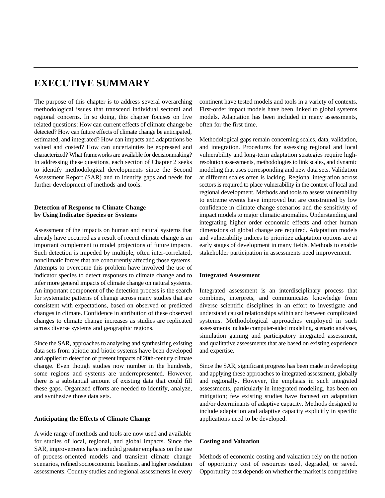## **EXECUTIVE SUMMARY**

The purpose of this chapter is to address several overarching methodological issues that transcend individual sectoral and regional concerns. In so doing, this chapter focuses on five related questions: How can current effects of climate change be detected? How can future effects of climate change be anticipated, estimated, and integrated? How can impacts and adaptations be valued and costed? How can uncertainties be expressed and characterized? What frameworks are available for decisionmaking? In addressing these questions, each section of Chapter 2 seeks to identify methodological developments since the Second Assessment Report (SAR) and to identify gaps and needs for further development of methods and tools.

## **Detection of Response to Climate Change by Using Indicator Species or Systems**

Assessment of the impacts on human and natural systems that already have occurred as a result of recent climate change is an important complement to model projections of future impacts. Such detection is impeded by multiple, often inter-correlated, nonclimatic forces that are concurrently affecting those systems. Attempts to overcome this problem have involved the use of indicator species to detect responses to climate change and to infer more general impacts of climate change on natural systems. An important component of the detection process is the search for systematic patterns of change across many studies that are consistent with expectations, based on observed or predicted changes in climate. Confidence in attribution of these observed changes to climate change increases as studies are replicated across diverse systems and geographic regions.

Since the SAR, approaches to analysing and synthesizing existing data sets from abiotic and biotic systems have been developed and applied to detection of present impacts of 20th-century climate change. Even though studies now number in the hundreds, some regions and systems are underrepresented. However, there is a substantial amount of existing data that could fill these gaps. Organized efforts are needed to identify, analyze, and synthesize those data sets.

#### **Anticipating the Effects of Climate Change**

A wide range of methods and tools are now used and available for studies of local, regional, and global impacts. Since the SAR, improvements have included greater emphasis on the use of process-oriented models and transient climate change scenarios, refined socioeconomic baselines, and higher resolution assessments. Country studies and regional assessments in every continent have tested models and tools in a variety of contexts. First-order impact models have been linked to global systems models. Adaptation has been included in many assessments, often for the first time.

Methodological gaps remain concerning scales, data, validation, and integration. Procedures for assessing regional and local vulnerability and long-term adaptation strategies require highresolution assessments, methodologies to link scales, and dynamic modeling that uses corresponding and new data sets. Validation at different scales often is lacking. Regional integration across sectors is required to place vulnerability in the context of local and regional development. Methods and tools to assess vulnerability to extreme events have improved but are constrained by low confidence in climate change scenarios and the sensitivity of impact models to major climatic anomalies. Understanding and integrating higher order economic effects and other human dimensions of global change are required. Adaptation models and vulnerability indices to prioritize adaptation options are at early stages of development in many fields. Methods to enable stakeholder participation in assessments need improvement.

#### **Integrated Assessment**

Integrated assessment is an interdisciplinary process that combines, interprets, and communicates knowledge from diverse scientific disciplines in an effort to investigate and understand causal relationships within and between complicated systems. Methodological approaches employed in such assessments include computer-aided modeling, scenario analyses, simulation gaming and participatory integrated assessment, and qualitative assessments that are based on existing experience and expertise.

Since the SAR, significant progress has been made in developing and applying these approaches to integrated assessment, globally and regionally. However, the emphasis in such integrated assessments, particularly in integrated modeling, has been on mitigation; few existing studies have focused on adaptation and/or determinants of adaptive capacity. Methods designed to include adaptation and adaptive capacity explicitly in specific applications need to be developed.

#### **Costing and Valuation**

Methods of economic costing and valuation rely on the notion of opportunity cost of resources used, degraded, or saved. Opportunity cost depends on whether the market is competitive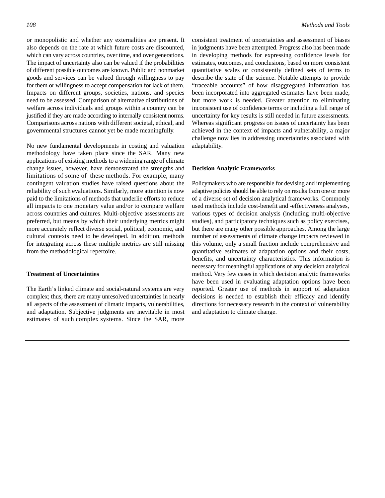or monopolistic and whether any externalities are present. It also depends on the rate at which future costs are discounted, which can vary across countries, over time, and over generations. The impact of uncertainty also can be valued if the probabilities of different possible outcomes are known. Public and nonmarket goods and services can be valued through willingness to pay for them or willingness to accept compensation for lack of them. Impacts on different groups, societies, nations, and species need to be assessed. Comparison of alternative distributions of welfare across individuals and groups within a country can be justified if they are made according to internally consistent norms. Comparisons across nations with different societal, ethical, and governmental structures cannot yet be made meaningfully.

No new fundamental developments in costing and valuation methodology have taken place since the SAR. Many new applications of existing methods to a widening range of climate change issues, however, have demonstrated the strengths and limitations of some of these methods. For example, many contingent valuation studies have raised questions about the reliability of such evaluations. Similarly, more attention is now paid to the limitations of methods that underlie efforts to reduce all impacts to one monetary value and/or to compare welfare across countries and cultures. Multi-objective assessments are preferred, but means by which their underlying metrics might more accurately reflect diverse social, political, economic, and cultural contexts need to be developed. In addition, methods for integrating across these multiple metrics are still missing from the methodological repertoire.

#### **Treatment of Uncertainties**

The Earth's linked climate and social-natural systems are very complex; thus, there are many unresolved uncertainties in nearly all aspects of the assessment of climatic impacts, vulnerabilities, and adaptation. Subjective judgments are inevitable in most estimates of such complex systems. Since the SAR, more

consistent treatment of uncertainties and assessment of biases in judgments have been attempted. Progress also has been made in developing methods for expressing confidence levels for estimates, outcomes, and conclusions, based on more consistent quantitative scales or consistently defined sets of terms to describe the state of the science. Notable attempts to provide "traceable accounts" of how disaggregated information has been incorporated into aggregated estimates have been made, but more work is needed. Greater attention to eliminating inconsistent use of confidence terms or including a full range of uncertainty for key results is still needed in future assessments. Whereas significant progress on issues of uncertainty has been achieved in the context of impacts and vulnerability, a major challenge now lies in addressing uncertainties associated with adaptability.

#### **Decision Analytic Frameworks**

Policymakers who are responsible for devising and implementing adaptive policies should be able to rely on results from one or more of a diverse set of decision analytical frameworks. Commonly used methods include cost-benefit and -effectiveness analyses, various types of decision analysis (including multi-objective studies), and participatory techniques such as policy exercises, but there are many other possible approaches. Among the large number of assessments of climate change impacts reviewed in this volume, only a small fraction include comprehensive and quantitative estimates of adaptation options and their costs, benefits, and uncertainty characteristics. This information is necessary for meaningful applications of any decision analytical method. Very few cases in which decision analytic frameworks have been used in evaluating adaptation options have been reported. Greater use of methods in support of adaptation decisions is needed to establish their efficacy and identify directions for necessary research in the context of vulnerability and adaptation to climate change.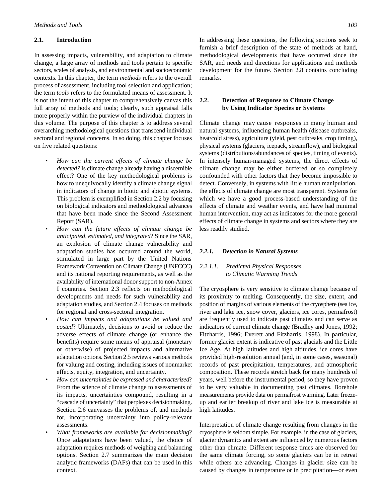## **2.1. Introduction**

In assessing impacts, vulnerability, and adaptation to climate change, a large array of methods and tools pertain to specific sectors, scales of analysis, and environmental and socioeconomic contexts. In this chapter, the term *methods* refers to the overall process of assessment, including tool selection and application; the term *tools* refers to the formulated means of assessment. It is not the intent of this chapter to comprehensively canvas this full array of methods and tools; clearly, such appraisal falls more properly within the purview of the individual chapters in this volume. The purpose of this chapter is to address several overarching methodological questions that transcend individual sectoral and regional concerns. In so doing, this chapter focuses on five related questions:

- *How can the current effects of climate change be detected?* Is climate change already having a discernible effect? One of the key methodological problems is how to unequivocally identify a climate change signal in indicators of change in biotic and abiotic systems. This problem is exemplified in Section 2.2 by focusing on biological indicators and methodological advances that have been made since the Second Assessment Report (SAR).
- *How can the future effects of climate change be anticipated, estimated, and integrated? Since the SAR,* an explosion of climate change vulnerability and adaptation studies has occurred around the world, stimulated in large part by the United Nations Framework Convention on Climate Change (UNFCCC) and its national reporting requirements, as well as the availability of international donor support to non-Annex I countries. Section 2.3 reflects on methodological developments and needs for such vulnerability and adaptation studies, and Section 2.4 focuses on methods for regional and cross-sectoral integration.
- *How can impacts and adaptations be valued and costed*? Ultimately, decisions to avoid or reduce the adverse effects of climate change (or enhance the benefits) require some means of appraisal (monetary or otherwise) of projected impacts and alternative adaptation options. Section 2.5 reviews various methods for valuing and costing, including issues of nonmarket effects, equity, integration, and uncertainty.
- *How can uncertainties be expressed and characterized*? From the science of climate change to assessments of its impacts, uncertainties compound, resulting in a "cascade of uncertainty" that perplexes decisionmaking. Section 2.6 canvasses the problems of, and methods for, incorporating uncertainty into policy-relevant assessments.
- *What frameworks are available for decisionmaking*? Once adaptations have been valued, the choice of adaptation requires methods of weighing and balancing options. Section 2.7 summarizes the main decision analytic frameworks (DAFs) that can be used in this context.

In addressing these questions, the following sections seek to furnish a brief description of the state of methods at hand, methodological developments that have occurred since the SAR, and needs and directions for applications and methods development for the future. Section 2.8 contains concluding remarks.

## **2.2. Detection of Response to Climate Change by Using Indicator Species or Systems**

Climate change may cause responses in many human and natural systems, influencing human health (disease outbreaks, heat/cold stress), agriculture (yield, pest outbreaks, crop timing), physical systems (glaciers, icepack, streamflow), and biological systems (distributions/abundances of species, timing of events). In intensely human-managed systems, the direct effects of climate change may be either buffered or so completely confounded with other factors that they become impossible to detect. Conversely, in systems with little human manipulation, the effects of climate change are most transparent. Systems for which we have a good process-based understanding of the effects of climate and weather events, and have had minimal human intervention, may act as indicators for the more general effects of climate change in systems and sectors where they are less readily studied.

#### *2.2.1. Detection in Natural Systems*

## *2.2.1.1. Predicted Physical Responses to Climatic Warming Trends*

The cryosphere is very sensitive to climate change because of its proximity to melting. Consequently, the size, extent, and position of margins of various elements of the cryosphere (sea ice, river and lake ice, snow cover, glaciers, ice cores, permafrost) are frequently used to indicate past climates and can serve as indicators of current climate change (Bradley and Jones, 1992; Fitzharris, 1996; Everett and Fitzharris, 1998). In particular, former glacier extent is indicative of past glacials and the Little Ice Age. At high latitudes and high altitudes, ice cores have provided high-resolution annual (and, in some cases, seasonal) records of past precipitation, temperatures, and atmospheric composition. These records stretch back for many hundreds of years, well before the instrumental period, so they have proven to be very valuable in documenting past climates. Borehole measurements provide data on permafrost warming. Later freezeup and earlier breakup of river and lake ice is measurable at high latitudes.

Interpretation of climate change resulting from changes in the cryosphere is seldom simple. For example, in the case of glaciers, glacier dynamics and extent are influenced by numerous factors other than climate. Different response times are observed for the same climate forcing, so some glaciers can be in retreat while others are advancing. Changes in glacier size can be caused by changes in temperature or in precipitation—or even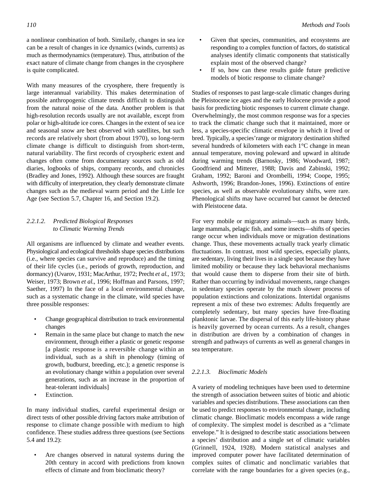a nonlinear combination of both. Similarly, changes in sea ice can be a result of changes in ice dynamics (winds, currents) as much as thermodynamics (temperature). Thus, attribution of the exact nature of climate change from changes in the cryosphere is quite complicated.

With many measures of the cryosphere, there frequently is large interannual variability. This makes determination of possible anthropogenic climate trends difficult to distinguish from the natural noise of the data. Another problem is that high-resolution records usually are not available, except from polar or high-altitude ice cores. Changes in the extent of sea ice and seasonal snow are best observed with satellites, but such records are relatively short (from about 1970), so long-term climate change is difficult to distinguish from short-term, natural variability. The first records of cryospheric extent and changes often come from documentary sources such as old diaries, logbooks of ships, company records, and chronicles (Bradley and Jones, 1992). Although these sources are fraught with difficulty of interpretation, they clearly demonstrate climate changes such as the medieval warm period and the Little Ice Age (see Section 5.7, Chapter 16, and Section 19.2).

## *2.2.1.2. Predicted Biological Responses to Climatic Warming Trends*

All organisms are influenced by climate and weather events. Physiological and ecological thresholds shape species distributions (i.e., where species can survive and reproduce) and the timing of their life cycles (i.e., periods of growth, reproduction, and dormancy) (Uvarov, 1931; MacArthur, 1972; Precht *et al*., 1973; Weiser, 1973; Brown *et al*., 1996; Hoffman and Parsons, 1997; Saether, 1997) In the face of a local environmental change, such as a systematic change in the climate, wild species have three possible responses:

- Change geographical distribution to track environmental changes
- Remain in the same place but change to match the new environment, through either a plastic or genetic response [ a plastic response is a reversible change within an individual, such as a shift in phenology (timing of growth, budburst, breeding, etc.); a genetic response is an evolutionary change within a population over several generations, such as an increase in the proportion of heat-tolerant individuals]
- Extinction.

In many individual studies, careful experimental design or direct tests of other possible driving factors make attribution of response to climate change possible with medium to high confidence. These studies address three questions (see Sections 5.4 and 19.2):

Are changes observed in natural systems during the 20th century in accord with predictions from known effects of climate and from bioclimatic theory?

- Given that species, communities, and ecosystems are responding to a complex function of factors, do statistical analyses identify climatic components that statistically explain most of the observed change?
- If so, how can these results guide future predictive models of biotic response to climate change?

Studies of responses to past large-scale climatic changes during the Pleistocene ice ages and the early Holocene provide a good basis for predicting biotic responses to current climate change. Overwhelmingly, the most common response was for a species to track the climatic change such that it maintained, more or less, a species-specific climatic envelope in which it lived or bred. Typically, a species' range or migratory destination shifted several hundreds of kilometers with each 1°C change in mean annual temperature, moving poleward and upward in altitude during warming trends (Barnosky, 1986; Woodward, 1987; Goodfriend and Mitterer, 1988; Davis and Zabinski, 1992; Graham, 1992; Baroni and Orombelli, 1994; Coope, 1995; Ashworth, 1996; Brandon-Jones, 1996). Extinctions of entire species, as well as observable evolutionary shifts, were rare. Phenological shifts may have occurred but cannot be detected with Pleistocene data.

For very mobile or migratory animals—such as many birds, large mammals, pelagic fish, and some insects—shifts of species range occur when individuals move or migration destinations change. Thus, these movements actually track yearly climatic fluctuations. In contrast, most wild species, especially plants, are sedentary, living their lives in a single spot because they have limited mobility or because they lack behavioral mechanisms that would cause them to disperse from their site of birth. Rather than occurring by individual movements, range changes in sedentary species operate by the much slower process of population extinctions and colonizations. Intertidal organisms represent a mix of these two extremes: Adults frequently are completely sedentary, but many species have free-floating planktonic larvae. The dispersal of this early life-history phase is heavily governed by ocean currents. As a result, changes in distribution are driven by a combination of changes in strength and pathways of currents as well as general changes in sea temperature.

### *2.2.1.3. Bioclimatic Models*

A variety of modeling techniques have been used to determine the strength of association between suites of biotic and abiotic variables and species distributions. These associations can then be used to predict responses to environmental change, including climatic change. Bioclimatic models encompass a wide range of complexity. The simplest model is described as a "climate envelope." It is designed to describe static associations between a species' distribution and a single set of climatic variables (Grinnell, 1924, 1928). Modern statistical analyses and improved computer power have facilitated determination of complex suites of climatic and nonclimatic variables that correlate with the range boundaries for a given species (e.g.,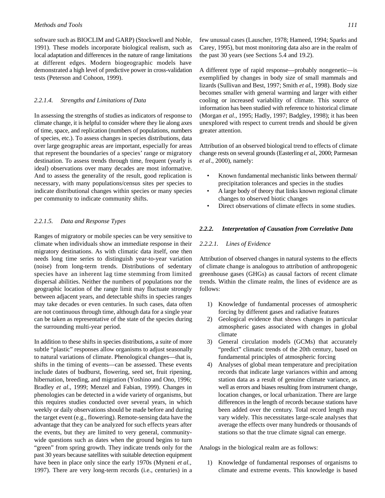software such as BIOCLIM and GARP) (Stockwell and Noble, 1991). These models incorporate biological realism, such as local adaptation and differences in the nature of range limitations at different edges. Modern biogeographic models have demonstrated a high level of predictive power in cross-validation tests (Peterson and Cohoon, 1999).

#### *2.2.1.4. Strengths and Limitations of Data*

In assessing the strengths of studies as indicators of response to climate change, it is helpful to consider where they lie along axes of time, space, and replication (numbers of populations, numbers of species, etc.). To assess changes in species distributions, data over large geographic areas are important, especially for areas that represent the boundaries of a species' range or migratory destination. To assess trends through time, frequent (yearly is ideal) observations over many decades are most informative. And to assess the generality of the result, good replication is necessary, with many populations/census sites per species to indicate distributional changes within species or many species per community to indicate community shifts.

#### *2.2.1.5. Data and Response Types*

Ranges of migratory or mobile species can be very sensitive to climate when individuals show an immediate response in their migratory destinations. As with climatic data itself, one then needs long time series to distinguish year-to-year variation (noise) from long-term trends. Distributions of sedentary species have an inherent lag time stemming from limited dispersal abilities. Neither the numbers of populations nor the geographic location of the range limit may fluctuate strongly between adjacent years, and detectable shifts in species ranges may take decades or even centuries. In such cases, data often are not continuous through time, although data for a single year can be taken as representative of the state of the species during the surrounding multi-year period.

In addition to these shifts in species distributions, a suite of more subtle "plastic" responses allow organisms to adjust seasonally to natural variations of climate. Phenological changes—that is, shifts in the timing of events—can be assessed. These events include dates of budburst, flowering, seed set, fruit ripening, hibernation, breeding, and migration (Yoshino and Ono, 1996; Bradley *et al*., 1999; Menzel and Fabian, 1999). Changes in phenologies can be detected in a wide variety of organisms, but this requires studies conducted over several years, in which weekly or daily observations should be made before and during the target event (e.g., flowering). Remote-sensing data have the advantage that they can be analyzed for such effects years after the events, but they are limited to very general, communitywide questions such as dates when the ground begins to turn "green" from spring growth. They indicate trends only for the past 30 years because satellites with suitable detection equipment have been in place only since the early 1970s (Myneni *et al.,* 1997). There are very long-term records (i.e., centuries) in a

few unusual cases (Lauscher, 1978; Hameed, 1994; Sparks and Carey, 1995), but most monitoring data also are in the realm of the past 30 years (see Sections 5.4 and 19.2).

A different type of rapid response—probably nongenetic—is exemplified by changes in body size of small mammals and lizards (Sullivan and Best, 1997; Smith *et al*., 1998). Body size becomes smaller with general warming and larger with either cooling or increased variability of climate. This source of information has been studied with reference to historical climate (Morgan *et al*., 1995; Hadly, 1997; Badgley, 1998); it has been unexplored with respect to current trends and should be given greater attention.

Attribution of an observed biological trend to effects of climate change rests on several grounds (Easterling *et al*., 2000; Parmesan *et al*., 2000), namely:

- Known fundamental mechanistic links between thermal/ precipitation tolerances and species in the studies
- A large body of theory that links known regional climate changes to observed biotic changes
- Direct observations of climate effects in some studies.

#### *2.2.2. Interpretation of Causation from Correlative Data*

#### *2.2.2.1. Lines of Evidence*

Attribution of observed changes in natural systems to the effects of climate change is analogous to attribution of anthropogenic greenhouse gases (GHGs) as causal factors of recent climate trends. Within the climate realm, the lines of evidence are as follows:

- 1) Knowledge of fundamental processes of atmospheric forcing by different gases and radiative features
- 2) Geological evidence that shows changes in particular atmospheric gases associated with changes in global climate
- 3) General circulation models (GCMs) that accurately "predict" climatic trends of the 20th century, based on fundamental principles of atmospheric forcing
- 4) Analyses of global mean temperature and precipitation records that indicate large variances within and among station data as a result of genuine climate variance, as well as errors and biases resulting from instrument change, location changes, or local urbanization. There are large differences in the length of records because stations have been added over the century. Total record length may vary widely. This necessitates large-scale analyses that average the effects over many hundreds or thousands of stations so that the true climate signal can emerge.

Analogs in the biological realm are as follows:

1) Knowledge of fundamental responses of organisms to climate and extreme events. This knowledge is based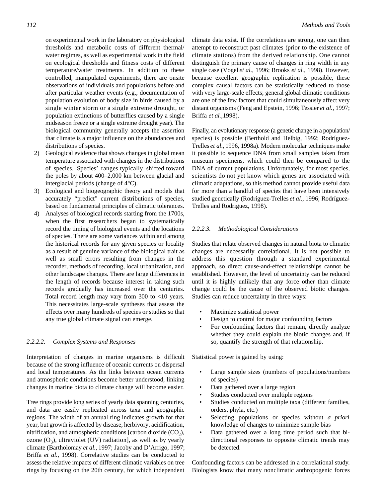on experimental work in the laboratory on physiological thresholds and metabolic costs of different thermal/ water regimes, as well as experimental work in the field on ecological thresholds and fitness costs of different temperature/water treatments. In addition to these controlled, manipulated experiments, there are onsite observations of individuals and populations before and after particular weather events (e.g., documentation of population evolution of body size in birds caused by a single winter storm or a single extreme drought, or population extinctions of butterflies caused by a single midseason freeze or a single extreme drought year). The biological community generally accepts the assertion that climate is a major influence on the abundances and distributions of species.

- 2) Geological evidence that shows changes in global mean temperature associated with changes in the distributions of species. Species' ranges typically shifted toward the poles by about 400–2,000 km between glacial and interglacial periods (change of 4°C).
- 3) Ecological and biogeographic theory and models that accurately "predict" current distributions of species, based on fundamental principles of climatic tolerances.
- 4) Analyses of biological records starting from the 1700s, when the first researchers began to systematically record the timing of biological events and the locations of species. There are some variances within and among the historical records for any given species or locality as a result of genuine variance of the biological trait as well as small errors resulting from changes in the recorder, methods of recording, local urbanization, and other landscape changes. There are large differences in the length of records because interest in taking such records gradually has increased over the centuries. Total record length may vary from 300 to <10 years. This necessitates large-scale syntheses that assess the effects over many hundreds of species or studies so that any true global climate signal can emerge.

#### *2.2.2.2. Complex Systems and Responses*

Interpretation of changes in marine organisms is difficult because of the strong influence of oceanic currents on dispersal and local temperatures. As the links between ocean currents and atmospheric conditions become better understood, linking changes in marine biota to climate change will become easier.

Tree rings provide long series of yearly data spanning centuries, and data are easily replicated across taxa and geographic regions. The width of an annual ring indicates growth for that year, but growth is affected by disease, herbivory, acidification, mitrification, and atmospheric conditions [carbon dioxide  $(CO<sub>2</sub>)$ , ozone  $(O_3)$ , ultraviolet (UV) radiation], as well as by yearly climate (Bartholomay et al., 1997; Jacoby and D'Arrigo, 1997; Briffa *et al.,* 1998). Correlative studies can be conducted to assess the relative impacts of different climatic variables on tree rings by focusing on the 20th century, for which independent

climate data exist. If the correlations are strong, one can then attempt to reconstruct past climates (prior to the existence of climate stations) from the derived relationship. One cannot distinguish the primary cause of changes in ring width in any single case (Vogel *et al.,* 1996; Brooks *et al.,* 1998). However, because excellent geographic replication is possible, these complex causal factors can be statistically reduced to those with very large-scale effects; general global climatic conditions are one of the few factors that could simultaneously affect very distant organisms (Feng and Epstein, 1996; Tessier *et al.,* 1997; Briffa *et al.,*1998).

Finally, an evolutionary response (a genetic change in a population/ species) is possible (Berthold and Helbig, 1992; Rodríguez-Trelles *et al.,* 1996, 1998a). Modern molecular techniques make it possible to sequence DNA from small samples taken from museum specimens, which could then be compared to the DNA of current populations. Unfortunately, for most species, scientists do not yet know which genes are associated with climatic adaptations, so this method cannot provide useful data for more than a handful of species that have been intensively studied genetically (Rodríguez-Trelles *et al*., 1996; Rodríguez-Trelles and Rodriguez*,* 1998).

#### *2.2.2.3. Methodological Considerations*

Studies that relate observed changes in natural biota to climatic changes are necessarily correlational. It is not possible to address this question through a standard experimental approach, so direct cause-and-effect relationships cannot be established. However, the level of uncertainty can be reduced until it is highly unlikely that any force other than climate change could be the cause of the observed biotic changes. Studies can reduce uncertainty in three ways:

- Maximize statistical power
- Design to control for major confounding factors
- For confounding factors that remain, directly analyze whether they could explain the biotic changes and, if so, quantify the strength of that relationship.

Statistical power is gained by using:

- Large sample sizes (numbers of populations/numbers) of species)
- Data gathered over a large region
- Studies conducted over multiple regions
- Studies conducted on multiple taxa (different families, orders, phyla, etc.)
- Selecting populations or species without *a priori* knowledge of changes to minimize sample bias
- Data gathered over a long time period such that bidirectional responses to opposite climatic trends may be detected.

Confounding factors can be addressed in a correlational study. Biologists know that many nonclimatic anthropogenic forces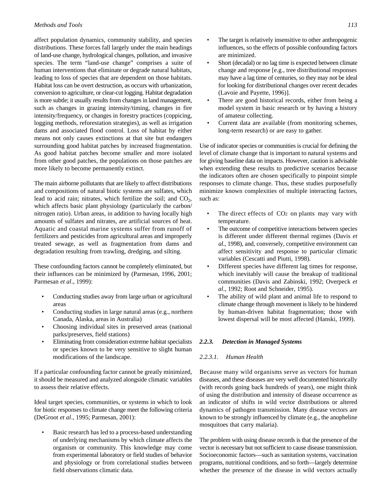affect population dynamics, community stability, and species distributions. These forces fall largely under the main headings of land-use change, hydrological changes, pollution, and invasive species. The term "land-use change" comprises a suite of human interventions that eliminate or degrade natural habitats, leading to loss of species that are dependent on those habitats. Habitat loss can be overt destruction, as occurs with urbanization, conversion to agriculture, or clear-cut logging. Habitat degradation is more subtle; it usually results from changes in land management, such as changes in grazing intensity/timing, changes in fire intensity/frequency, or changes in forestry practices (coppicing, logging methods, reforestation strategies), as well as irrigation dams and associated flood control. Loss of habitat by either means not only causes extinctions at that site but endangers surrounding good habitat patches by increased fragmentation. As good habitat patches become smaller and more isolated from other good patches, the populations on those patches are more likely to become permanently extinct.

The main airborne pollutants that are likely to affect distributions and compositions of natural biotic systems are sulfates, which lead to acid rain; nitrates, which fertilize the soil; and  $CO<sub>2</sub>$ , which affects basic plant physiology (particularly the carbon/ nitrogen ratio). Urban areas, in addition to having locally high amounts of sulfates and nitrates, are artificial sources of heat. Aquatic and coastal marine systems suffer from runoff of fertilizers and pesticides from agricultural areas and improperly treated sewage, as well as fragmentation from dams and degradation resulting from trawling, dredging, and silting.

These confounding factors cannot be completely eliminated, but their influences can be minimized by (Parmesan, 1996, 2001; Parmesan *et al*., 1999):

- Conducting studies away from large urban or agricultural areas
- Conducting studies in large natural areas (e.g., northern Canada, Alaska, areas in Australia)
- Choosing individual sites in preserved areas (national parks/preserves, field stations)
- Eliminating from consideration extreme habitat specialists or species known to be very sensitive to slight human modifications of the landscape.

If a particular confounding factor cannot be greatly minimized, it should be measured and analyzed alongside climatic variables to assess their relative effects.

Ideal target species, communities, or systems in which to look for biotic responses to climate change meet the following criteria (DeGroot *et al*., 1995; Parmesan, 2001):

• Basic research has led to a process-based understanding of underlying mechanisms by which climate affects the organism or community. This knowledge may come from experimental laboratory or field studies of behavior and physiology or from correlational studies between field observations climatic data.

- The target is relatively insensitive to other anthropogenic influences, so the effects of possible confounding factors are minimized.
- Short (decadal) or no lag time is expected between climate change and response [e.g., tree distributional responses may have a lag time of centuries, so they may not be ideal for looking for distributional changes over recent decades (Lavoie and Payette, 1996)].
- There are good historical records, either from being a model system in basic research or by having a history of amateur collecting.
- Current data are available (from monitoring schemes, long-term research) or are easy to gather.

Use of indicator species or communities is crucial for defining the level of climate change that is important to natural systems and for giving baseline data on impacts. However, caution is advisable when extending these results to predictive scenarios because the indicators often are chosen specifically to pinpoint simple responses to climate change. Thus, these studies purposefully minimize known complexities of multiple interacting factors, such as:

- The direct effects of  $CO<sub>2</sub>$  on plants may vary with temperature.
- The outcome of competitive interactions between species is different under different thermal regimes (Davis *et al.*, 1998), and, conversely, competitive environment can affect sensitivity and response to particular climatic variables (Cescatti and Piutti, 1998).
- Different species have different lag times for response, which inevitably will cause the breakup of traditional communities (Davis and Zabinski, 1992; Overpeck *et al*., 1992; Root and Schneider, 1995).
- The ability of wild plant and animal life to respond to climate change through movement is likely to be hindered by human-driven habitat fragmentation; those with lowest dispersal will be most affected (Hanski, 1999).

#### *2.2.3. Detection in Managed Systems*

#### *2.2.3.1. Human Health*

Because many wild organisms serve as vectors for human diseases, and these diseases are very well documented historically (with records going back hundreds of years), one might think of using the distribution and intensity of disease occurrence as an indicator of shifts in wild vector distributions or altered dynamics of pathogen transmission. Many disease vectors are known to be strongly influenced by climate (e.g., the anopheline mosquitoes that carry malaria).

The problem with using disease records is that the presence of the vector is necessary but not sufficient to cause disease transmission. Socioeconomic factors—such as sanitation systems, vaccination programs, nutritional conditions, and so forth—largely determine whether the presence of the disease in wild vectors actually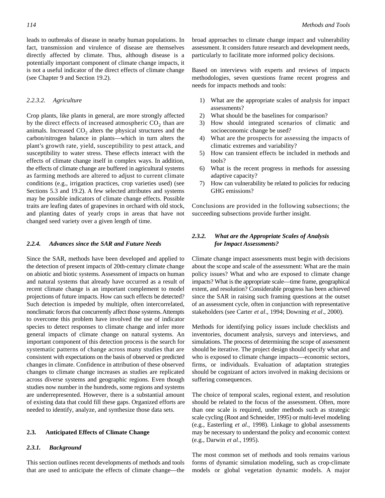leads to outbreaks of disease in nearby human populations. In fact, transmission and virulence of disease are themselves directly affected by climate. Thus, although disease is a potentially important component of climate change impacts, it is not a useful indicator of the direct effects of climate change (see Chapter 9 and Section 19.2).

## *2.2.3.2. Agriculture*

Crop plants, like plants in general, are more strongly affected by the direct effects of increased atmospheric  $CO_2$  than are animals. Increased  $CO<sub>2</sub>$  alters the physical structures and the carbon/nitrogen balance in plants—which in turn alters the plant's growth rate, yield, susceptibility to pest attack, and susceptibility to water stress. These effects interact with the effects of climate change itself in complex ways. In addition, the effects of climate change are buffered in agricultural systems as farming methods are altered to adjust to current climate conditions (e.g., irrigation practices, crop varieties used) (see Sections 5.3 and 19.2). A few selected attributes and systems may be possible indicators of climate change effects. Possible traits are leafing dates of grapevines in orchard with old stock, and planting dates of yearly crops in areas that have not changed seed variety over a given length of time.

### *2.2.4. Advances since the SAR and Future Needs*

Since the SAR, methods have been developed and applied to the detection of present impacts of 20th-century climate change on abiotic and biotic systems*.* Assessment of impacts on human and natural systems that already have occurred as a result of recent climate change is an important complement to model projections of future impacts. How can such effects be detected? Such detection is impeded by multiple, often intercorrelated, nonclimatic forces that concurrently affect those systems. Attempts to overcome this problem have involved the use of indicator species to detect responses to climate change and infer more general impacts of climate change on natural systems. An important component of this detection process is the search for systematic patterns of change across many studies that are consistent with expectations on the basis of observed or predicted changes in climate. Confidence in attribution of these observed changes to climate change increases as studies are replicated across diverse systems and geographic regions. Even though studies now number in the hundreds, some regions and systems are underrepresented. However, there is a substantial amount of existing data that could fill these gaps. Organized efforts are needed to identify, analyze, and synthesize those data sets.

## **2.3. Anticipated Effects of Climate Change**

### *2.3.1. Background*

This section outlines recent developments of methods and tools that are used to anticipate the effects of climate change—the broad approaches to climate change impact and vulnerability assessment. It considers future research and development needs, particularly to facilitate more informed policy decisions.

Based on interviews with experts and reviews of impacts methodologies, seven questions frame recent progress and needs for impacts methods and tools:

- 1) What are the appropriate scales of analysis for impact assessments?
- 2) What should be the baselines for comparison?
- 3) How should integrated scenarios of climatic and socioeconomic change be used?
- 4 ) What are the prospects for assessing the impacts of climatic extremes and variability?
- 5) How can transient effects be included in methods and tools?
- 6) What is the recent progress in methods for assessing adaptive capacity?
- 7 ) How can vulnerability be related to policies for reducing GHG emissions?

Conclusions are provided in the following subsections; the succeeding subsections provide further insight.

## *2.3.2. What are the Appropriate Scales of Analysis for Impact Assessments?*

Climate change impact assessments must begin with decisions about the scope and scale of the assessment: What are the main policy issues? What and who are exposed to climate change impacts? What is the appropriate scale—time frame, geographical extent, and resolution? Considerable progress has been achieved since the SAR in raising such framing questions at the outset of an assessment cycle, often in conjunction with representative stakeholders (see Carter *et al*., 1994; Downing *et al*., 2000).

Methods for identifying policy issues include checklists and inventories, document analysis, surveys and interviews, and simulations. The process of determining the scope of assessment should be iterative. The project design should specify what and who is exposed to climate change impacts—economic sectors, firms, or individuals. Evaluation of adaptation strategies should be cognizant of actors involved in making decisions or suffering consequences.

The choice of temporal scales, regional extent, and resolution should be related to the focus of the assessment. Often, more than one scale is required, under methods such as strategic scale cycling (Root and Schneider, 1995) or multi-level modeling (e.g., Easterling *et al*., 1998). Linkage to global assessments may be necessary to understand the policy and economic context (e.g., Darwin *et al*., 1995).

The most common set of methods and tools remains various forms of dynamic simulation modeling, such as crop-climate models or global vegetation dynamic models. A major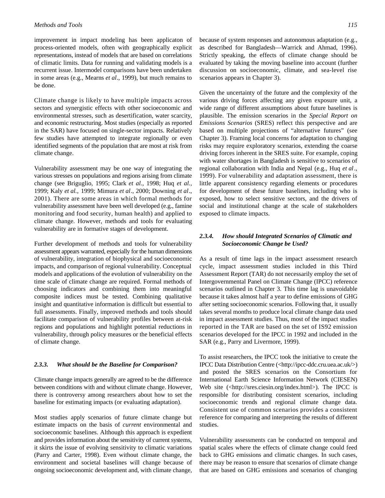improvement in impact modeling has been applicaton of process-oriented models, often with geographically explicit representations, instead of models that are based on correlations of climatic limits. Data for running and validating models is a recurrent issue. Intermodel comparisons have been undertaken in some areas (e.g., Mearns *et al*., 1999), but much remains to be done.

Climate change is likely to have multiple impacts across sectors and synergistic effects with other socioeconomic and environmental stresses, such as desertification, water scarcity, and economic restructuring. Most studies (especially as reported in the SAR) have focused on single-sector impacts. Relatively few studies have attempted to integrate regionally or even identified segments of the population that are most at risk from climate change.

Vulnerability assessment may be one way of integrating the various stresses on populations and regions arising from climate change (see Briguglio, 1995; Clark *et al.,* 1998; Huq *et al.,* 1999; Kaly *et al.,* 1999; Mimura *et al*., 2000; Downing *et al*., 2001). There are some areas in which formal methods for vulnerability assessment have been well developed (e.g., famine monitoring and food security, human health) and applied to climate change. However, methods and tools for evaluating vulnerability are in formative stages of development.

Further development of methods and tools for vulnerability assessment appears warranted, especially for the human dimensions of vulnerability, integration of biophysical and socioeconomic impacts, and comparison of regional vulnerability. Conceptual models and applications of the evolution of vulnerability on the time scale of climate change are required. Formal methods of choosing indicators and combining them into meaningful composite indices must be tested. Combining qualitative insight and quantitative information is difficult but essential to full assessments. Finally, improved methods and tools should facilitate comparison of vulnerability profiles between at-risk regions and populations and highlight potential reductions in vulnerability, through policy measures or the beneficial effects of climate change.

#### *2.3.3. What should be the Baseline for Comparison?*

Climate change impacts generally are agreed to be the difference between conditions with and without climate change. However, there is controversy among researchers about how to set the baseline for estimating impacts (or evaluating adaptation).

Most studies apply scenarios of future climate change but estimate impacts on the basis of *current* environmental and socioeconomic baselines. Although this approach is expedient and provides information about the sensitivity of current systems, it skirts the issue of evolving sensitivity to climatic variations (Parry and Carter, 1998). Even without climate change, the environment and societal baselines will change because of ongoing socioeconomic development and, with climate change,

because of system responses and autonomous adaptation (e.g., as described for Bangladesh—Warrick and Ahmad, 1996). Strictly speaking, the effects of climate change should be evaluated by taking the moving baseline into account (further discussion on socioeconomic, climate, and sea-level rise s cenarios appears in Chapter 3).

Given the uncertainty of the future and the complexity of the various driving forces affecting any given exposure unit, a wide range of different assumptions about future baselines is plausible. The emission scenarios in the *Special Report on Emissions Scenarios* (SRES) reflect this perspective and are based on multiple projections of "alternative futures" (see Chapter 3). Framing local concerns for adaptation to changing risks may require exploratory scenarios, extending the coarse driving forces inherent in the SRES suite. For example, coping with water shortages in Bangladesh is sensitive to scenarios of regional collaboration with India and Nepal (e.g., Huq *et al*., 1999). For vulnerability and adaptation assessment, there is little apparent consistency regarding elements or procedures for development of these future baselines, including who is exposed, how to select sensitive sectors, and the drivers of social and institutional change at the scale of stakeholders exposed to climate impacts.

## *2.3.4. How should Integrated Scenarios of Climatic and Socioeconomic Change be Used?*

As a result of time lags in the impact assessment research cycle, impact assessment studies included in this Third Assessment Report (TAR) do not necessarily employ the set of Intergovernmental Panel on Climate Change (IPCC) reference scenarios outlined in Chapter 3. This time lag is unavoidable because it takes almost half a year to define emissions of GHG after setting socioeconomic scenarios. Following that, it usually takes several months to produce local climate change data used in impact assessment studies. Thus, most of the impact studies reported in the TAR are based on the set of IS92 emission scenarios developed for the IPCC in 1992 and included in the SAR (e.g., Parry and Livermore, 1999).

To assist researchers, the IPCC took the initiative to create the IPCC Data Distribution Centre (<http://ipcc-ddc.cru.uea.ac.uk/>) and posted the SRES scenarios on the Consortium for International Earth Science Information Network (CIESEN) Web site (<http://sres.ciesin.org/index.html>). The IPCC is responsible for distributing consistent scenarios, including socioeconomic trends and regional climate change data. Consistent use of common scenarios provides a consistent r eference for comparing and interpreting the results of different studies.

Vulnerability assessments can be conducted on temporal and spatial scales where the effects of climate change could feed back to GHG emissions and climatic changes. In such cases, there may be reason to ensure that scenarios of climate change that are based on GHG emissions and scenarios of changing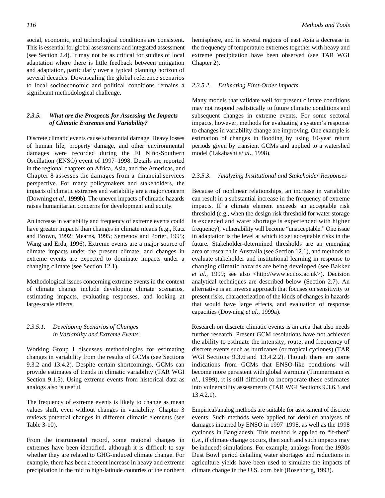social, economic, and technological conditions are consistent. This is essential for global assessments and integrated assessment (see Section 2.4). It may not be as critical for studies of local adaptation where there is little feedback between mitigation and adaptation, particularly over a typical planning horizon of several decades. Downscaling the global reference scenarios to local socioeconomic and political conditions remains a significant methodological challenge.

## *2.3.5. What are the Prospects for Assessing the Impacts of Climatic Extremes and Variability?*

Discrete climatic events cause substantial damage. Heavy losses of human life, property damage, and other environmental damages were recorded during the El Niño-Southern Oscillation (ENSO) event of 1997–1998. Details are reported in the regional chapters on Africa, Asia, and the Americas, and Chapter 8 assesses the damages from a financial services perspective. For many policymakers and stakeholders, the impacts of climatic extremes and variability are a major concern (Downing *et al*., 1999b). The uneven impacts of climatic hazards raises humanitarian concerns for development and equity.

An increase in variability and frequency of extreme events could have greater impacts than changes in climate means (e.g., Katz and Brown, 1992; Mearns, 1995; Semenov and Porter, 1995; Wang and Erda, 1996). Extreme events are a major source of climate impacts under the present climate, and changes in extreme events are expected to dominate impacts under a changing climate (see Section 12.1).

Methodological issues concerning extreme events in the context of climate change include developing climate scenarios, estimating impacts, evaluating responses, and looking at large-scale effects.

## *2.3.5.1. Developing Scenarios of Changes in Variability and Extreme Events*

Working Group I discusses methodologies for estimating changes in variability from the results of GCMs (see Sections 9.3.2 and 13.4.2). Despite certain shortcomings, GCMs can provide estimates of trends in climatic variability (TAR WGI Section 9.1.5). Using extreme events from historical data as analogs also is useful.

The frequency of extreme events is likely to change as mean values shift, even without changes in variability. Chapter 3 reviews potential changes in different climatic elements (see Table 3-10).

From the instrumental record, some regional changes in extremes have been identified, although it is difficult to say whether they are related to GHG-induced climate change. For example, there has been a recent increase in heavy and extreme precipitation in the mid to high-latitude countries of the northern hemisphere, and in several regions of east Asia a decrease in the frequency of temperature extremes together with heavy and extreme precipitation have been observed (see TAR WGI Chapter 2).

#### *2.3.5.2. Estimating First-Order Impacts*

Many models that validate well for present climate conditions may not respond realistically to future climatic conditions and subsequent changes in extreme events. For some sectoral impacts, however, methods for evaluating a system's response to changes in variability change are improving. One example is estimation of changes in flooding by using 10-year return periods given by transient GCMs and applied to a watershed model (Takahashi *et al*., 1998).

#### *2.3.5.3. Analyzing Institutional and Stakeholder Responses*

Because of nonlinear relationships, an increase in variability can result in a substantial increase in the frequency of extreme impacts. If a climate element exceeds an acceptable risk threshold (e.g., when the design risk threshold for water storage is exceeded and water shortage is experienced with higher frequency), vulnerability will become "unacceptable." One issue in adaptation is the level at which to set acceptable risks in the future. Stakeholder-determined thresholds are an emerging area of research in Australia (see Section 12.1), and methods to evaluate stakeholder and institutional learning in response to changing climatic hazards are being developed (see Bakker *et al*., 1999; see also <http://www.eci.ox.ac.uk>). Decision analytical techniques are described below (Section 2.7). An alternative is an inverse approach that focuses on sensitivity to present risks, characterization of the kinds of changes in hazards that would have large effects, and evaluation of response capacities (Downing *et al*., 1999a).

Research on discrete climatic events is an area that also needs further research. Present GCM resolutions have not achieved the ability to estimate the intensity, route, and frequency of discrete events such as hurricanes (or tropical cyclones) (TAR WGI Sections 9.3.6 and 13.4.2.2). Though there are some indications from GCMs that ENSO-like conditions will become more persistent with global warming (Timmermann *et al.*, 1999), it is still difficult to incorporate these estimates into vulnerability assessments (TAR WGI Sections 9.3.6.3 and 13.4.2.1).

Empirical/analog methods are suitable for assessment of discrete events. Such methods were applied for detailed analyses of damages incurred by ENSO in 1997–1998, as well as the 1998 cyclones in Bangladesh. This method is applied to "if-then" (i.e., if climate change occurs, then such and such impacts may be induced) simulations. For example, analogs from the 1930s Dust Bowl period detailing water shortages and reductions in agriculture yields have been used to simulate the impacts of climate change in the U.S. corn belt (Rosenberg, 1993).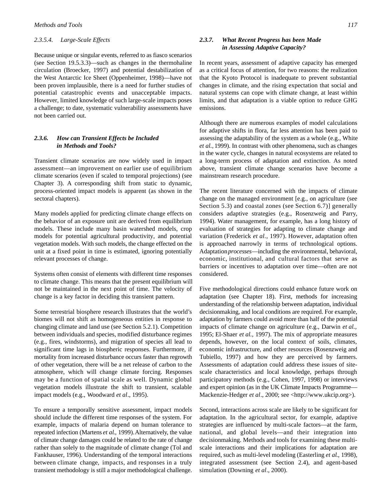#### *2.3.5.4. Large-Scale Effects*

Because unique or singular events, referred to as fiasco scenarios (see Section 19.5.3.3)—such as changes in the thermohaline circulation (Broecker, 1997) and potential destabilization of the West Antarctic Ice Sheet (Oppenheimer, 1998)—have not been proven implausible, there is a need for further studies of potential catastrophic events and unacceptable impacts. However, limited knowledge of such large-scale impacts poses a challenge; to date, systematic vulnerability assessments have not been carried out.

## *2.3.6. How can Transient Effects be Included in Methods and Tools?*

Transient climate scenarios are now widely used in impact assessment—an improvement on earlier use of equilibrium climate scenarios (even if scaled to temporal projections) (see Chapter 3). A corresponding shift from static to dynamic, process-oriented impact models is apparent (as shown in the sectoral chapters).

Many models applied for predicting climate change effects on the behavior of an exposure unit are derived from equilibrium models. These include many basin watershed models, crop models for potential agricultural productivity, and potential vegetation models. With such models, the change effected on the unit at a fixed point in time is estimated, ignoring potentially relevant processes of change.

Systems often consist of elements with different time responses to climate change. This means that the present equilibrium will not be maintained in the next point of time. The velocity of change is a key factor in deciding this transient pattern.

Some terrestrial biosphere research illustrates that the world's biomes will not shift as homogeneous entities in response to changing climate and land use (see Section 5.2.1). Competition between individuals and species, modified disturbance regimes (e.g., fires, windstorms), and migration of species all lead to significant time lags in biospheric responses. Furthermore, if mortality from increased disturbance occurs faster than regrowth of other vegetation, there will be a net release of carbon to the atmosphere, which will change climate forcing. Responses may be a function of spatial scale as well. Dynamic global vegetation models illustrate the shift to transient, scalable impact models (e.g., Woodward *et al*., 1995).

To ensure a temporally sensitive assessment, impact models should include the different time responses of the system. For example, impacts of malaria depend on human tolerance to repeated infection (Martens *et al.*, 1999). Alternatively, the value of climate change damages could be related to the rate of change rather than solely to the magnitude of climate change (Tol and Fankhauser, 1996). Understanding of the temporal interactions between climate change, impacts, and responses in a truly transient methodology is still a major methodological challenge.

## *2.3.7. What Recent Progress has been Made in Assessing Adaptive Capacity?*

In recent years, assessment of adaptive capacity has emerged as a critical focus of attention, for two reasons: the realization that the Kyoto Protocol is inadequate to prevent substantial changes in climate, and the rising expectation that social and natural systems can cope with climate change, at least within limits, and that adaptation is a viable option to reduce GHG emissions.

Although there are numerous examples of model calculations for adaptive shifts in flora, far less attention has been paid to assessing the adaptability of the system as a whole (e.g., White *et al.,* 1999). In contrast with other phenomena, such as changes in the water cycle, changes in natural ecosystems are related to a long-term process of adaptation and extinction. As noted above, transient climate change scenarios have become a mainstream research procedure.

The recent literature concerned with the impacts of climate change on the managed environment [e.g., on agriculture (see Section 5.3) and coastal zones (see Section 6.7)] generally considers adaptive strategies (e.g., Rosenzweig and Parry, 1994). Water management, for example, has a long history of evaluation of strategies for adapting to climate change and variation (Frederick *et al.,* 1997). However, adaptation often is approached narrowly in terms of technological options. Adaptation *processes*—including the environmental, behavioral, economic, institutional, and cultural factors that serve as barriers or incentives to adaptation over time—often are not considered.

Five methodological directions could enhance future work on adaptation (see Chapter 18). First, methods for increasing understanding of the relationship between adaptation, individual decisionmaking, and local conditions are required. For example, adaptation by farmers could avoid more than half of the potential impacts of climate change on agriculture (e.g., Darwin *et al.,* 1995; El-Shaer *et al.,* 1997). The mix of appropriate measures depends, however, on the local context of soils, climates, economic infrastructure, and other resources (Rosenzweig and Tubiello, 1997) and how they are perceived by farmers. Assessments of adaptation could address these issues of sitescale characteristics and local knowledge, perhaps through participatory methods (e.g., Cohen, 1997, 1998) or interviews and expert opinion (as in the UK Climate Impacts Programme— Mackenzie-Hedger *et al*., 2000; see <http://www.ukcip.org>).

Second, interactions across scale are likely to be significant for adaptation. In the agricultural sector, for example, adaptive strategies are influenced by multi-scale factors—at the farm, national, and global levels—and their integration into decisionmaking. Methods and tools for examining these multiscale interactions and their implications for adaptation are required, such as multi-level modeling (Easterling *et al*., 1998), integrated assessment (see Section 2.4), and agent-based simulation (Downing *et al.*, 2000).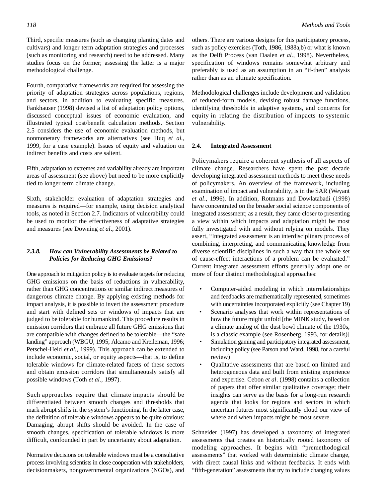Third, specific measures (such as changing planting dates and cultivars) and longer term adaptation strategies and processes (such as monitoring and research) need to be addressed. Many studies focus on the former; assessing the latter is a major methodological challenge.

Fourth, comparative frameworks are required for assessing the priority of adaptation strategies across populations, regions, and sectors, in addition to evaluating specific measures. Fankhauser (1998) devised a list of adaptation policy options, discussed conceptual issues of economic evaluation, and illustrated typical cost/benefit calculation methods. Section 2.5 considers the use of economic evaluation methods, but nonmonetary frameworks are alternatives (see Huq *et al.,* 1999, for a case example). Issues of equity and valuation on indirect benefits and costs are salient.

Fifth, adaptation to extremes and variability already are important areas of assessment (see above) but need to be more explicitly tied to longer term climate change.

Sixth, stakeholder evaluation of adaptation strategies and measures is required—for example, using decision analytical tools, as noted in Section 2.7. Indicators of vulnerability could be used to monitor the effectiveness of adaptative strategies and measures (see Downing *et al*., 2001).

## *2.3.8. How can Vulnerability Assessments be Related to Policies for Reducing GHG Emissions?*

One approach to mitigation policy is to evaluate targets for reducing GHG emissions on the basis of reductions in vulnerability, rather than GHG concentrations or similar indirect measures of dangerous climate change. By applying existing methods for impact analysis, it is possible to invert the assessment procedure and start with defined sets or windows of impacts that are judged to be tolerable for humankind. This procedure results in emission corridors that embrace all future GHG emissions that are compatible with changes defined to be tolerable—the "safe landing" approach (WBGU, 1995; Alcamo and Kreileman, 1996; Petschel-Held *et al.,* 1999). This approach can be extended to include economic, social, or equity aspects—that is, to define tolerable windows for climate-related facets of these sectors and obtain emission corridors that simultaneously satisfy all possible windows (Toth *et al.,* 1997).

Such approaches require that climate impacts should be differentiated between smooth changes and thresholds that mark abrupt shifts in the system's functioning. In the latter case, the definition of tolerable windows appears to be quite obvious: Damaging, abrupt shifts should be avoided. In the case of smooth changes, specification of tolerable windows is more difficult, confounded in part by uncertainty about adaptation.

Normative decisions on tolerable windows must be a consultative process involving scientists in close cooperation with stakeholders, decisionmakers, nongovernmental organizations (NGOs), and others. There are various designs for this participatory process, such as policy exercises (Toth, 1986, 1988a,b) or what is known as the Delft Process (van Daalen *et al.,* 1998). Nevertheless, specification of windows remains somewhat arbitrary and preferably is used as an assumption in an "if-then" analysis rather than as an ultimate specification.

Methodological challenges include development and validation of reduced-form models, devising robust damage functions, identifying thresholds in adaptive systems, and concerns for equity in relating the distribution of impacts to systemic vulnerability.

#### **2.4. Integrated Assessment**

Policymakers require a coherent synthesis of all aspects of climate change. Researchers have spent the past decade developing integrated assessment methods to meet these needs of policymakers. An overview of the framework, including examination of impact and vulnerability, is in the SAR (Weyant *et al*., 1996). In addition, Rotmans and Dowlatabadi (1998) have concentrated on the broader social science components of integrated assessment; as a result, they came closer to presenting a view within which impacts and adaptation might be most fully investigated with and without relying on models. They assert, "Integrated assessment is an interdisciplinary process of combining, interpreting, and communicating knowledge from diverse scientific disciplines in such a way that the whole set of cause-effect interactions of a problem can be evaluated." Current integrated assessment efforts generally adopt one or more of four distinct methodological approaches:

- Computer-aided modeling in which interrelationships and feedbacks are mathematically represented, sometimes with uncertainties incorporated explicitly (see Chapter 19)
- Scenario analyses that work within representations of how the future might unfold [the MINK study, based on a climate analog of the dust bowl climate of the 1930s, is a classic example (see Rosenberg, 1993, for details)]
- Simulation gaming and participatory integrated assessment, including policy (see Parson and Ward, 1998, for a careful review)
- Qualitative assessments that are based on limited and heterogeneous data and built from existing experience and expertise. Cebon *et al*. (1998) contains a collection of papers that offer similar qualitative coverage; their insights can serve as the basis for a long-run research agenda that looks for regions and sectors in which uncertain futures most significantly cloud our view of where and when impacts might be most severe.

Schneider (1997) has developed a taxonomy of integrated assessments that creates an historically rooted taxonomy of modeling approaches. It begins with "premethodogical assessments" that worked with deterministic climate change, with direct causal links and without feedbacks. It ends with "fifth-generation" assessments that try to include changing values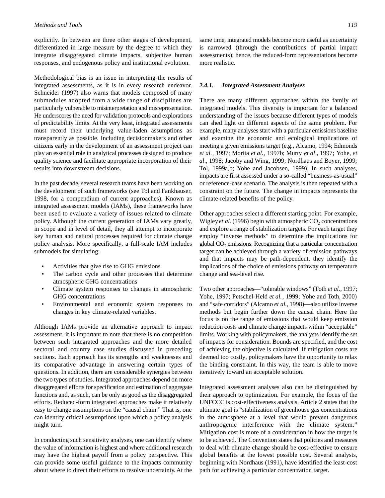explicitly. In between are three other stages of development, differentiated in large measure by the degree to which they integrate disaggregated climate impacts, subjective human responses, and endogenous policy and institutional evolution.

Methodological bias is an issue in interpreting the results of integrated assessments, as it is in every research endeavor. Schneider (1997) also warns that models composed of many submodules adopted from a wide range of disciplines are particularly vulnerable to misinterpretation and misrepresentation. He underscores the need for validation protocols and explorations of predictability limits. At the very least, integrated assessments must record their underlying value-laden assumptions as transparently as possible. Including decisionmakers and other citizens early in the development of an assessment project can play an essential role in analytical processes designed to produce quality science and facilitate appropriate incorporation of their results into downstream decisions.

In the past decade, several research teams have been working on the development of such frameworks (see Tol and Fankhauser, 1998, for a compendium of current approaches). Known as integrated assessment models (IAMs), these frameworks have been used to evaluate a variety of issues related to climate policy. Although the current generation of IAMs vary greatly, in scope and in level of detail, they all attempt to incorporate key human and natural processes required for climate change policy analysis. More specifically, a full-scale IAM includes submodels for simulating:

- Activities that give rise to GHG emissions
- The carbon cycle and other processes that determine atmospheric GHG concentrations
- Climate system responses to changes in atmospheric GHG concentrations
- Environmental and economic system responses to changes in key climate-related variables.

Although IAMs provide an alternative approach to impact assessment, it is important to note that there is no competition between such integrated approaches and the more detailed sectoral and country case studies discussed in preceding sections. Each approach has its strengths and weaknesses and its comparative advantage in answering certain types of questions. In addition, there are considerable synergies between the two types of studies. Integrated approaches depend on more disaggregated efforts for specification and estimation of aggregate functions and, as such, can be only as good as the disaggregated efforts. Reduced-form integrated approaches make it relatively easy to change assumptions on the "causal chain." That is, one can identify critical assumptions upon which a policy analysis might turn.

In conducting such sensitivity analyses, one can identify where the value of information is highest and where additional research may have the highest payoff from a policy perspective. This can provide some useful guidance to the impacts community about where to direct their efforts to resolve uncertainty. At the

same time, integrated models become more useful as uncertainty is narrowed (through the contributions of partial impact assessments); hence, the reduced-form representations become more realistic.

#### *2.4.1. Integrated Assessment Analyses*

There are many different approaches within the family of integrated models. This diversity is important for a balanced understanding of the issues because different types of models can shed light on different aspects of the same problem. For example, many analyses start with a particular emissions baseline and examine the economic and ecological implications of meeting a given emissions target (e.g., Alcamo, 1994; Edmonds *et al.*, 1997; Morita *et al.,* 1997b; Murty *et al*., 1997; Yohe, *et al*., 1998; Jacoby and Wing, 1999; Nordhaus and Boyer, 1999; Tol, 1999a,b; Yohe and Jacobsen, 1999). In such analyses, impacts are first assessed under a so-called "business-as-usual" or reference-case scenario. The analysis is then repeated with a constraint on the future. The change in impacts represents the climate-related benefits of the policy.

Other approaches select a different starting point. For example, Wigley *et al.* (1996) begin with atmospheric  $CO_2$  concentrations and explore a range of stabilization targets. For each target they employ "inverse methods" to determine the implications for global  $CO<sub>2</sub>$  emissions. Recognizing that a particular concentration target can be achieved through a variety of emission pathways and that impacts may be path-dependent, they identify the implications of the choice of emissions pathway on temperature change and sea-level rise.

Two other approaches—"tolerable windows" (Toth *et al.*, 1997; Yohe, 1997; Petschel-Held *et al.*, 1999; Yohe and Toth, 2000) and "safe corridors" (Alcamo *et al.*, 1998)—also utilize inverse methods but begin further down the causal chain. Here the focus is on the range of emissions that would keep emission reduction costs and climate change impacts within "acceptable" limits. Working with policymakers, the analysts identify the set of impacts for consideration. Bounds are specified, and the cost of achieving the objective is calculated. If mitigation costs are deemed too costly, policymakers have the opportunity to relax the binding constraint. In this way, the team is able to move iteratively toward an acceptable solution.

Integrated assessment analyses also can be distinguished by their approach to optimization. For example, the focus of the UNFCCC is cost-effectiveness analysis. Article 2 states that the ultimate goal is "stabilization of greenhouse gas concentrations in the atmosphere at a level that would prevent dangerous anthropogenic interference with the climate system." Mitigation cost is more of a consideration in how the target is to be achieved. The Convention states that policies and measures to deal with climate change should be cost-effective to ensure global benefits at the lowest possible cost. Several analysts, beginning with Nordhaus (1991), have identified the least-cost path for achieving a particular concentration target.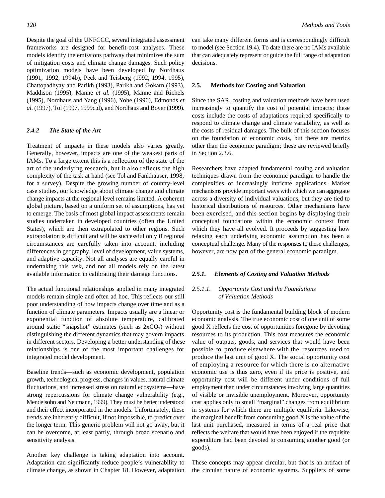Despite the goal of the UNFCCC, several integrated assessment frameworks are designed for benefit-cost analyses. These models identify the emissions pathway that minimizes the sum of mitigation costs and climate change damages. Such policy optimization models have been developed by Nordhaus (1991, 1992, 1994b), Peck and Teisberg (1992, 1994, 1995), Chattopadhyay and Parikh (1993), Parikh and Gokarn (1993), Maddison (1995), Manne *et al.* (1995), Manne and Richels (1995), Nordhaus and Yang (1996), Yohe (1996), Edmonds *et a l*. (1997), Tol (1997, 1999c,d), and Nordhaus and Boyer (1999).

## *2.4.2 The State of the Art*

Treatment of impacts in these models also varies greatly. Generally, however, impacts are one of the weakest parts of IAMs. To a large extent this is a reflection of the state of the art of the underlying research, but it also reflects the high complexity of the task at hand (see Tol and Fankhauser, 1998, for a survey). Despite the growing number of country-level case studies, our knowledge about climate change and climate change impacts at the regional level remains limited. A coherent global picture, based on a uniform set of assumptions, has yet to emerge. The basis of most global impact assessments remain studies undertaken in developed countries (often the United States), which are then extrapolated to other regions. Such extrapolation is difficult and will be successful only if regional circumstances are carefully taken into account, including differences in geography, level of development, value systems, and adaptive capacity. Not all analyses are equally careful in undertaking this task, and not all models rely on the latest available information in calibrating their damage functions.

The actual functional relationships applied in many integrated models remain simple and often ad hoc. This reflects our still poor understanding of how impacts change over time and as a function of climate parameters. Impacts usually are a linear or exponential function of absolute temperature, calibrated around static "snapshot" estimates (such as  $2xCO_2$ ) without distinguishing the different dynamics that may govern impacts in different sectors. Developing a better understanding of these relationships is one of the most important challenges for integrated model development.

Baseline trends—such as economic development, population growth, technological progress, changes in values, natural climate fluctuations, and increased stress on natural ecosystems—have strong repercussions for climate change vulnerability (e.g., Mendelsohn and Neumann, 1999). They must be better understood and their effect incorporated in the models. Unfortunately, these trends are inherently difficult, if not impossible, to predict over the longer term. This generic problem will not go away, but it can be overcome, at least partly, through broad scenario and sensitivity analysis.

Another key challenge is taking adaptation into account. Adaptation can significantly reduce people's vulnerability to climate change, as shown in Chapter 18. However, adaptation can take many different forms and is correspondingly difficult to model (see Section 19.4). To date there are no IAMs available that can adequately represent or guide the full range of adaptation decisions.

## **2.5. Methods for Costing and Valuation**

Since the SAR, costing and valuation methods have been used increasingly to quantify the cost of potential impacts; these costs include the costs of adaptations required specifically to respond to climate change and climate variability, as well as the costs of residual damages. The bulk of this section focuses on the foundation of economic costs, but there are metrics other than the economic paradigm; these are reviewed briefly in Section 2.3.6.

Researchers have adapted fundamental costing and valuation techniques drawn from the economic paradigm to handle the complexities of increasingly intricate applications. Market mechanisms provide important ways with which we can aggregate across a diversity of individual valuations, but they are tied to historical distributions of resources. Other mechanisms have been exercised, and this section begins by displaying their conceptual foundations within the economic context from which they have all evolved. It proceeds by suggesting how relaxing each underlying economic assumption has been a conceptual challenge. Many of the responses to these challenges, however, are now part of the general economic paradigm.

## *2.5.1. Elements of Costing and Valuation Methods*

## *2.5.1.1. Opportunity Cost and the Foundations of Valuation Methods*

Opportunity cost is the fundamental building block of modern economic analysis. The true economic cost of one unit of some good X reflects the cost of opportunities foregone by devoting resources to its production. This cost measures the economic value of outputs, goods, and services that would have been possible to produce elsewhere with the resources used to produce the last unit of good X. The social opportunity cost of employing a resource for which there is no alternative economic use is thus zero, even if its price is positive, and opportunity cost will be different under conditions of full employment than under circumstances involving large quantities of visible or invisible unemployment. Moreover, opportunity cost applies only to small "marginal" changes from equilibrium in systems for which there are multiple equilibria. Likewise, the marginal benefit from consuming good  $X$  is the value of the last unit purchased, measured in terms of a real price that reflects the welfare that would have been enjoyed if the requisite expenditure had been devoted to consuming another good (or goods).

These concepts may appear circular, but that is an artifact of the circular nature of economic systems. Suppliers of some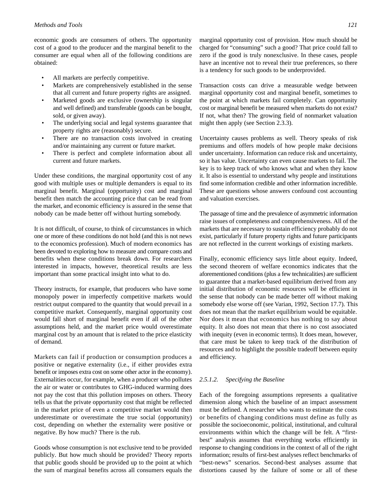economic goods are consumers of others. The opportunity cost of a good to the producer and the marginal benefit to the consumer are equal when all of the following conditions are obtained:

- All markets are perfectly competitive.
- Markets are comprehensively established in the sense that all current and future property rights are assigned.
- Marketed goods are exclusive (ownership is singular and well defined) and transferable (goods can be bought, sold, or given away).
- The underlying social and legal systems guarantee that property rights are (reasonably) secure.
- There are no transaction costs involved in creating and/or maintaining any current or future market.
- There is perfect and complete information about all current and future markets.

Under these conditions, the marginal opportunity cost of any good with multiple uses or multiple demanders is equal to its marginal benefit. Marginal (opportunity) cost and marginal benefit then match the accounting price that can be read from the market, and economic efficiency is assured in the sense that nobody can be made better off without hurting somebody.

It is not difficult, of course, to think of circumstances in which one or more of these conditions do not hold (and this is not news to the economics profession). Much of modern economics has been devoted to exploring how to measure and compare costs and benefits when these conditions break down. For researchers interested in impacts, however, theoretical results are less important than some practical insight into what to do.

Theory instructs, for example, that producers who have some monopoly power in imperfectly competitive markets would restrict output compared to the quantity that would prevail in a competitive market. Consequently, marginal opportunity cost would fall short of marginal benefit even if all of the other assumptions held, and the market price would overestimate marginal cost by an amount that is related to the price elasticity of demand.

Markets can fail if production or consumption produces a positive or negative externality (i.e., if either provides extra benefit or imposes extra cost on some other actor in the economy). Externalities occur, for example, when a producer who pollutes the air or water or contributes to GHG-induced warming does not pay the cost that this pollution imposes on others. Theory tells us that the private opportunity cost that might be reflected in the market price of even a competitive market would then underestimate or overestimate the true social (opportunity) cost, depending on whether the externality were positive or negative. By how much? There is the rub.

Goods whose consumption is not exclusive tend to be provided publicly. But how much should be provided? Theory reports that public goods should be provided up to the point at which the sum of marginal benefits across all consumers equals the

marginal opportunity cost of provision. How much should be charged for "consuming" such a good? That price could fall to zero if the good is truly nonexclusive. In these cases, people have an incentive not to reveal their true preferences, so there is a tendency for such goods to be underprovided.

Transaction costs can drive a measurable wedge between marginal opportunity cost and marginal benefit, sometimes to the point at which markets fail completely. Can opportunity cost or marginal benefit be measured when markets do not exist? If not, what then? The growing field of nonmarket valuation might then apply (see Section 2.3.3).

Uncertainty causes problems as well. Theory speaks of risk premiums and offers models of how people make decisions under uncertainty. Information can reduce risk and uncertainty, so it has value. Uncertainty can even cause markets to fail. The key is to keep track of who knows what and when they know it. It also is essential to understand why people and institutions find some information credible and other information incredible. These are questions whose answers confound cost accounting and valuation exercises.

The passage of time and the prevalence of asymmetric information raise issues of completeness and comprehensiveness. All of the markets that are necessary to sustain efficiency probably do not exist, particularly if future property rights and future participants are not reflected in the current workings of existing markets.

Finally, economic efficiency says little about equity. Indeed, the second theorem of welfare economics indicates that the aforementioned conditions (plus a few technicalities) are sufficient to guarantee that a market-based equilibrium derived from any initial distribution of economic resources will be efficient in the sense that nobody can be made better off without making somebody else worse off (see Varian, 1992, Section 17.7). This does not mean that the market equilibrium would be equitable. Nor does it mean that economics has nothing to say about equity. It also does not mean that there is no cost associated with inequity (even in economic terms). It does mean, however, that care must be taken to keep track of the distribution of resources and to highlight the possible tradeoff between equity and efficiency.

#### *2.5.1.2. Specifying the Baseline*

Each of the foregoing assumptions represents a qualitative dimension along which the baseline of an impact assessment must be defined. A researcher who wants to estimate the costs or benefits of changing conditions must define as fully as possible the socioeconomic, political, institutional, and cultural environments within which the change will be felt. A "firstbest" analysis assumes that everything works efficiently in response to changing conditions in the context of all of the right information; results of first-best analyses reflect benchmarks of "best-news" scenarios. Second-best analyses assume that distortions caused by the failure of some or all of these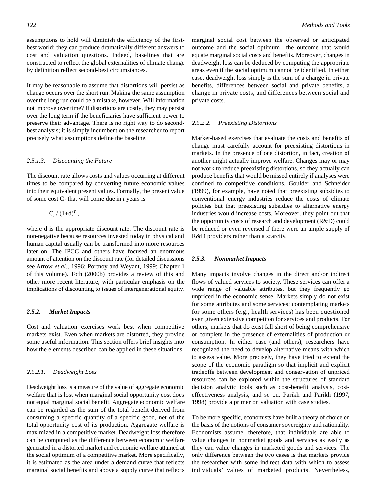assumptions to hold will diminish the efficiency of the firstbest world; they can produce dramatically different answers to cost and valuation questions. Indeed, baselines that are constructed to reflect the global externalities of climate change by definition reflect second-best circumstances.

It may be reasonable to assume that distortions will persist as change occurs over the short run. Making the same assumption over the long run could be a mistake, however. Will information not improve over time? If distortions are costly, they may persist over the long term if the beneficiaries have sufficient power to preserve their advantage. There is no right way to do secondbest analysis; it is simply incumbent on the researcher to report precisely what assumptions define the baseline.

#### *2.5.1.3. Discounting the Future*

The discount rate allows costs and values occurring at different times to be compared by converting future economic values into their equivalent present values. Formally, the present value of some cost  $C_t$  that will come due in *t* years is

$$
C_t/(1+d)^t,
$$

where d is the appropriate discount rate. The discount rate is non-negative because resources invested today in physical and human capital usually can be transformed into more resources later on. The IPCC and others have focused an enormous amount of attention on the discount rate (for detailed discussions see Arrow *et al.,* 1996; Portnoy and Weyant, 1999; Chapter 1 of this volume). Toth (2000b) provides a review of this and other more recent literature, with particular emphasis on the implications of discounting to issues of intergenerational equity.

## *2.5.2. Market Impacts*

Cost and valuation exercises work best when competitive markets exist. Even when markets are distorted, they provide some useful information. This section offers brief insights into how the elements described can be applied in these situations.

#### *2.5.2.1. Deadweight Loss*

Deadweight loss is a measure of the value of aggregate economic welfare that is lost when marginal social opportunity cost does not equal marginal social benefit. Aggregate economic welfare can be regarded as the sum of the total benefit derived from consuming a specific quantity of a specific good, net of the total opportunity cost of its production. Aggregate welfare is maximized in a competitive market. Deadweight loss therefore can be computed as the difference between economic welfare generated in a distorted market and economic welfare attained at the social optimum of a competitive market. More specifically, it is estimated as the area under a demand curve that reflects marginal social benefits and above a supply curve that reflects

marginal social cost between the observed or anticipated outcome and the social optimum—the outcome that would equate marginal social costs and benefits. Moreover, changes in deadweight loss can be deduced by computing the appropriate areas even if the social optimum cannot be identified. In either case, deadweight loss simply is the sum of a change in private benefits, differences between social and private benefits, a change in private costs, and differences between social and private costs.

#### *2.5.2.2. Preexisting Distortions*

Market-based exercises that evaluate the costs and benefits of change must carefully account for preexisting distortions in markets. In the presence of one distortion, in fact, creation of another might actually improve welfare. Changes may or may not work to reduce preexisting distortions, so they actually can produce benefits that would be missed entirely if analyses were confined to competitive conditions. Goulder and Schneider (1999), for example, have noted that preexisting subsidies to conventional energy industries reduce the costs of climate policies but that preexisting subsidies to alternative energy industries would increase costs. Moreover, they point out that the opportunity costs of research and development (R&D) could be reduced or even reversed if there were an ample supply of R&D providers rather than a scarcity.

#### *2.5.3. Nonmarket Impacts*

Many impacts involve changes in the direct and/or indirect flows of valued services to society. These services can offer a wide range of valuable attributes, but they frequently go unpriced in the economic sense. Markets simply do not exist for some attributes and some services; contemplating markets for some others (e.g., health services) has been questioned even given extensive competiton for services and products. For others, markets that do exist fall short of being comprehensive or complete in the presence of externalities of production or consumption. In either case (and others), researchers have recognized the need to develop alternative means with which to assess value. More precisely, they have tried to extend the scope of the economic paradigm so that implicit and explicit tradeoffs between development and conservation of unpriced resources can be explored within the structures of standard decision analytic tools such as cost-benefit analysis, costeffectiveness analysis, and so on. Parikh and Parikh (1997, 1998) provide a primer on valuation with case studies.

To be more specific, economists have built a theory of choice on the basis of the notions of consumer sovereignty and rationality. Economists assume, therefore, that individuals are able to value changes in nonmarket goods and services as easily as they can value changes in marketed goods and services. The only difference between the two cases is that markets provide the researcher with some indirect data with which to assess individuals' values of marketed products. Nevertheless,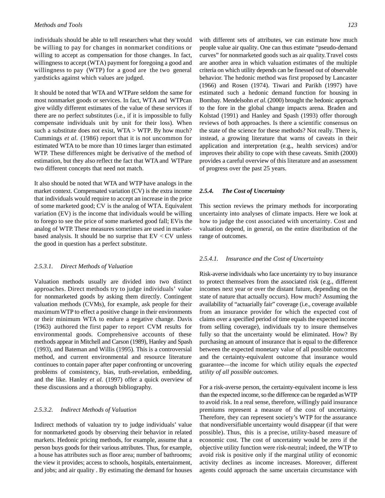individuals should be able to tell researchers what they would be willing to pay for changes in nonmarket conditions or willing to accept as compensation for those changes. In fact, willingness to accept (WTA) payment for foregoing a good and willingness to pay (WTP) for a good are the two general y ardsticks against which values are judged.

It should be noted that WTA and WTPare seldom the same for most nonmarket goods or services. In fact, WTA and WTPcan give wildly different estimates of the value of these services if there are no perfect substitutes (i.e., if it is impossible to fully compensate individuals unit by unit for their loss). When such a substitute does not exist,  $WTA > WTP$ . By how much? Cummings *et al.* (1986) report that it is not uncommon for estimated WTA to be more than 10 times larger than estimated WTP. These differences might be derivative of the method of estimation, but they also reflect the fact that WTA and WTPare two different concepts that need not match.

It also should be noted that WTA and WTPhave analogs in the market context. Compensated variation (CV) is the extra income that individuals would require to accept an increase in the price of some marketed good; CV is the analog of WTA. Equivalent variation (EV) is the income that individuals would be willing to forego to see the price of some marketed good fall; EVis the analog of WTP. These measures sometimes are used in marketbased analysis. It should be no surprise that  $EV < CV$  unless the good in question has a perfect substitute.

#### *2.5.3.1. Direct Methods of Valuation*

Valuation methods usually are divided into two distinct approaches. Direct methods try to judge individuals' value for nonmarketed goods by asking them directly. Contingent valuation methods (CVMs), for example, ask people for their maximum WTP to effect a positive change in their environments or their minimum WTA to endure a negative change. Davis (1963) authored the first paper to report CVM results for environmental goods. Comprehensive accounts of these methods appear in Mitchell and Carson (1989), Hanley and Spash (1993), and Bateman and Willis (1995). This is a controversial method, and current environmental and resource literature continues to contain paper after paper confronting or uncovering problems of consistency, bias, truth-revelation, embedding, and the like. Hanley *et al.* (1997) offer a quick overview of these discussions and a thorough bibliography.

#### *2.5.3.2. Indirect Methods of Valuation*

Indirect methods of valuation try to judge individuals' value for nonmarketed goods by observing their behavior in related markets. Hedonic pricing methods, for example, assume that a person buys goods for their various attributes. Thus, for example, a house has attributes such as floor area; number of bathrooms; the view it provides; access to schools, hospitals, entertainment, and jobs; and air quality . By estimating the demand for houses

with different sets of attributes, we can estimate how much people value air quality. One can thus estimate "pseudo-demand curves" for nonmarketed goods such as air quality.Travel costs are another area in which valuation estimates of the multiple criteria on which utility depends can be finessed out of observable behavior. The hedonic method was first proposed by Lancaster (1966) and Rosen (1974). Tiwari and Parikh (1997) have estimated such a hedonic demand function for housing in Bombay. Mendelsohn et al. (2000) brought the hedonic approach to the fore in the global change impacts arena. Braden and Kolstad (1991) and Hanley and Spash (1993) offer thorough reviews of both approaches. Is there a scientific consensus on the state of the science for these methods? Not really. There is, instead, a growing literature that warns of caveats in their application and interpretation (e.g., health services) and/or improves their ability to cope with these caveats. Smith (2000) provides a careful overview of this literature and an assessment of progress over the past 25 years.

#### *2.5.4. The Cost of Uncertainty*

This section reviews the primary methods for incorporating uncertainty into analyses of climate impacts. Here we look at how to judge the cost associated with uncertainty. Cost and valuation depend, in general, on the entire distribution of the range of outcomes.

#### *2.5.4.1. Insurance and the Cost of Uncertainty*

Risk-averse individuals who face uncertainty try to buy insurance to protect themselves from the associated risk (e.g., different incomes next year or over the distant future, depending on the state of nature that actually occurs). How much? Assuming the availability of "actuarially fair" coverage (i.e., coverage available from an insurance provider for which the expected cost of claims over a specified period of time equals the expected income from selling coverage), individuals try to insure themselves fully so that the uncertainty would be eliminated. How? By purchasing an amount of insurance that is equal to the difference between the expected monetary value of all possible outcomes and the certainty-equivalent outcome that insurance would guarantee—the income for which utility equals the *expected utility of all possible outcomes.*

For a risk-averse person, the certainty-equivalent income is less than the expected income, so the difference can be regarded as WTP to avoid risk. In a real sense, therefore, willingly paid insurance premiums represent a measure of the cost of uncertainty. Therefore, they can represent society's WTP for the assurance that nondiversifiable uncertainty would disappear (if that were possible). Thus, this is a precise, utility-based measure of economic cost. The cost of uncertainty would be zero if the objective utility function were risk-neutral; indeed, the WTP to avoid risk is positive only if the marginal utility of economic activity declines as income increases. Moreover, different agents could approach the same uncertain circumstance with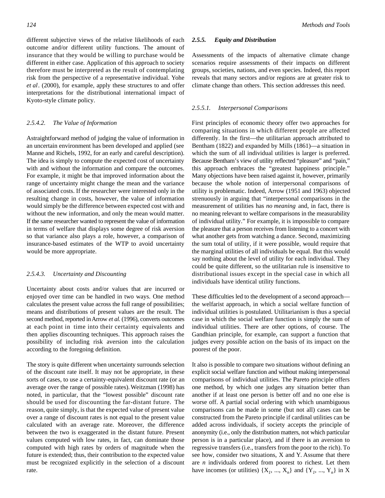different subjective views of the relative likelihoods of each outcome and/or different utility functions. The amount of insurance that they would be willing to purchase would be different in either case. Application of this approach to society therefore must be interpreted as the result of contemplating risk from the perspective of a representative individual. Yohe *et al*. (2000), for example, apply these structures to and offer interpretations for the distributional international impact of Kyoto-style climate policy.

#### *2.5.4.2. The Value of Information*

Astraightforward method of judging the value of information in an uncertain environment has been developed and applied (see Manne and Richels, 1992, for an early and careful description). The idea is simply to compute the expected cost of uncertainty with and without the information and compare the outcomes. For example, it might be that improved information about the range of uncertainty might change the mean and the variance of associated costs. If the researcher were interested only in the resulting change in costs, however, the value of information would simply be the difference between expected cost with and without the new information, and only the mean would matter. If the same researcher wanted to represent the value of information in terms of welfare that displays some degree of risk aversion so that variance also plays a role, however, a comparison of insurance-based estimates of the WTP to avoid uncertainty would be more appropriate.

#### *2.5.4.3. Uncertainty and Discounting*

Uncertainty about costs and/or values that are incurred or enjoyed over time can be handled in two ways. One method calculates the present value across the full range of possibilities; means and distributions of present values are the result. The second method, reported in Arrow et al. (1996), converts outcomes at each point in time into their certainty equivalents and then applies discounting techniques. This approach raises the possibility of including risk aversion into the calculation according to the foregoing definition.

The story is quite different when uncertainty surrounds selection of the discount rate itself. It may not be appropriate, in these sorts of cases, to use a certainty-equivalent discount rate (or an average over the range of possible rates). Weitzman (1998) has noted, in particular, that the "lowest possible" discount rate should be used for discounting the far-distant future. The reason, quite simply, is that the expected value of present value over a range of discount rates is not equal to the present value calculated with an average rate. Moreover, the difference between the two is exaggerated in the distant future. Present values computed with low rates, in fact, can dominate those computed with high rates by orders of magnitude when the future is extended; thus, their contribution to the expected value must be recognized explicitly in the selection of a discount rate.

#### *2.5.5. Equity and Distribution*

Assessments of the impacts of alternative climate change scenarios require assessments of their impacts on different groups, societies, nations, and even species. Indeed, this report reveals that many sectors and/or regions are at greater risk to climate change than others. This section addresses this need.

#### *2.5.5.1. Interpersonal Comparisons*

First principles of economic theory offer two approaches for comparing situations in which different people are affected differently. In the first—the utilitarian approach attributed to Bentham (1822) and expanded by Mills (1861)—a situation in which the sum of all individual utilities is larger is preferred. Because Bentham's view of utility reflected "pleasure" and "pain," this approach embraces the "greatest happiness principle." Many objections have been raised against it, however, primarily because the whole notion of interpersonal comparisons of utility is problematic. Indeed, Arrow (1951 and 1963) objected strenuously in arguing that "interpersonal comparisons in the measurement of utilities has *no meaning* and, in fact, there is no meaning relevant to welfare comparisons in the measurability of individual utility." For example, it is impossible to compare the pleasure that a person receives from listening to a concert with what another gets from watching a dance. Second, maximizing the sum total of utility, if it were possible, would require that the marginal utilities of all individuals be equal. But this would say nothing about the level of utility for each individual. They could be quite different, so the utilitarian rule is insensitive to distributional issues except in the special case in which all individuals have identical utility functions.

These difficulties led to the development of a second approach the welfarist approach, in which a social welfare function of individual utilities is postulated. Utilitarianism is thus a special case in which the social welfare function is simply the sum of individual utilities. There are other options, of course. The Gandhian principle, for example, can support a function that judges every possible action on the basis of its impact on the poorest of the poor.

It also is possible to compare two situations without defining an explicit social welfare function and without making interpersonal comparisons of individual utilities. The Pareto principle offers one method, by which one judges any situation better than another if at least one person is better off and no one else is worse off. A partial social ordering with which unambiguous comparisons can be made in some (but not all) cases can be constructed from the Pareto principle if cardinal utilities can be added across individuals, if society accepts the principle of anonymity (i.e., only the distribution matters, not which particular person is in a particular place), and if there is an aversion to regressive transfers (i.e., transfers from the poor to the rich). To see how, consider two situations, X and Y. Assume that there are *n* individuals ordered from poorest to richest. Let them have incomes (or utilities)  $\{X_1, ..., X_n\}$  and  $\{Y_1, ..., Y_n\}$  in X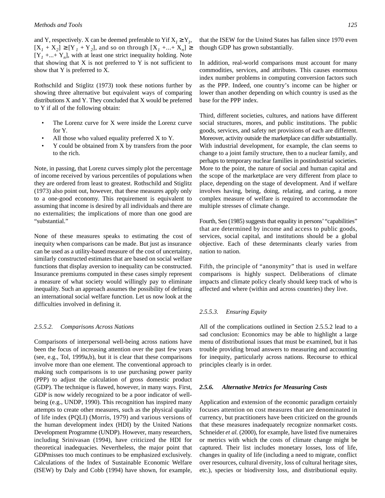and Y, respectively. X can be deemed preferable to Yif  $X_i$   $Y_i$ ,  $[X_1 + X_2]$   $[Y_1 + Y_2]$ , and so on through  $[X_1 + ... + X_n]$  $[Y_1 + ... + Y_n]$ , with at least one strict inequality holding. Note that showing that  $X$  is not preferred to  $Y$  is not sufficient to show that Y is preferred to X.

Rothschild and Stiglitz (1973) took these notions further by showing three alternative but equivalent ways of comparing distributions X and Y. They concluded that X would be preferred to Y if all of the following obtain:

- The Lorenz curve for X were inside the Lorenz curve for Y.
- All those who valued equality preferred  $X$  to  $Y$ .
- Y could be obtained from X by transfers from the poor to the rich.

Note, in passing, that Lorenz curves simply plot the percentage of income received by various percentiles of populations when they are ordered from least to greatest. Rothschild and Stiglitz (1973) also point out, however, that these measures apply only to a one-good economy. This requirement is equivalent to assuming that income is desired by all individuals and there are no externalities; the implications of more than one good are "substantial."

None of these measures speaks to estimating the cost of inequity when comparisons can be made. But just as insurance can be used as a utility-based measure of the cost of uncertainty, similarly constructed estimates that are based on social welfare functions that display aversion to inequality can be constructed. Insurance premiums computed in these cases simply represent a measure of what society would willingly pay to eliminate in equality. Such an approach assumes the possibility of defining an international social welfare function. Let us now look at the difficulties involved in defining it.

#### *2.5.5.2. Comparisons Across Nations*

Comparisons of interpersonal well-being across nations have been the focus of increasing attention over the past few years (see, e.g., Tol, 1999a,b), but it is clear that these comparisons involve more than one element. The conventional approach to making such comparisons is to use purchasing power parity (PPP) to adjust the calculation of gross domestic product (GDP). The technique is flawed, however, in many ways. First, GDP is now widely recognized to be a poor indicator of wellbeing (e.g., UNDP, 1990). This recognition has inspired many attempts to create other measures, such as the physical quality of life index (PQLI) (Morris, 1979) and various versions of the human development index (HDI) by the United Nations Development Programme (UNDP). However, many researchers, including Srinivasan (1994), have criticized the HDI for theoretical inadequacies. Nevertheless, the major point that GDPmisses too much continues to be emphasized exclusively. Calculations of the Index of Sustainable Economic Welfare (ISEW) by Daly and Cobb (1994) have shown, for example, that the ISEW for the United States has fallen since 1970 even though GDP has grown substantially.

In addition, real-world comparisons must account for many commodities, services, and attributes. This causes enormous index number problems in computing conversion factors such as the PPP. Indeed, one country's income can be higher or lower than another depending on which country is used as the base for the PPP index.

Third, different societies, cultures, and nations have different social structures, mores, and public institutions. The public goods, services, and safety net provisions of each are different. Moreover, activity outside the marketplace can differ substantially. With industrial development, for example, the clan seems to change to a joint family structure, then to a nuclear family, and perhaps to temporary nuclear families in postindustrial societies. More to the point, the nature of social and human capital and the scope of the marketplace are very different from place to place, depending on the stage of development. And if welfare involves having, being, doing, relating, and caring, a more complex measure of welfare is required to accommodate the multiple stresses of climate change.

Fourth, Sen (1985) suggests that equality in persons' "capabilities" that are determined by income and access to public goods, services, social capital, and institutions should be a global objective. Each of these determinants clearly varies from nation to nation.

Fifth, the principle of "anonymity" that is used in welfare comparisons is highly suspect. Deliberations of climate impacts and climate policy clearly should keep track of who is affected and where (within and across countries) they live.

#### *2.5.5.3. Ensuring Equity*

All of the complications outlined in Section 2.5.5.2 lead to a sad conclusion: Economics may be able to highlight a large menu of distributional issues that must be examined, but it has trouble providing broad answers to measuring and accounting for inequity, particularly across nations. Recourse to ethical principles clearly is in order.

#### *2.5.6. Alternative Metrics for Measuring Costs*

Application and extension of the economic paradigm certainly focuses attention on cost measures that are denominated in currency, but practitioners have been criticized on the grounds that these measures inadequately recognize nonmarket costs. Schneider *et al*. (2000), for example, have listed five numeraires or metrics with which the costs of climate change might be captured. Their list includes monetary losses, loss of life, changes in quality of life (including a need to migrate, conflict over resources, cultural diversity, loss of cultural heritage sites, etc.), species or biodiversity loss, and distributional equity.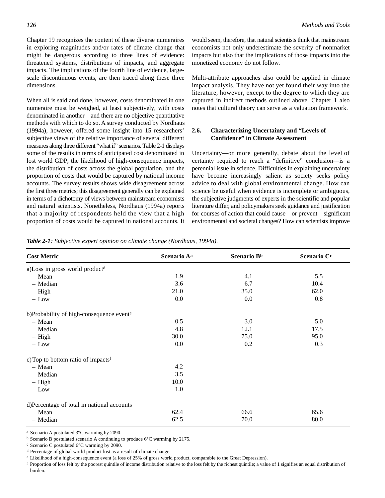Chapter 19 recognizes the content of these diverse numeraires in exploring magnitudes and/or rates of climate change that might be dangerous according to three lines of evidence: threatened systems, distributions of impacts, and aggregate impacts. The implications of the fourth line of evidence, largescale discontinuous events, are then traced along these three dimensions.

When all is said and done, however, costs denominated in one numeraire must be weighed, at least subjectively, with costs denominated in another—and there are no objective quantitative methods with which to do so. A survey conducted by Nordhaus (1994a), however, offered some insight into 15 researchers' subjective views of the relative importance of several different measures along three different "what if" scenarios. Table 2-1 displays some of the results in terms of anticipated cost denominated in lost world GDP, the likelihood of high-consequence impacts, the distribution of costs across the global population, and the proportion of costs that would be captured by national income accounts. The survey results shows wide disagreement across the first three metrics; this disagreement generally can be explained in terms of a dichotomy of views between mainstream economists and natural scientists. Nonetheless, Nordhaus (1994a) reports that a majority of respondents held the view that a high proportion of costs would be captured in national accounts. It would seem, therefore, that natural scientists think that mainstream economists not only underestimate the severity of nonmarket impacts but also that the implications of those impacts into the monetized economy do not follow.

Multi-attribute approaches also could be applied in climate impact analysis. They have not yet found their way into the literature, however, except to the degree to which they are captured in indirect methods outlined above. Chapter 1 also notes that cultural theory can serve as a valuation framework.

## **2.6. Characterizing Uncertainty and "Levels of Confidence" in Climate Assessment**

Uncertainty—or, more generally, debate about the level of certainty required to reach a "definitive" conclusion—is a perennial issue in science. Difficulties in explaining uncertainty have become increasingly salient as society seeks policy advice to deal with global environmental change. How can science be useful when evidence is incomplete or ambiguous, the subjective judgments of experts in the scientific and popular literature differ, and policymakers seek guidance and justification for courses of action that could cause—or prevent—significant environmental and societal changes? How can scientists improve

*Table 2-1: Subjective expert opinion on climate change (Nordhaus, 1994a).*

| <b>Cost Metric</b>                             | Scenario A <sup>a</sup> | Scenario B <sup>b</sup> | Scenario C <sup>c</sup> |
|------------------------------------------------|-------------------------|-------------------------|-------------------------|
| a)Loss in gross world productd                 |                         |                         |                         |
| - Mean                                         | 1.9                     | 4.1                     | 5.5                     |
| - Median                                       | 3.6                     | 6.7                     | 10.4                    |
| $-$ High                                       | 21.0                    | 35.0                    | 62.0                    |
| $-$ Low                                        | 0.0                     | 0.0                     | 0.8                     |
| b)Probability of high-consequence evente       |                         |                         |                         |
| - Mean                                         | 0.5                     | 3.0                     | 5.0                     |
| - Median                                       | 4.8                     | 12.1                    | 17.5                    |
| $-$ High                                       | 30.0                    | 75.0                    | 95.0                    |
| $-$ Low                                        | 0.0                     | 0.2                     | 0.3                     |
| c) Top to bottom ratio of impacts <sup>f</sup> |                         |                         |                         |
| $-$ Mean                                       | 4.2                     |                         |                         |
| - Median                                       | 3.5                     |                         |                         |
| $-$ High                                       | 10.0                    |                         |                         |
| $-$ Low                                        | 1.0                     |                         |                         |
| d)Percentage of total in national accounts     |                         |                         |                         |
| - Mean                                         | 62.4                    | 66.6                    | 65.6                    |
| - Median                                       | 62.5                    | 70.0                    | 80.0                    |

a Scenario A postulated 3°C warming by 2090.

b Scenario B postulated scenario A continuing to produce 6°C warming by 2175.

c Scenario C postulated 6°C warming by 2090.

d Percentage of global world product lost as a result of climate change.

e Likelihood of a high-consequence event (a loss of 25% of gross world product, comparable to the Great Depression).

f Proportion of loss felt by the poorest quintile of income distribution relative to the loss felt by the richest quintile; a value of 1 signifies an equal distribution of burden.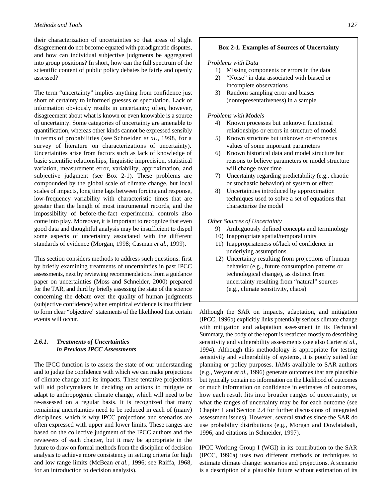their characterization of uncertainties so that areas of slight disagreement do not become equated with paradigmatic disputes, and how can individual subjective judgments be aggregated into group positions? In short, how can the full spectrum of the scientific content of public policy debates be fairly and openly assessed?

The term "uncertainty" implies anything from confidence just short of certainty to informed guesses or speculation. Lack of information obviously results in uncertainty; often, however, disagreement about what is known or even knowable is a source of uncertainty. Some categories of uncertainty are amenable to quantification, whereas other kinds cannot be expressed sensibly in terms of probabilities (see Schneider *et al.*, 1998, for a survey of literature on characterizations of uncertainty). Uncertainties arise from factors such as lack of knowledge of basic scientific relationships, linguistic imprecision, statistical variation, measurement error, variability, approximation, and subjective judgment (see Box 2-1). These problems are compounded by the global scale of climate change, but local scales of impacts, long time lags between forcing and response, low-frequency variability with characteristic times that are greater than the length of most instrumental records, and the impossibility of before-the-fact experimental controls also come into play. Moreover, it is important to recognize that even good data and thoughtful analysis may be insufficient to dispel some aspects of uncertainty associated with the different standards of evidence (Morgan, 1998; Casman *et al.*, 1999).

This section considers methods to address such questions: first by briefly examining treatments of uncertainties in past IPCC assessments, next by reviewing recommendations from a guidance paper on uncertainties (Moss and Schneider, 2000) prepared for the TAR, and third by briefly assessing the state of the science concerning the debate over the quality of human judgments (subjective confidence) when empirical evidence is insufficient to form clear "objective" statements of the likelihood that certain events will occur.

## *2.6.1. Treatments of Uncertainties in Previous IPCC Assessments*

The IPCC function is to assess the state of our understanding and to judge the confidence with which we can make projections of climate change and its impacts. These tentative projections will aid policymakers in deciding on actions to mitigate or adapt to anthropogenic climate change, which will need to be re-assessed on a regular basis. It is recognized that many remaining uncertainties need to be reduced in each of (many) disciplines, which is why IPCC projections and scenarios are often expressed with upper and lower limits. These ranges are based on the collective judgment of the IPCC authors and the reviewers of each chapter, but it may be appropriate in the future to draw on formal methods from the discipline of decision analysis to achieve more consistency in setting criteria for high and low range limits (McBean *et al.*, 1996; see Raiffa, 1968, for an introduction to decision analysis).

#### **Box 2-1. Examples of Sources of Uncertainty**

## *Problems with Data*

- 1) Missing components or errors in the data
- 2) "Noise" in data associated with biased or incomplete observations
- 3) Random sampling error and biases (nonrepresentativeness) in a sample

#### *Problems with Models*

- 4) Known processes but unknown functional relationships or errors in structure of model
- 5) Known structure but unknown or erroneous values of some important parameters
- 6) Known historical data and model structure but reasons to believe parameters or model structure will change over time
- 7) Uncertainty regarding predictability (e.g., chaotic or stochastic behavior) of system or effect
- 8) Uncertainties introduced by approximation techniques used to solve a set of equations that characterize the model

#### *Other Sources of Uncertainty*

- 9) Ambiguously defined concepts and terminology
- 10) Inappropriate spatial/temporal units
- 11) Inappropriateness of/lack of confidence in underlying assumptions
- 12) Uncertainty resulting from projections of human behavior (e.g., future consumption patterns or technological change), as distinct from uncertainty resulting from "natural" sources (e.g., climate sensitivity, chaos)

Although the SAR on impacts, adaptation, and mitigation (IPCC, 1996b) explicitly links potentially serious climate change with mitigation and adaptation assessment in its Technical Summary, the body of the report is restricted mostly to describing sensitivity and vulnerability assessments (see also Carter *et al*., 1994). Although this methodology is appropriate for testing sensitivity and vulnerability of systems, it is poorly suited for planning or policy purposes. IAMs available to SAR authors (e.g., Weyant *et al.*, 1996) generate outcomes that are plausible but typically contain no information on the likelihood of outcomes or much information on confidence in estimates of outcomes, how each result fits into broader ranges of uncertainty, or what the ranges of uncertainty may be for each outcome (see Chapter 1 and Section 2.4 for further discussions of integrated assessment issues). However, several studies since the SAR do use probability distributions (e.g., Morgan and Dowlatabadi, 1996, and citations in Schneider, 1997).

IPCC Working Group I (WGI) in its contribution to the SAR (IPCC, 1996a) uses two different methods or techniques to estimate climate change: scenarios and projections. A scenario is a description of a plausible future without estimation of its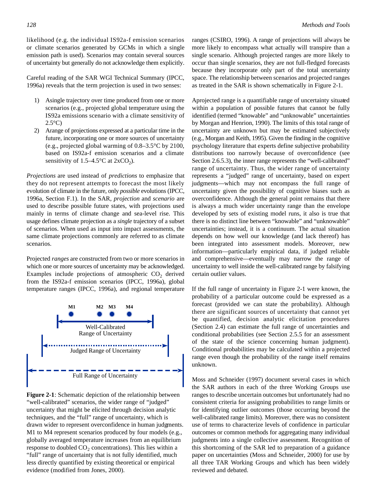likelihood (e.g. the individual IS92a-f emission scenarios or climate scenarios generated by GCMs in which a single emission path is used). Scenarios may contain several sources of uncertainty but generally do not acknowledge them explicitly.

Careful reading of the SAR WGI Technical Summary (IPCC, 1996a) reveals that the term projection is used in two senses:

- 1) Asingle trajectory over time produced from one or more scenarios (e.g., projected global temperature using the IS92a emissions scenario with a climate sensitivity of  $2.5^{\circ}$ C)
- 2 ) Arange of projections expressed at a particular time in the future, incorporating one or more sources of uncertainty (e.g., projected global warming of 0.8–3.5°C by 2100, based on IS92a-f emission scenarios and a climate sensitivity of  $1.5-4.5$ °C at  $2xCO_2$ ).

*Projections* are used instead of *predictions* to emphasize that they do not represent attempts to forecast the most likely evolution of climate in the future, only *possible* evolutions (IPCC, 1996a, Section F.1). In the SAR, *projection* and *scenario* are used to describe possible future states, with projections used mainly in terms of climate change and sea-level rise. This usage defines climate projection as a *single* trajectory of a subset of scenarios. When used as input into impact assessments, the same climate projections commonly are referred to as climate scenarios.

Projected *ranges* are constructed from two or more scenarios in which one or more sources of uncertainty may be acknowledged. Examples include projections of atmospheric  $CO<sub>2</sub>$  derived from the IS92a-f emission scenarios (IPCC, 1996a), global temperature ranges (IPCC, 1996a), and regional temperature



**Figure 2-1**: Schematic depiction of the relationship between "well-calibrated" scenarios, the wider range of "judged" uncertainty that might be elicited through decision analytic techniques, and the "full" range of uncertainty, which is drawn wider to represent overconfidence in human judgments. M1 to M4 represent scenarios produced by four models (e.g., globally averaged temperature increases from an equilibrium response to doubled  $CO_2$  concentrations). This lies within a "full" range of uncertainty that is not fully identified, much less directly quantified by existing theoretical or empirical evidence (modified from Jones, 2000).

ranges (CSIRO, 1996). A range of projections will always be more likely to encompass what actually will transpire than a single scenario. Although projected ranges are more likely to occur than single scenarios, they are not full-fledged forecasts because they incorporate only part of the total uncertainty space. The relationship between scenarios and projected ranges as treated in the SAR is shown schematically in Figure 2-1.

Aprojected range is a quantifiable range of uncertainty situated within a population of possible futures that cannot be fully identified (termed "knowable" and "unknowable" uncertainties by Morgan and Henrion, 1990). The limits of this total range of uncertainty are unknown but may be estimated subjectively (e.g., Morgan and Keith, 1995). Given the finding in the cognitive psychology literature that experts define subjective probability distributions too narrowly because of overconfidence (see Section 2.6.5.3), the inner range represents the "well-calibrated" range of uncertainty. Thus, the wider range of uncertainty represents a "judged" range of uncertainty, based on expert judgments—which may not encompass the full range of uncertainty given the possibility of cognitive biases such as overconfidence. Although the general point remains that there is always a much wider uncertainty range than the envelope developed by sets of existing model runs, it also is true that there is no distinct line between "knowable" and "unknowable" uncertainties; instead, it is a continuum. The actual situation depends on how well our knowledge (and lack thereof) has been integrated into assessment models. Moreover, new information—particularly empirical data, if judged reliable and comprehensive—eventually may narrow the range of uncertainty to well inside the well-calibrated range by falsifying certain outlier values.

If the full range of uncertainty in Figure 2-1 were known, the probability of a particular outcome could be expressed as a forecast (provided we can state the probability). Although there are significant sources of uncertainty that cannot yet be quantified, decision analytic elicitation procedures (Section 2.4) can estimate the full range of uncertainties and conditional probabilities (see Section 2.5.5 for an assessment of the state of the science concerning human judgment). Conditional probabilities may be calculated within a projected range even though the probability of the range itself remains unknown.

Moss and Schneider (1997) document several cases in which the SAR authors in each of the three Working Groups use ranges to describe uncertain outcomes but unfortunately had no consistent criteria for assigning probabilities to range limits or for identifying outlier outcomes (those occurring beyond the well-calibrated range limits). Moreover, there was no consistent use of terms to characterize levels of confidence in particular outcomes or common methods for aggregating many individual judgments into a single collective assessment. Recognition of this shortcoming of the SAR led to preparation of a guidance paper on uncertainties (Moss and Schneider, 2000) for use by all three TAR Working Groups and which has been widely reviewed and debated.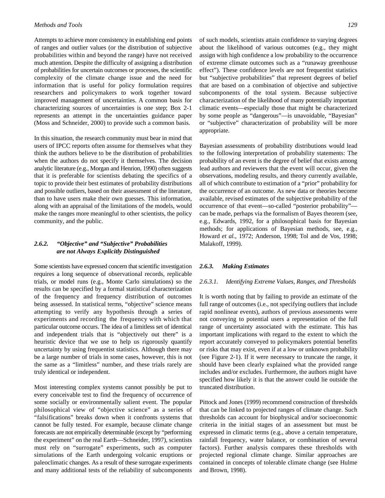Attempts to achieve more consistency in establishing end points of ranges and outlier values (or the distribution of subjective probabilities within and beyond the range) have not received much attention. Despite the difficulty of assigning a distribution of probabilities for uncertain outcomes or processes, the scientific complexity of the climate change issue and the need for information that is useful for policy formulation requires researchers and policymakers to work together toward improved management of uncertainties. A common basis for characterizing sources of uncertainties is one step; Box 2-1 represents an attempt in the uncertainties guidance paper (Moss and Schneider, 2000) to provide such a common basis.

In this situation, the research community must bear in mind that users of IPCC reports often assume for themselves what they think the authors believe to be the distribution of probabilities when the authors do not specify it themselves. The decision analytic literature (e.g., Morgan and Henrion, 1990) often suggests that it is preferable for scientists debating the specifics of a topic to provide their best estimates of probability distributions and possible outliers, based on their assessment of the literature, than to have users make their own guesses. This information, along with an appraisal of the limitations of the models, would make the ranges more meaningful to other scientists, the policy community, and the public.

## *2.6.2. "Objective" and "Subjective" Probabilities are not Always Explicitly Distinguished*

Some scientists have expressed concern that scientific investigation requires a long sequence of observational records, replicable trials, or model runs (e.g., Monte Carlo simulations) so the results can be specified by a formal statistical characterization of the frequency and frequency distribution of outcomes being assessed. In statistical terms, "objective" science means attempting to verify any hypothesis through a series of experiments and recording the frequency with which that particular outcome occurs. The idea of a limitless set of identical and independent trials that is "objectively out there" is a heuristic device that we use to help us rigorously quantify uncertainty by using frequentist statistics. Although there may be a large number of trials in some cases, however, this is not the same as a "limitless" number, and these trials rarely are truly identical or independent.

Most interesting complex systems cannot possibly be put to every conceivable test to find the frequency of occurrence of some socially or environmentally salient event. The popular philosophical view of "objective science" as a series of "falsifications" breaks down when it confronts systems that cannot be fully tested. For example, because climate change forecasts are not empirically determinable (except by "performing the experiment" on the real Earth—Schneider, 1997), scientists must rely on "surrogate" experiments, such as computer simulations of the Earth undergoing volcanic eruptions or paleoclimatic changes. As a result of these surrogate experiments and many additional tests of the reliability of subcomponents

of such models, scientists attain confidence to varying degrees about the likelihood of various outcomes (e.g., they might assign with high confidence a low probability to the occurrence of extreme climate outcomes such as a "runaway greenhouse effect"). These confidence levels are not frequentist statistics but "subjective probabilities" that represent degrees of belief that are based on a combination of objective and subjective subcomponents of the total system. Because subjective characterization of the likelihood of many potentially important climatic events—especially those that might be characterized by some people as "dangerous"—is unavoidable, "Bayesian" or "subjective" characterization of probability will be more appropriate.

Bayesian assessments of probability distributions would lead to the following interpretation of probability statements: The probability of an event is the degree of belief that exists among lead authors and reviewers that the event will occur, given the observations, modeling results, and theory currently available, all of which contribute to estimation of a "prior" probability for the occurrence of an outcome. As new data or theories become available, revised estimates of the subjective probability of the occurrence of that event—so-called "posterior probability" can be made, perhaps via the formalism of Bayes theorem (see, e.g., Edwards, 1992, for a philosophical basis for Bayesian methods; for applications of Bayesian methods, see, e.g., Howard *et al.*, 1972; Anderson, 1998; Tol and de Vos, 1998; Malakoff, 1999).

#### *2.6.3. Making Estimates*

#### *2.6.3.1. Identifying Extreme Values, Ranges, and Thresholds*

It is worth noting that by failing to provide an estimate of the full range of outcomes (i.e., not specifying outliers that include rapid nonlinear events), authors of previous assessments were not conveying to potential users a representation of the full range of uncertainty associated with the estimate. This has important implications with regard to the extent to which the report accurately conveyed to policymakers potential benefits or risks that may exist, even if at a low or unknown probability (see Figure 2-1). If it were necessary to truncate the range, it should have been clearly explained what the provided range includes and/or excludes. Furthermore, the authors might have specified how likely it is that the answer could lie outside the truncated distribution.

Pittock and Jones (1999) recommend construction of thresholds that can be linked to projected ranges of climate change. Such thresholds can account for biophysical and/or socioeconomic criteria in the initial stages of an assessment but must be expressed in climatic terms (e.g., above a certain temperature, rainfall frequency, water balance, or combination of several factors). Further analysis compares these thresholds with projected regional climate change. Similar approaches are contained in concepts of tolerable climate change (see Hulme and Brown, 1998).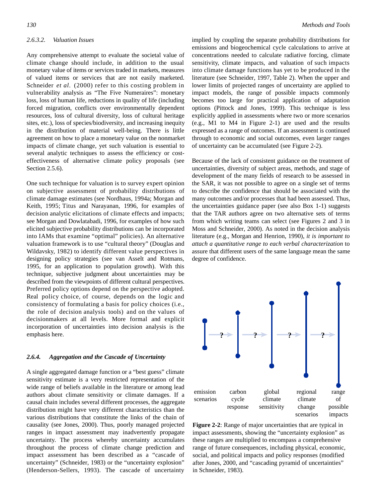#### *2.6.3.2. Valuation Issues*

Any comprehensive attempt to evaluate the societal value of climate change should include, in addition to the usual monetary value of items or services traded in markets, measures of valued items or services that are not easily marketed. Schneider *et al.* (2000) refer to this costing problem in vulnerability analysis as "The Five Numeraires": monetary loss, loss of human life, reductions in quality of life (including forced migration, conflicts over environmentally dependent resources, loss of cultural diversity, loss of cultural heritage sites, etc.), loss of species/biodiversity, and increasing inequity in the distribution of material well-being. There is little agreement on how to place a monetary value on the nonmarket impacts of climate change, yet such valuation is essential to several analytic techniques to assess the efficiency or coste ffectiveness of alternative climate policy proposals (see Section 2.5.6).

One such technique for valuation is to survey expert opinion on subjective assessment of probability distributions of climate damage estimates (see Nordhaus, 1994a; Morgan and Keith, 1995; Titus and Narayanan, 1996, for examples of decision analytic elicitations of climate effects and impacts; see Morgan and Dowlatabadi, 1996, for examples of how such elicited subjective probability distributions can be incorporated into IAMs that examine "optimal" policies). An alternative valuation framework is to use "cultural theory" (Douglas and Wildavsky, 1982) to identify different value perspectives in designing policy strategies (see van Asselt and Rotmans, 1995, for an application to population growth). With this technique, subjective judgment about uncertainties may be described from the viewpoints of different cultural perspectives. Preferred policy options depend on the perspective adopted. Real policy choice, of course, depends on the logic and consistency of formulating a basis for policy choices (i.e., the role of decision analysis tools) and on the values of decisionmakers at all levels. More formal and explicit incorporation of uncertainties into decision analysis is the emphasis here.

#### *2.6.4. Aggregation and the Cascade of Uncertainty*

A single aggregated damage function or a "best guess" climate sensitivity estimate is a very restricted representation of the wide range of beliefs available in the literature or among lead authors about climate sensitivity or climate damages. If a causal chain includes several different processes, the aggregate distribution might have very different characteristics than the various distributions that constitute the links of the chain of causality (see Jones, 2000). Thus, poorly managed projected ranges in impact assessment may inadvertently propagate uncertainty. The process whereby uncertainty accumulates throughout the process of climate change prediction and impact assessment has been described as a "cascade of uncertainty" (Schneider, 1983) or the "uncertainty explosion" (Henderson-Sellers, 1993). The cascade of uncertainty

implied by coupling the separate probability distributions for emissions and biogeochemical cycle calculations to arrive at concentrations needed to calculate radiative forcing, climate sensitivity, climate impacts, and valuation of such impacts into climate damage functions has yet to be produced in the literature (see Schneider, 1997, Table 2). When the upper and lower limits of projected ranges of uncertainty are applied to impact models, the range of possible impacts commonly becomes too large for practical application of adaptation options (Pittock and Jones, 1999). This technique is less explicitly applied in assessments where two or more scenarios (e.g., M1 to M4 in Figure 2-1) are used and the results expressed as a range of outcomes. If an assessment is continued through to economic and social outcomes, even larger ranges of uncertainty can be accumulated (see Figure 2-2).

Because of the lack of consistent guidance on the treatment of uncertainties, diversity of subject areas, methods, and stage of development of the many fields of research to be assessed in the SAR, it was not possible to agree on a single set of terms to describe the confidence that should be associated with the many outcomes and/or processes that had been assessed. Thus, the uncertainties guidance paper (see also Box 1-1) suggests that the TAR authors agree on two alternative sets of terms from which writing teams can select (see Figures 2 and 3 in Moss and Schneider, 2000). As noted in the decision analysis literature (e.g., Morgan and Henrion, 1990), *it is important to attach a quantitative range to each verbal characterization* to assure that different users of the same language mean the same degree of confidence.



**Figure 2-2**: Range of major uncertainties that are typical in impact assessments, showing the "uncertainty explosion" as these ranges are multiplied to encompass a comprehensive range of future consequences, including physical, economic, social, and political impacts and policy responses (modified after Jones, 2000, and "cascading pyramid of uncertainties" in Schneider, 1983).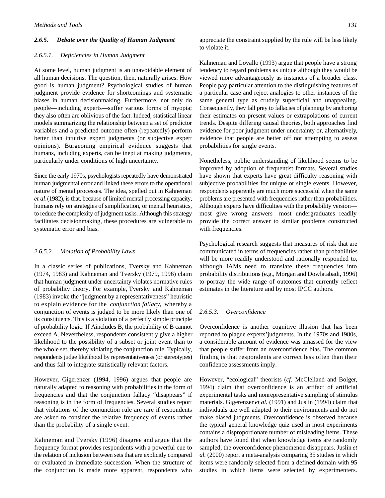### *2.6.5. Debate over the Quality of Human Judgment*

#### *2.6.5.1. Deficiencies in Human Judgment*

At some level, human judgment is an unavoidable element of all human decisions. The question, then, naturally arises: How good is human judgment? Psychological studies of human judgment provide evidence for shortcomings and systematic biases in human decisionmaking. Furthermore, not only do people—including experts—suffer various forms of myopia; they also often are oblivious of the fact. Indeed, statistical linear models summarizing the relationship between a set of predictor variables and a predicted outcome often (repeatedly) perform better than intuitive expert judgments (or subjective expert opinions). Burgeoning empirical evidence suggests that humans, including experts, can be inept at making judgments, particularly under conditions of high uncertainty.

Since the early 1970s, psychologists repeatedly have demonstrated human judgmental error and linked these errors to the operational nature of mental processes. The idea, spelled out in Kahneman *et al*. (1982), is that, because of limited mental processing capacity, humans rely on strategies of simplification, or mental heuristics, to reduce the complexity of judgment tasks. Although this strategy facilitates decisionmaking, these procedures are vulnerable to systematic error and bias.

#### *2.6.5.2. Violation of Probability Laws*

In a classic series of publications, Tversky and Kahneman (1974, 1983) and Kahneman and Tversky (1979, 1996) claim that human judgment under uncertainty violates normative rules of probability theory. For example, Tversky and Kahneman (1983) invoke the "judgment by a representativeness" heuristic to explain evidence for the *conjunction fallacy,* whereby a conjunction of events is judged to be more likely than one of its constituents. This is a violation of a perfectly simple principle of probability logic: If Aincludes B, the probability of B cannot exceed A. Nevertheless, respondents consistently give a higher likelihood to the possibility of a subset or joint event than to the whole set, thereby violating the conjunction rule. Typically, respondents judge likelihood by representativeness (or stereotypes) and thus fail to integrate statistically relevant factors.

However, Gigerenzer (1994, 1996) argues that people are naturally adapted to reasoning with probabilities in the form of frequencies and that the conjunction fallacy "disappears" if reasoning is in the form of frequencies. Several studies report that violations of the conjunction rule are rare if respondents are asked to consider the relative frequency of events rather than the probability of a single event.

Kahneman and Tversky (1996) disagree and argue that the frequency format provides respondents with a powerful cue to the relation of inclusion between sets that are explicitly compared or evaluated in immediate succession. When the structure of the conjunction is made more apparent, respondents who appreciate the constraint supplied by the rule will be less likely to violate it.

Kahneman and Lovallo (1993) argue that people have a strong tendency to regard problems as unique although they would be viewed more advantageously as instances of a broader class. People pay particular attention to the distinguishing features of a particular case and reject analogies to other instances of the same general type as crudely superficial and unappealing. Consequently, they fall prey to fallacies of planning by anchoring their estimates on present values or extrapolations of current trends. Despite differing causal theories, both approaches find evidence for poor judgment under uncertainty or, alternatively, evidence that people are better off not attempting to assess probabilities for single events.

Nonetheless, public understanding of likelihood seems to be improved by adoption of frequentist formats. Several studies have shown that experts have great difficulty reasoning with subjective probabilities for unique or single events. However, respondents apparently are much more successful when the same problems are presented with frequencies rather than probabilities. Although experts have difficulties with the probability version most give wrong answers—most undergraduates readily provide the correct answer to similar problems constructed with frequencies.

Psychological research suggests that measures of risk that are communicated in terms of frequencies rather than probabilities will be more readily understood and rationally responded to, although IAMs need to translate these frequencies into probability distributions (e.g., Morgan and Dowlatabadi, 1996) to portray the wide range of outcomes that currently reflect estimates in the literature and by most IPCC authors.

#### *2.6.5.3. Overconfidence*

Overconfidence is another cognitive illusion that has been reported to plague experts'judgments. In the 1970s and 1980s, a considerable amount of evidence was amassed for the view that people suffer from an overconfidence bias. The common finding is that respondents are correct less often than their confidence assessments imply.

However, "ecological" theorists (*cf.* McClelland and Bolger, 1994) claim that overconfidence is an artifact of artificial experimental tasks and nonrepresentative sampling of stimulus materials. Gigerenzer *et al.* (1991) and Juslin (1994) claim that individuals are well adapted to their environments and do not make biased judgments. Overconfidence is observed because the typical general knowledge quiz used in most experiments contains a disproportionate number of misleading items. These authors have found that when knowledge items are randomly sampled, the overconfidence phenomenon disappears. Juslin *et al.* (2000) report a meta-analysis comparing 35 studies in which items were randomly selected from a defined domain with 95 studies in which items were selected by experimenters.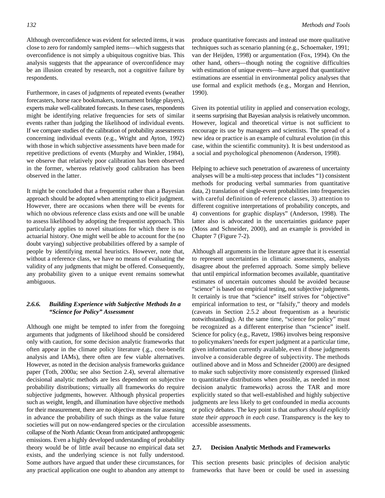Although overconfidence was evident for selected items, it was close to zero for randomly sampled items—which suggests that overconfidence is not simply a ubiquitous cognitive bias. This analysis suggests that the appearance of overconfidence may be an illusion created by research, not a cognitive failure by respondents.

Furthermore, in cases of judgments of repeated events (weather forecasters, horse race bookmakers, tournament bridge players), experts make well-calibrated forecasts. In these cases, respondents might be identifying relative frequencies for sets of similar events rather than judging the likelihood of individual events. If we compare studies of the calibration of probability assessments concerning individual events (e.g., Wright and Ayton, 1992) with those in which subjective assessments have been made for repetitive predictions of events (Murphy and Winkler, 1984), we observe that relatively poor calibration has been observed in the former, whereas relatively good calibration has been observed in the latter.

It might be concluded that a frequentist rather than a Bayesian approach should be adopted when attempting to elicit judgment. However, there are occasions when there will be events for which no obvious reference class exists and one will be unable to assess likelihood by adopting the frequentist approach. This particularly applies to novel situations for which there is no actuarial history. One might well be able to account for the (no doubt varying) subjective probabilities offered by a sample of people by identifying mental heuristics. However, note that, without a reference class, we have no means of evaluating the validity of any judgments that might be offered. Consequently, any probability given to a unique event remains somewhat ambiguous.

## *2.6.6. Building Experience with Subjective Methods In a "Science for Policy" Assessment*

Although one might be tempted to infer from the foregoing arguments that judgments of likelihood should be considered only with caution, for some decision analytic frameworks that often appear in the climate policy literature (.g., cost-benefit analysis and IAMs), there often are few viable alternatives. However, as noted in the decision analysis frameworks guidance paper (Toth, 2000a; see also Section 2.4), several alternative decisional analytic methods are less dependent on subjective probability distributions; virtually all frameworks do require subjective judgments, however. Although physical properties such as weight, length, and illumination have objective methods for their measurement, there are no objective means for assessing in advance the probability of such things as the value future societies will put on now-endangered species or the circulation collapse of the North Atlantic Ocean from anticipated anthropogenic emissions. Even a highly developed understanding of probability theory would be of little avail because no empirical data set exists, and the underlying science is not fully understood. Some authors have argued that under these circumstances, for any practical application one ought to abandon any attempt to produce quantitative forecasts and instead use more qualitative techniques such as scenario planning (e.g., Schoemaker, 1991; van der Heijden, 1998) or argumentation (Fox, 1994). On the other hand, others—though noting the cognitive difficulties with estimation of unique events—have argued that quantitative estimations are essential in environmental policy analyses that use formal and explicit methods (e.g., Morgan and Henrion, 1990).

Given its potential utility in applied and conservation ecology, it seems surprising that Bayesian analysis is relatively uncommon. However, logical and theoretical virtue is not sufficient to encourage its use by managers and scientists. The spread of a new idea or practice is an example of cultural evolution (in this case, within the scientific community). It is best understood as a social and psychological phenomenon (Anderson, 1998).

Helping to achieve such penetration of awareness of uncertainty analyses will be a multi-step process that includes "1) consistent methods for producing verbal summaries from quantitative data, 2) translation of single-event probabilities into frequencies with careful definition of reference classes, 3) attention to different cognitive interpretations of probability concepts, and 4) conventions for graphic displays" (Anderson, 1998). The latter also is advocated in the uncertainties guidance paper (Moss and Schneider, 2000), and an example is provided in Chapter 7 (Figure 7-2).

Although all arguments in the literature agree that it is essential to represent uncertainties in climatic assessments, analysts disagree about the preferred approach. Some simply believe that until empirical information becomes available, quantitative estimates of uncertain outcomes should be avoided because "science" is based on empirical testing, not subjective judgments. It certainly is true that "science" itself strives for "objective" empirical information to test, or "falsify," theory and models (caveats in Section 2.5.2 about frequentism as a heuristic notwithstanding). At the same time, "science for policy" must be recognized as a different enterprise than "science" itself. Science for policy (e.g., Ravetz, 1986) involves being responsive to policymakers'needs for expert judgment at a particular time, given information currently available, even if those judgments involve a considerable degree of subjectivity. The methods outlined above and in Moss and Schneider (2000) are designed to make such subjectivity more consistently expressed (linked to quantitative distributions when possible, as needed in most decision analytic frameworks) across the TAR and more explicitly stated so that well-established and highly subjective judgments are less likely to get confounded in media accounts or policy debates. The key point is that *authors should explicitly state their approach in each case*. Transparency is the key to accessible assessments.

#### **2.7. Decision Analytic Methods and Frameworks**

This section presents basic principles of decision analytic frameworks that have been or could be used in assessing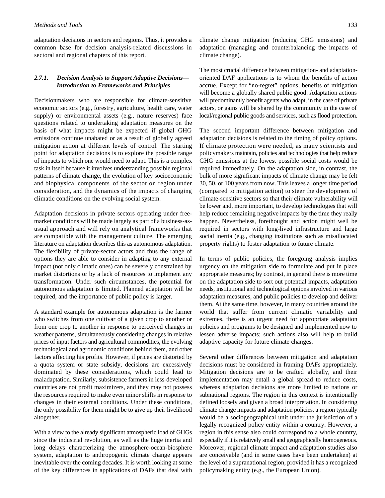adaptation decisions in sectors and regions. Thus, it provides a common base for decision analysis-related discussions in sectoral and regional chapters of this report.

## *2.7.1. Decision Analysis to Support Adaptive Decisions— Introduction to Frameworks and Principles*

Decisionmakers who are responsible for climate-sensitive economic sectors (e.g., forestry, agriculture, health care, water supply) or environmental assets (e.g., nature reserves) face questions related to undertaking adaptation measures on the basis of what impacts might be expected if global GHG emissions continue unabated or as a result of globally agreed mitigation action at different levels of control. The starting point for adaptation decisions is to explore the possible range of impacts to which one would need to adapt. This is a complex task in itself because it involves understanding possible regional patterns of climate change, the evolution of key socioeconomic and biophysical components of the sector or region under consideration, and the dynamics of the impacts of changing climatic conditions on the evolving social system.

Adaptation decisions in private sectors operating under freemarket conditions will be made largely as part of a business-asusual approach and will rely on analytical frameworks that are compatible with the management culture. The emerging literature on adaptation describes this as autonomous adaptation. The flexibility of private-sector actors and thus the range of options they are able to consider in adapting to any external impact (not only climatic ones) can be severely constrained by market distortions or by a lack of resources to implement any transformation. Under such circumstances, the potential for autonomous adaptation is limited. Planned adaptation will be required, and the importance of public policy is larger.

A standard example for autonomous adaptation is the farmer who switches from one cultivar of a given crop to another or from one crop to another in response to perceived changes in weather patterns, simultaneously considering changes in relative prices of input factors and agricultural commodities, the evolving technological and agronomic conditions behind them, and other factors affecting his profits. However, if prices are distorted by a quota system or state subsidy, decisions are excessively dominated by these considerations, which could lead to maladaptation. Similarly, subsistence farmers in less-developed countries are not profit maximizers, and they may not possess the resources required to make even minor shifts in response to changes in their external conditions. Under these conditions, the only possibility for them might be to give up their livelihood altogether.

With a view to the already significant atmospheric load of GHGs since the industrial revolution, as well as the huge inertia and long delays characterizing the atmosphere-ocean-biosphere system, adaptation to anthropogenic climate change appears inevitable over the coming decades. It is worth looking at some of the key differences in applications of DAFs that deal with climate change mitigation (reducing GHG emissions) and adaptation (managing and counterbalancing the impacts of climate change).

The most crucial difference between mitigation- and adaptationoriented DAF applications is to whom the benefits of action accrue. Except for "no-regret" options, benefits of mitigation will become a globally shared public good. Adaptation actions will predominantly benefit agents who adapt, in the case of private actors, or gains will be shared by the community in the case of local/regional public goods and services, such as flood protection.

The second important difference between mitigation and adaptation decisions is related to the timing of policy options. If climate protection were needed, as many scientists and policymakers maintain, policies and technologies that help reduce GHG emissions at the lowest possible social costs would be required immediately. On the adaptation side, in contrast, the bulk of more significant impacts of climate change may be felt 30, 50, or 100 years from now. This leaves a longer time period (compared to mitigation action) to steer the development of climate-sensitive sectors so that their climate vulnerability will be lower and, more important, to develop technologies that will help reduce remaining negative impacts by the time they really happen. Nevertheless, forethought and action might well be required in sectors with long-lived infrastructure and large social inertia (e.g., changing institutions such as misallocated property rights) to foster adaptation to future climate.

In terms of public policies, the foregoing analysis implies urgency on the mitigation side to formulate and put in place appropriate measures; by contrast, in general there is more time on the adaptation side to sort out potential impacts, adaptation needs, institutional and technological options involved in various adaptation measures, and public policies to develop and deliver them. At the same time, however, in many countries around the world that suffer from current climatic variability and extremes, there is an urgent need for appropriate adaptation policies and programs to be designed and implemented now to lessen adverse impacts; such actions also will help to build adaptive capacity for future climate changes.

Several other differences between mitigation and adaptation decisions must be considered in framing DAFs appropriately. Mitigation decisions are to be crafted globally, and their implementation may entail a global spread to reduce costs, whereas adaptation decisions are more limited to nations or subnational regions. The region in this context is intentionally defined loosely and given a broad interpretation. In considering climate change impacts and adaptation policies, a region typically would be a sociogeographical unit under the jurisdiction of a legally recognized policy entity within a country. However, a region in this sense also could correspond to a whole country, especially if it is relatively small and geographically homogeneous. Moreover, regional climate impact and adaptation studies also are conceivable (and in some cases have been undertaken) at the level of a supranational region, provided it has a recognized policymaking entity (e.g., the European Union).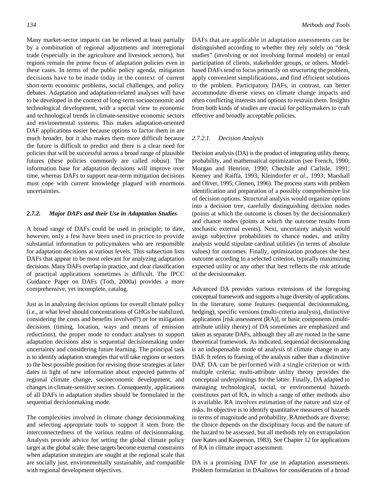Many market-sector impacts can be relieved at least partially by a combination of regional adjustments and interregional trade (especially in the agriculture and livestock sectors), but regions remain the prime focus of adaptation policies even in these cases. In terms of the public policy agenda, mitigation decisions have to be made today in the context of current short-term economic problems, social challenges, and policy debates. Adaptation and adaptation-related analyses will have to be developed in the context of long-term socioeconomic and technological development, with a special view to economic and technological trends in climate-sensitive economic sectors and environmental systems. This makes adaptation-oriented DAF applications easier because options to factor them in are much broader, but it also makes them more difficult because the future is difficult to predict and there is a clear need for policies that will be successful across a broad range of plausible futures (these policies commonly are called robust). The information base for adaptation decisions will improve over time, whereas DAFs to support near-term mitigation decisions must cope with current knowledge plagued with enormous uncertainties.

#### *2.7.2. Major DAFs and their Use in Adaptation Studies*

A broad range of DAFs could be used in principle; to date, however, only a few have been used in practice to provide substantial information to policymakers who are responsible for adaptation decisions at various levels. This subsection lists DAFs that appear to be most relevant for analyzing adaptation decisions. Many DAFs overlap in practice, and clear classification of practical applications sometimes is difficult. The IPCC Guidance Paper on DAFs (Toth, 2000a) provides a more comprehensive, yet incomplete, catalog.

Just as in analyzing decision options for overall climate policy (i.e., at what level should concentrations of GHGs be stabilized, considering the costs and benefits involved?) or for mitigation decisions (timing, location, ways and means of emission reductions), the proper mode to conduct analyses to support adaptation decisions also is sequential decisionmaking under uncertainty and considering future learning. The principal task is to identify adaptation strategies that will take regions or sectors to the best possible position for revising those strategies at later dates in light of new information about expected patterns of regional climate change, socioeconomic development, and changes in climate-sensitive sectors. Consequently, applications of all DAFs in adaptation studies should be formulated in the sequential decisionmaking mode.

The complexities involved in climate change decisionmaking and selecting appropriate tools to support it stem from the interconnectedness of the various realms of decisionmaking. Analysts provide advice for setting the global climate policy target at the global scale; these targets become external constraints when adaptation strategies are sought at the regional scale that are socially just, environmentally sustainable, and compatible with regional development objectives.

DAFs that are applicable in adaptation assessments can be distinguished according to whether they rely solely on "desk studies" (involving or not involving formal models) or entail participation of clients, stakeholder groups, or others. Modelbased DAFs tend to focus primarily on structuring the problem, apply convenient simplifications, and find efficient solutions to the problem. Participatory DAFs, in contrast, can better accommodate diverse views on climate change impacts and often conflicting interests and options to restrain them. Insights from both kinds of studies are crucial for policymakers to craft effective and broadly acceptable policies.

#### *2.7.2.1. Decision Analysis*

Decision analysis (DA) is the product of integrating utility theory, probability, and mathematical optimization (see French, 1990; Morgan and Henrion, 1990; Chechile and Carlisle, 1991; Keeney and Raiffa, 1993; Kleindorfer *et al*., 1993; Marshall and Oliver, 1995; Clemen, 1996). The process starts with problem identification and preparation of a possibly comprehensive list of decision options. Structural analysis would organize options into a decision tree, carefully distinguishing decision nodes (points at which the outcome is chosen by the decisionmaker) and chance nodes (points at which the outcome results from stochastic external events). Next, uncertainty analysis would assign subjective probabilities to chance nodes, and utility analysis would stipulate cardinal utilities (in terms of absolute values) for outcomes. Finally, optimization produces the best outcome according to a selected criterion, typically maximizing expected utility or any other that best reflects the risk attitude of the decisionmaker.

Advanced DA provides various extensions of the foregoing conceptual framework and supports a huge diversity of applications. In the literature, some features (sequential decisionmaking, hedging), specific versions (multi-criteria analysis), distinctive applications [risk assessment (RA)], or basic components (multiattribute utility theory) of DA sometimes are emphasized and taken as separate DAFs, although they all are rooted in the same theoretical framework. As indicated, sequential decisionmaking is an indispensable mode of analysis of climate change in any DAF. It refers to framing of the analysis rather than a distinctive DAF. DA can be performed with a single criterion or with multiple criteria; multi-attribute utility theory provides the conceptual underpinnings for the latter. Finally, DA adapted to managing technological, social, or environmental hazards constitutes part of RA, in which a range of other methods also is available. RA involves estimation of the nature and size of risks. Its objective is to identify quantitative measures of hazards in terms of magnitude and probability. RAmethods are diverse; the choice depends on the disciplinary focus and the nature of the hazard to be assessed, but all methods rely on extrapolation (see Kates and Kasperson, 1983). See Chapter 12 for applications of RA in climate impact assessment.

DA is a promising DAF for use in adaptation assessments. Problem formulation in DAallows for consideration of a broad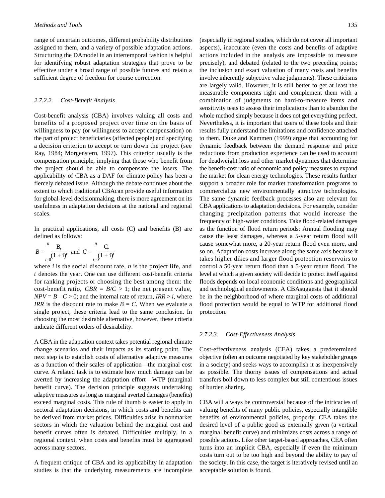range of uncertain outcomes, different probability distributions assigned to them, and a variety of possible adaptation actions. Structuring the DAmodel in an intertemporal fashion is helpful for identifying robust adaptation strategies that prove to be effective under a broad range of possible futures and retain a sufficient degree of freedom for course correction.

#### *2.7.2.2. Cost-Benefit Analysis*

Cost-benefit analysis (CBA) involves valuing all costs and benefits of a proposed project over time on the basis of willingness to pay (or willingness to accept compensation) on the part of project beneficiaries (affected people) and specifying a decision criterion to accept or turn down the project (see Ray, 1984; Morgenstern, 1997). This criterion usually is the compensation principle, implying that those who benefit from the project should be able to compensate the losers. The applicability of CBA as a DAF for climate policy has been a fiercely debated issue. Although the debate continues about the extent to which traditional CBAcan provide useful information for global-level decisionmaking, there is more agreement on its usefulness in adaptation decisions at the national and regional scales.

In practical applications, all costs (C) and benefits (B) are defined as follows:

$$
B = \frac{{}^{n} \mathbf{B}_{t}}{(1+i)^{t}} \text{ and } C = \frac{{}^{n} \mathbf{C}_{t}}{t-0} (1+i)^{t}
$$

where *i* is the social discount rate, *n* is the project life, and *t* denotes the year. One can use different cost-benefit criteria for ranking projects or choosing the best among them: the cost-benefit ratio,  $CBR = B/C > 1$ ; the net present value,  $NPV = B - C > 0$ ; and the internal rate of return,  $IRR > i$ , where *IRR* is the discount rate to make  $B = C$ . When we evaluate a single project, these criteria lead to the same conclusion. In choosing the most desirable alternative, however, these criteria indicate different orders of desirability.

A CBA in the adaptation context takes potential regional climate change scenarios and their impacts as its starting point. The next step is to establish costs of alternative adaptive measures as a function of their scales of application—the marginal cost curve. A related task is to estimate how much damage can be averted by increasing the adaptation effort—WTP (marginal benefit curve). The decision principle suggests undertaking adaptive measures as long as marginal averted damages (benefits) exceed marginal costs. This rule of thumb is easier to apply in sectoral adaptation decisions, in which costs and benefits can be derived from market prices. Difficulties arise in nonmarket sectors in which the valuation behind the marginal cost and benefit curves often is debated. Difficulties multiply, in a regional context, when costs and benefits must be aggregated across many sectors.

A frequent critique of CBA and its applicability in adaptation studies is that the underlying measurements are incomplete

(especially in regional studies, which do not cover all important aspects), inaccurate (even the costs and benefits of adaptive actions included in the analysis are impossible to measure precisely), and debated (related to the two preceding points; the inclusion and exact valuation of many costs and benefits involve inherently subjective value judgments). These criticisms are largely valid. However, it is still better to get at least the measurable components right and complement them with a combination of judgments on hard-to-measure items and sensitivity tests to assess their implications than to abandon the whole method simply because it does not get everything perfect. Nevertheless, it is important that users of these tools and their results fully understand the limitations and confidence attached to them. Duke and Kammen (1999) argue that accounting for dynamic feedback between the demand response and price reductions from production experience can be used to account for deadweight loss and other market dynamics that determine the benefit-cost ratio of economic and policy measures to expand the market for clean energy technologies. These results further support a broader role for market transformation programs to commercialize new environmentally attractive technologies. The same dynamic feedback processes also are relevant for CBA applications to adaptation decisions. For example, consider changing precipitation patterns that would increase the frequency of high-water conditions. Take flood-related damages as the function of flood return periods: Annual flooding may cause the least damages, whereas a 5-year return flood will cause somewhat more, a 20-year return flood even more, and so on. Adaptation costs increase along the same axis because it takes higher dikes and larger flood protection reservoirs to control a 50-year return flood than a 5-year return flood. The level at which a given society will decide to protect itself against floods depends on local economic conditions and geographical and technological endowments. A CBAsuggests that it should be in the neighborhood of where marginal costs of additional flood protection would be equal to WTP for additional flood protection.

#### *2.7.2.3. Cost-Effectiveness Analysis*

Cost-effectiveness analysis (CEA) takes a predetermined objective (often an outcome negotiated by key stakeholder groups in a society) and seeks ways to accomplish it as inexpensively as possible. The thorny issues of compensations and actual transfers boil down to less complex but still contentious issues of burden sharing.

CBA will always be controversial because of the intricacies of valuing benefits of many public policies, especially intangible benefits of environmental policies, properly. CEA takes the desired level of a public good as externally given (a vertical marginal benefit curve) and minimizes costs across a range of possible actions. Like other target-based approaches, CEA often turns into an implicit CBA, especially if even the minimum costs turn out to be too high and beyond the ability to pay of the society. In this case, the target is iteratively revised until an acceptable solution is found.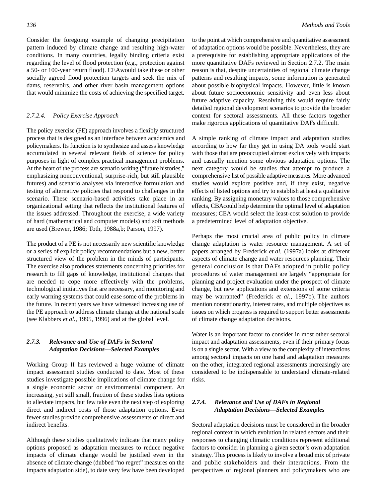Consider the foregoing example of changing precipitation pattern induced by climate change and resulting high-water conditions. In many countries, legally binding criteria exist regarding the level of flood protection (e.g., protection against a 50- or 100-year return flood). CEAwould take these or other socially agreed flood protection targets and seek the mix of dams, reservoirs, and other river basin management options that would minimize the costs of achieving the specified target.

#### *2.7.2.4. Policy Exercise Approach*

The policy exercise (PE) approach involves a flexibly structured process that is designed as an interface between academics and policymakers. Its function is to synthesize and assess knowledge accumulated in several relevant fields of science for policy purposes in light of complex practical management problems. At the heart of the process are scenario writing ("future histories," emphasizing nonconventional, surprise-rich, but still plausible futures) and scenario analyses via interactive formulation and testing of alternative policies that respond to challenges in the scenario. These scenario-based activities take place in an organizational setting that reflects the institutional features of the issues addressed. Throughout the exercise, a wide variety of hard (mathematical and computer models) and soft methods are used (Brewer, 1986; Toth, 1988a,b; Parson, 1997).

The product of a PE is not necessarily new scientific knowledge or a series of explicit policy recommendations but a new, better structured view of the problem in the minds of participants. The exercise also produces statements concerning priorities for research to fill gaps of knowledge, institutional changes that are needed to cope more effectively with the problems, technological initiatives that are necessary, and monitoring and early warning systems that could ease some of the problems in the future. In recent years we have witnessed increasing use of the PE approach to address climate change at the national scale (see Klabbers *et al.,* 1995, 1996) and at the global level.

## *2.7.3. Relevance and Use of DAFs in Sectoral Adaptation Decisions—Selected Examples*

Working Group II has reviewed a huge volume of climate impact assessment studies conducted to date. Most of these studies investigate possible implications of climate change for a single economic sector or environmental component. An increasing, yet still small, fraction of these studies lists options to alleviate impacts, but few take even the next step of exploring direct and indirect costs of those adaptation options. Even fewer studies provide comprehensive assessments of direct and indirect benefits.

Although these studies qualitatively indicate that many policy options proposed as adaptation measures to reduce negative impacts of climate change would be justified even in the absence of climate change (dubbed "no regret" measures on the impacts adaptation side), to date very few have been developed to the point at which comprehensive and quantitative assessment of adaptation options would be possible. Nevertheless, they are a prerequisite for establishing appropriate applications of the more quantitative DAFs reviewed in Section 2.7.2. The main reason is that, despite uncertainties of regional climate change patterns and resulting impacts, some information is generated about possible biophysical impacts. However, little is known about future socioeconomic sensitivity and even less about future adaptive capacity. Resolving this would require fairly detailed regional development scenarios to provide the broader context for sectoral assessments. All these factors together make rigorous applications of quantitative DAFs difficult.

A simple ranking of climate impact and adaptation studies according to how far they get in using DA tools would start with those that are preoccupied almost exclusively with impacts and casually mention some obvious adaptation options. The next category would be studies that attempt to produce a comprehensive list of possible adaptive measures. More advanced studies would explore positive and, if they exist, negative effects of listed options and try to establish at least a qualitative ranking. By assigning monetary values to those comprehensive e ffects, CBAcould help determine the optimal level of adaptation measures; CEA would select the least-cost solution to provide a predetermined level of adaptation objective.

Perhaps the most crucial area of public policy in climate change adaptation is water resource management. A set of papers arranged by Frederick *et al.* (1997a) looks at different aspects of climate change and water resources planning. Their general conclusion is that DAFs adopted in public policy procedures of water management are largely "appropriate for planning and project evaluation under the prospect of climate change, but new applications and extensions of some criteria may be warranted" (Frederick *et al.*, 1997b). The authors mention nonstationarity, interest rates, and multiple objectives as issues on which progress is required to support better assessments of climate change adaptation decisions.

Water is an important factor to consider in most other sectoral impact and adaptation assessments, even if their primary focus is on a single sector. With a view to the complexity of interactions among sectoral impacts on one hand and adaptation measures on the other, integrated regional assessments increasingly are considered to be indispensable to understand climate-related risks.

## *2.7.4. Relevance and Use of DAFs in Regional Adaptation Decisions—Selected Examples*

Sectoral adaptation decisions must be considered in the broader regional context in which evolution in related sectors and their responses to changing climatic conditions represent additional factors to consider in planning a given sector's own adaptation strategy. This process is likely to involve a broad mix of private and public stakeholders and their interactions. From the perspectives of regional planners and policymakers who are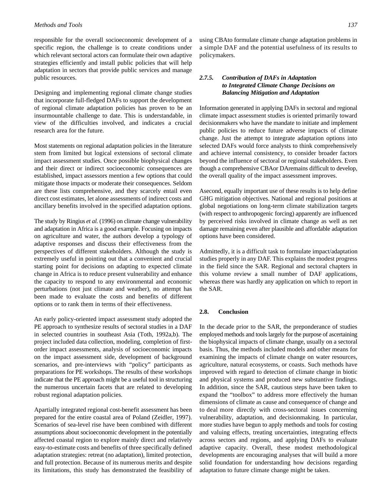responsible for the overall socioeconomic development of a specific region, the challenge is to create conditions under which relevant sectoral actors can formulate their own adaptive strategies efficiently and install public policies that will help adaptation in sectors that provide public services and manage public resources.

Designing and implementing regional climate change studies that incorporate full-fledged DAFs to support the development of regional climate adaptation policies has proven to be an insurmountable challenge to date. This is understandable, in view of the difficulties involved, and indicates a crucial research area for the future.

Most statements on regional adaptation policies in the literature stem from limited but logical extensions of sectoral climate impact assessment studies. Once possible biophysical changes and their direct or indirect socioeconomic consequences are established, impact assessors mention a few options that could mitigate those impacts or moderate their consequences. Seldom are these lists comprehensive, and they scarcely entail even direct cost estimates, let alone assessments of indirect costs and ancillary benefits involved in the specified adaptation options.

The study by Ringius *et al.* (1996) on climate change vulnerability and adaptation in Africa is a good example. Focusing on impacts on agriculture and water, the authors develop a typology of adaptive responses and discuss their effectiveness from the perspectives of different stakeholders. Although the study is extremely useful in pointing out that a convenient and crucial starting point for decisions on adapting to expected climate change in Africa is to reduce present vulnerability and enhance the capacity to respond to any environmental and economic perturbations (not just climate and weather), no attempt has been made to evaluate the costs and benefits of different options or to rank them in terms of their effectiveness.

An early policy-oriented impact assessment study adopted the PE approach to synthesize results of sectoral studies in a DAF in selected countries in southeast Asia (Toth, 1992a,b). The project included data collection, modeling, completion of firstorder impact assessments, analysis of socioeconomic impacts on the impact assessment side, development of background scenarios, and pre-interviews with "policy" participants as preparations for PE workshops. The results of these workshops indicate that the PE approach might be a useful tool in structuring the numerous uncertain facets that are related to developing robust regional adaptation policies.

Apartially integrated regional cost-benefit assessment has been prepared for the entire coastal area of Poland (Zeidler, 1997). Scenarios of sea-level rise have been combined with different assumptions about socioeconomic development in the potentially affected coastal region to explore mainly direct and relatively easy-to-estimate costs and benefits of three specifically defined adaptation strategies: retreat (no adaptation), limited protection, and full protection. Because of its numerous merits and despite its limitations, this study has demonstrated the feasibility of

using CBAto formulate climate change adaptation problems in a simple DAF and the potential usefulness of its results to policymakers.

## *2.7.5. Contribution of DAFs in Adaptation to Integrated Climate Change Decisions on Balancing Mitigation and Adaptation*

Information generated in applying DAFs in sectoral and regional climate impact assessment studies is oriented primarily toward decisionmakers who have the mandate to initiate and implement public policies to reduce future adverse impacts of climate change. Just the attempt to integrate adaptation options into selected DAFs would force analysts to think comprehensively and achieve internal consistency, to consider broader factors beyond the influence of sectoral or regional stakeholders. Even though a comprehensive CBAor DAremains difficult to develop, the overall quality of the impact assessment improves.

Asecond, equally important use of these results is to help define GHG mitigation objectives. National and regional positions at global negotiations on long-term climate stabilization targets (with respect to anthropogenic forcing) apparently are influenced by perceived risks involved in climate change as well as net damage remaining even after plausible and affordable adaptation options have been considered.

Admittedly, it is a difficult task to formulate impact/adaptation studies properly in any DAF. This explains the modest progress in the field since the SAR. Regional and sectoral chapters in this volume review a small number of DAF applications, whereas there was hardly any application on which to report in the SAR.

#### **2.8. Conclusion**

In the decade prior to the SAR, the preponderance of studies employed methods and tools largely for the purpose of ascertaining the biophysical impacts of climate change, usually on a sectoral basis. Thus, the methods included models and other means for examining the impacts of climate change on water resources, agriculture, natural ecosystems, or coasts. Such methods have improved with regard to detection of climate change in biotic and physical systems and produced new substantive findings. In addition, since the SAR, cautious steps have been taken to expand the "toolbox" to address more effectively the human dimensions of climate as cause and consequence of change and to deal more directly with cross-sectoral issues concerning vulnerability, adaptation, and decision making. In particular, more studies have begun to apply methods and tools for costing and valuing effects, treating uncertainties, integrating effects across sectors and regions, and applying DAFs to evaluate adaptive capacity. Overall, these modest methodological developments are encouraging analyses that will build a more solid foundation for understanding how decisions regarding adaptation to future climate change might be taken.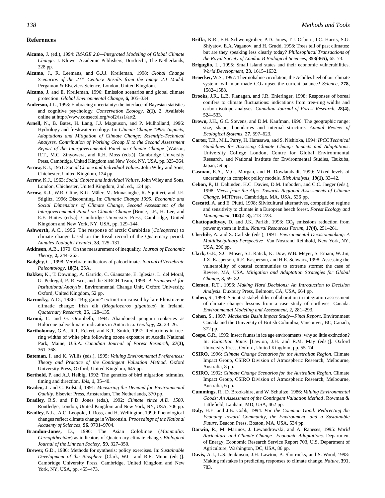#### **References**

- **Alcamo,** J. (ed.), 1994: *IMAGE 2.0—Integrated Modeling of Global Climate Change*. J. Kluwer Academic Publishers, Dordrecht, The Netherlands, 328 pp.
- Alcamo, J., R. Leemans, and G.J.J. Kreileman, 1998: *Global Change Scenarios of the 21st Century. Results from the Image 2.1 Model*. Pergamon & Elseviers Science, London, United Kingdom.
- **Alcamo,** J. and E. Kreileman, 1996: Emission scenarios and global climate protection. *Global Environmental Change*, **6,** 305–334.
- Anderson, J.L., 1998: Embracing uncertainty: the interface of Bayesian statistics and cognitive psychology. *Conservation Ecology*, **2(1),** 2. Available online at http://www.consecol.org/vol2/iss1/art2.
- **Arnell,** N., B. Bates, H. Lang, J.J. Magnuson, and P. Mulholland, 1996: Hydrology and freshwater ecology. In: *Climate Change 1995: Impacts, Adaptations and Mitigation of Climate Change: Scientific-Technical Analyses. Contribution of Working Group II to the Second Assessment Report of the Intergovernmental Panel on Climate Change* [Watson, R.T., M.C. Zinyowera, and R.H. Moss (eds.)]. Cambridge University Press, Cambridge, United Kingdom and New York, NY, USA, pp. 325–364.
- **Arrow,** K.J., 1951: *Social Choice and Individual Values*. John Wiley and Sons, Chichester, United Kingdom, 124 pp.
- **Arrow,** K.J., 1963: *Social Choice and Individual Values*. John Wiley and Sons, London, Chichester, United Kingdom, 2nd. ed., 124 pp.
- **Arrow,** K.J., W.R. Cline, K.G. Mäler, M. Munasinghe, R. Squitieri, and J.E. Stiglitz, 1996: Discounting. In: *Climatic Change 1995: Economic and Social Dimensions of Climate Change, Second Assessment of the Intergovernmental Panel on Climate Change* [Bruce, J.P., H. Lee, and E.F. Haites (eds.)]. Cambridge University Press, Cambridge, United Kingdom and New York, NY, USA, pp. 129–144.
- Ashworth, A.C., 1996: The response of arctic Carabidae (*Coleoptera*) to climate change based on the fossil record of the Quaternary period. *Annales Zoologici Fennici*, **33,** 125–131.
- **Atkinson,** A.B., 1970: On the measurement of inequality. *Journal of Economic Theory*, **2,** 244–263.
- **Badgley,** C., 1998: Vertebrate indicators of paleoclimate. *Journal of Vertebrate Paleontology*, **18(3),** 25A.
- **Bakker,** K., T. Downing, A. Garrido, C. Giansante, E. Iglesias, L. del Moral, G. Pedregal, P. Riesco, and the SIRCH Team, 1999: *A Framework for Institutional Analysis*. Environmental Change Unit, Oxford University, Oxford, United Kingdom, 52 pp.
- Barnosky, A.D., 1986: "Big game" extinction caused by late Pleistocene climatic change: Irish elk (*Megaloceros giganteus*) in Ireland. *Quaternary Research*, **25,** 128–135.
- Baroni, C. and G. Orombelli, 1994: Abandoned penguin rookeries as Holocene paleoclimatic indicators in Antarctica. *Geology*, **22**, 23–26.
- **Bartholomay,** G.A., R.T. Eckert, and K.T. Smith, 1997: Reductions in treering widths of white pine following ozone exposure at Acadia National Park, Maine, U.S.A. *Canadian Journal of Forest Research*, **27(3),** 361–368.
- **Bateman,** I. and K. Willis (eds.), 1995: *Valuing Environmental Preferences: Theory and Practice of the Contingent Valuation Method*. Oxford University Press, Oxford, United Kingdom, 645 pp.
- **Berthold,** P. and A.J. Helbig, 1992: The genetics of bird migration: stimulus, timing and direction. *Ibis*, **1,** 35–40.
- **Braden,** J. and C. Kolstad, 1991: *Measuring the Demand for Environmental Quality*. Elsevier Press, Amsterdam, The Netherlands, 370 pp.
- Bradley, R.S. and P.D. Jones (eds.), 1992: *Climate since A.D. 1500*. Routledge, London, United Kingdom and New York, NY, USA, 706 pp.
- **Bradley,** N.L., A.C. Leopold, J. Ross, and H. Wellington, 1999: Phenological changes reflect climate change in Wisconsin. *Proceedings of the National Academy of Sciences*, **96,** 9701–9704.
- Brandon-Jones, D., 1996: The Asian Colobinae (*Mammalia: Cercopithecidae*) as indicators of Quaternary climate change. *Biological Journal of the Linnean Society*, **59,** 327–350.
- **Brewer,** G.D., 1986: Methods for synthesis: policy exercises. In: *Sustainable Development of the Biosphere* [Clark, W.C. and R.E. Munn (eds.)]. Cambridge University Press, Cambridge, United Kingdom and New York, NY, USA, pp. 455–473.
- **Briffa,** K.R., F.H. Schweingruber, P.D. Jones, T.J. Osborn, I.C. Harris, S.G. Shiyatov, E.A. Vaganov, and H. Grudd, 1998: Trees tell of past climates: but are they speaking less clearly today? *Philosophical Transactions of the Royal Society of London B Biological Sciences,* **353(365),** 65–73.
- **Briguglio,** L., 1995: Small island states and their economic vulnerabilities. *World Development,* **23,** 1615–1632.
- **Broecker,** W.S., 1997: Thermohaline circulation, the Achilles heel of our climate system: will man-made CO<sub>2</sub> upset the current balance? *Science*, **278**, 1582–1588.
- **Brooks,** J.R., L.B. Flanagan, and J.R. Ehleringer, 1998: Responses of boreal conifers to climate fluctuations: indications from tree-ring widths and carbon isotope analyses. *Canadian Journal of Forest Research*, **28(4),** 524–533.
- **Brown,** J.H., G.C. Stevens, and D.M. Kaufman, 1996: The geographic range: size, shape, boundaries and internal structure. *Annual Review of Ecological Systems,* **27,** 597–623.
- **Carter,** T.R., M.L. Parry, H. Harasawa, and S. Nishioka, 1994: *IPCC Technical Guidelines for Assessing Climate Change Impacts and Adaptations*. University College London, Centre for Global Environmental Research, and National Institute for Environmental Studies, Tsukuba, Japan, 59 pp.
- **Casman,** E.A., M.G. Morgan, and H. Dowlatabadi, 1999: Mixed levels of uncertainty in complex policy models. *Risk Analysis,* **19(1),** 33–42.
- **Cebon,** P., U. Dahinden, H.C. Davies, D.M. Imboden, and C.C. Jaeger (eds.), 1998: *Views from the Alps. Towards Regional Assessments of Climate Change*. MITPress, Cambridge, MA, USA, 536 pp.
- **Cescatti,** A. and E. Piutti, 1998: Silvicultural alternatives, competition regime and sensitivity to climate in a European beech forest. *Forest Ecology and Management*, **102(2–3),** 213–223.
- **Chattopadhyay,** D. and J.K. Parikh, 1993:  $CO_2$  emissions reduction from power system in India. *Natural Resources Forum*, **17(4),** 251–261.
- **Chechile,** A. and S. Carlisle (eds.), 1991: *Environmental Decisionmaking: A Multidisciplinary Perspective*. Van Nostrand Reinhold, New York, NY, USA, 296 pp.
- **Clark,** G.E., S.C. Moser, S.J. Ratick, K. Dow, W.B. Meyer, S. Emani, W. Jin, J.X. Kasperson, R.E. Kasperson, and H.E. Schwarz, 1998: Assessing the vulnerability of coastal communities to extreme storms: the case of Revere, MA, USA. *Mitigation and Adaptation Strategies for Global Change*, **3,** 59–82.
- **Clemen,** R.T., 1996: *Making Hard Decisions: An Introduction to Decision Analysis*. Duxbury Press, Belmont, CA, USA, 664 pp.
- **Cohen,** S., 1998: Scientist-stakeholder collaboration in integration assessment of climate change: lessons from a case study of northwest Canada. *Environmental Modeling and Assessment,* **2,** 281–293.
- **Cohen,** S., 1997: *Mackenzie Basin Impact Study—Final Report*. Environment Canada and the University of British Columbia, Vancouver, BC, Canada, 372 pp.
- **Coope, G.R., 1995: Insect faunas in ice age environments: why so little extinction?** In: *Extinction Rates* [Lawton, J.H. and R.M. May (eds.)]. Oxford University Press, Oxford, United Kingdom, pp. 55–74.
- **CSIRO,** 1996: *Climate Change Scenarios for the Australian Region*. Climate Impact Group, CSIRO Division of Atmospheric Research, Melbourne, Australia, 8 pp.
- **CSIRO,** 1992: *Climate Change Scenarios for the Australian Region*. Climate Impact Group, CSIRO Division of Atmospheric Research, Melbourne, Australia, 6 pp.
- **Cummings,** R., D. Brookshire, and W. Schultze, 1986: *Valuing Environmental Goods: An Assessment of the Contingent Valuation Method*. Rowman & Littlefield, Lanham, MD, USA, 462 pp.
- **Daly,** H.E. and J.B. Cobb, 1994: *For the Common Good: Redirecting the Economy toward Community, the Environment, and a Sustainable Future*. Beacon Press, Boston, MA, USA, 534 pp.
- **Darwin,** R., M. Marinos, J. Lewandrowski, and A. Raneses, 1995: *World Agriculture and Climate Change—Economic Adaptations*. Department of Energy, Economic Research Service Report 703, U.S. Department of Agriculture, Washington, DC, USA, 86 pp.
- **Davis,** A.J., L.S. Jenkinson, J.H. Lawton, B. Shorrocks, and S. Wood, 1998: Making mistakes in predicting responses to climate change. *Nature,* **391,** 783.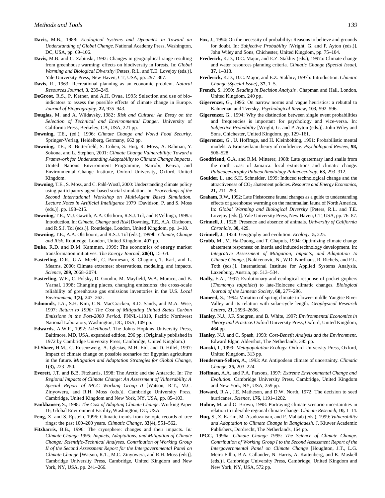- Davis, M.B., 1988: *Ecological Systems and Dynamics in Toward an Understanding of Global Change*. National Academy Press, Washington, DC, USA, pp. 69–106.
- **Davis,** M.B. and C. Zabinski, 1992: Changes in geographical range resulting from greenhouse warming: effects on biodiversity in forests. In: *Global Warming and Biological Diversity* [Peters, R.L. and T.E. Lovejoy (eds.)]. Yale University Press, New Haven, CT, USA, pp. 297–307.
- **Davis,** R., 1963: Recreational planning as an economic problem. *Natural Resources Journal*, **3,** 239–249.
- DeGroot, R.S., P. Ketner, and A.H. Ovaa, 1995: Selection and use of bioindicators to assess the possible effects of climate change in Europe. *Journal of Biogeography*, **22,** 935–943.
- **Douglas,** M. and A. Wildavsky, 1982*: Risk and Culture: An Essay on the Selection of Technical and Environmental Danger.* University of California Press, Berkeley, CA, USA, 221 pp.
- **Downing,** T.E., (ed.), 1996: *Climate Change and World Food Security*. Springer-Verlag, Heidelberg, Germany, 662 pp.
- **Downing,** T.E., R. Butterfield, S. Cohen, S. Huq, R. Moss, A. Rahman, Y. Sokona, and L. Stephen, 2001: *Climate Change Vulnerability: Toward a Framework for Understanding Adaptability to Climate Change Impacts*. United Nations Environment Programme, Nairobi, Kenya, and Environmental Change Institute, Oxford University, Oxford, United Kingdom.
- **Downing**, T.E., S. Moss, and C. Pahl-Wostl, 2000: Understanding climate policy using participatory agent-based social simulation. In: *Proceedings of the Second International Workshop on Multi-Agent Based Simulation. Lecture Notes in Artificial Intelligence* 1979 [Davidson, P. and S. Moss (eds.)]. pp. 198–215.
- **Downing,** T.E., M.J. Gawith, A.A. Olsthorn, R.S.J. Tol, and P.Vellinga, 1999a: Introduction. In: *Climate, Change and Risk* [Downing, T.E., A.A. Olsthoorn, and R.S.J. Tol (eds.)]. Routledge, London, United Kingdom, pp. 1–18.
- **Downing,** T.E., A.A. Olsthoorn, and R.S.J. Tol (eds.), 1999b: *Climate, Change and Risk*. Routledge, London, United Kingdom, 407 pp.
- **Duke, R.D. and D.M. Kammen, 1999: The economics of energy market** transformation initiatives. *The Energy Journal*, **20(4)**, 15–64.
- **Easterling,** D.R., G.A. Meehl, C. Parmesan, S. Chagnon, T. Karl, and L. Mearns, 2000: Climate extremes: observations, modeling, and impacts. *Science*, **289,** 2068–2074.
- **Easterling**, W.E., C. Polsky, D. Goodin, M. Mayfield, W.A. Muraco, and B. Yarnal, 1998: Changing places, changing emissions: the cross-scale reliability of greenhouse gas emissions inventories in the U.S. *Local Environment*, **3(3),** 247–262.
- **Edmonds,** J.A., S.H. Kim, C.N. MacCracken, R.D. Sands, and M.A. Wise, 1997: *Return to 1990: The Cost of Mitigating United States Carbon Emissions in the Post-2000 Period*. PNNL-11819, Pacific Northwest National Laboratory, Washington, DC, USA, 109 pp.
- **Edwards,** A.W.F., 1992: *Likelihood.* The Johns Hopkins University Press, Baltimore, MD, USA, expanded edition, 296 pp. (Originally published in 1972 by Cambridge University Press, Cambridge, United Kingdom.)
- **El-Shaer,** H.M., C. Rosenzweig, A. Iglesias, M.H. Eid, and D. Hillel, 1997: Impact of climate change on possible scenarios for Egyptian agriculture in the future. *Mitigation and Adaptation Strategies for Global Change*, **1(3),** 223–250.
- **Everett,** J.T. and B.B. Fitzharris, 1998: The Arctic and the Antarctic. In: *The Regional Impacts of Climate Change: An Assessment of Vulnerability. A Special Report of IPCC Working Group II* [ Watson, R.T., M.C. Zinyowera, and R.H. Moss (eds.)]. Cambridge University Press, Cambridge, United Kingdom and New York, NY, USA, pp. 85–103.
- **Fankhauser,** S., 1998: *The Cost of Adapting Climate Change* . Working Paper 16, Global Environment Facility, Washington, DC, USA.
- **Feng,** X. and S. Epstein, 1996: Climatic trends from isotopic records of tree rings: the past 100–200 years. *Climatic Change*, **33(4),** 551–562.
- **Fitzharris,** B.B., 1996: The cryosphere: changes and their impacts. In*: Climate Change 1995: Impacts, Adaptations, and Mitigation of Climate Change: Scientific-Technical Analyses. Contribution of Working Group II of the Second Assessment Report for the Intergovernmental Panel on Climate Change* [Watson, R.T., M.C. Zinyowera, and R.H. Moss (eds)]. Cambridge University Press, Cambridge, United Kingdom and New York, NY, USA, pp. 241–266.
- **Fox,** J., 1994: On the necessity of probability: Reasons to believe and grounds for doubt. In: *Subjective Probability* [Wright, G. and P. Ayton (eds.)]. John Wiley and Sons, Chichester, United Kingdom, pp. 75–104.
- **Frederick,** K.D., D.C. Major, and E.Z. Stakhiv (eds.), 1997a: Climate change and water resources planning criteria. *Climatic Change (Special Issue),* **37,** 1–313.
- **Frederick,** K.D., D.C. Major, and E.Z. Stakhiv, 1997b: Introduction. *Climatic Change (Special Issue)*, **37,** 1–5.
- **French,** S. 1990: *Reading in Decision Analysis*. Chapman and Hall, London, United Kingdom, 240 pp**.**
- **Gigerenzer,** G., 1996: On narrow norms and vague heuristics: a rebuttal to Kahneman and Tversky*. Psychological Review*, **103,** 592–596.
- **Gigerenzer,** G., 1994: Why the distinction between single event probabilities and frequencies is important for psychology and vice-versa. In: *Subjective Probability* [Wright, G. and P. Ayton (eds.)]. John Wiley and Sons, Chichester, United Kingdom, pp. 129–161.
- **Gigerenzer,** G., U. Hoffrage, and H. Kleinbölting, 1991: Probabilistic mental models: A Brunswikian theory of confidence. *Psychological Review*, **98,** 506–528.
- **Goodfriend,** G.A. and R.M. Mitterer, 1988: Late quaternary land snails from the north coast of Jamaica: local extinctions and climatic change*. Palaeogeography Palaeoclimatology Palaeoecology*, **63,** 293–312.
- **Goulder,** L. and S.H. Schneider, 1999: Induced technological change and the attractiveness of CO<sub>2</sub> abatement policies. *Resource and Energy Economics*, **21,** 211–253.
- Graham, R.W., 1992: Late Pleistocene faunal changes as a guide to understanding effects of greenhouse warming on the mammalian fauna of North America. In: *Global Warming and Biological Diversity* [Peters, R.L. and T.E. Lovejoy (eds.)]. Yale University Press, New Haven, CT, USA, pp. 76–87.
- **Grinnell,** J., 1928: Presence and absence of animals. *University of California Chronicle*, **30,** 429.
- **Grinnell,** J., 1924: Geography and evolution. *Ecology*, **5,** 225.
- **Grubb,** M., M. Ha-Duong, and T. Chapuis, 1994: Optimizing climate change abatement responses: on inertia and induced technology development. In: *Integrative Assessment of Mitigation, Impacts, and Adaptation to Climate Change*. [Nakicenovic, N., W.D. Nordhaus, R. Richels, and F.L. Toth (eds.)]. International Institute for Applied Systems Analysis, Laxenburg, Austria, pp. 513–534.
- **Hadly,** E.A., 1997: Evolutionary and ecological response of pocket gophers (*Thomomys talpoides*) to late-Holocene climatic changes. *Biological Journal of the Linnean Society,* **60,** 277–296.
- **Hameed,** S., 1994: Variation of spring climate in lower-middle Yangtse River Valley and its relation with solar-cycle length. *Geophysical Research Letters*, **21,** 2693–2696.
- **Hanley,** N.J., J.F. Shogren, and B. White, 1997: *Environmental Economics in Theory and Practice*. Oxford University Press, Oxford, United Kingdom, 464 pp.
- **Hanley,** N.J. and C. Spash, 1993: *Cost-Benefit Analysis and the Environment*. Edward Elgar, Aldershot, The Netherlands, 385 pp.
- **Hanski,** I., 1999: *Metapopulation Ecology.* Oxford University Press, Oxford, United Kingdom, 313 pp.
- **Henderson-Sellers,** A., 1993: An Antipodean climate of uncertainty. *Climatic Change,* **25,** 203–224.
- **Hoffman,** A.A. and P.A. Parsons, 1997: *Extreme Environmental Change and Evolution.* Cambridge University Press, Cambridge, United Kingdom and New York, NY, USA, 259 pp.
- **Howard,** R.A., J.E. Matheson, and D.W. North, 1972: The decision to seed hurricanes. *Science,* **176,** 1191–1202.
- **Hulme,** M. and O. Brown, 1998: Portraying climate scenario uncertainties in relation to tolerable regional climate change. *Climate Research*, 10, 1-14.
- **Huq,** S., Z. Karim, M. Asaduzaman, and F. Mahtab (eds.), 1999: *Vulnerability and Adaptation to Climate Change in Bangladesh.* J. Kluwer Academic Publishers, Dordrecht, The Netherlands, 164 pp.
- **IPCC,** 1996a: *Climate Change 1995: The Science of Climate Change. Contribution of Working Group I to the Second Assessment Report of the Intergovernmental Panel on Climate Change* [Houghton, J.T., L.G. Meira Filho, B.A. Callander, N. Harris, A. Kattenberg, and K. Maskell (eds.)]. Cambridge University Press, Cambridge, United Kingdom and New York, NY, USA, 572 pp.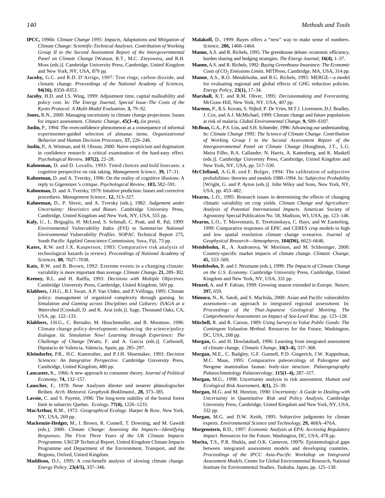- **IPCC,** 1996b: *Climate Change 1995: Impacts, Adaptations and Mitigation of Climate Change: Scientific-Technical Analyses. Contribution of Working Group II to the Second Assessment Report of the Intergovernmental Panel on Climate Change* [Watson, R.T., M.C. Zinyowera, and R.H. Moss (eds.)]. Cambridge University Press, Cambridge, United Kingdom and New York, NY, USA, 879 pp.
- **Jacoby,** G.C. and R.D. D'Arrigo, 1997: Tree rings, carbon dioxide, and climatic change. Proceedings of the National Academy of Sciences, **94(16),** 8350–8353.
- **Jacoby**, H.D. and I.S. Wing, 1999: Adjustment time, capital malleability and policy cost. In: *The Energy Journal*, *Special Issue–The Costs of the Kyoto Protocol: A Multi-Model Evaluation*, **3,** 79–92.
- **Jones,** R.N., 2000: Managing uncertainty in climate change projections: Issues for impact assessment. *Climatic Change*, **45(3–4),** (in press).
- **Juslin, P., 1994: The overconfidence phenomenon as a consequence of informal** experimenter-guided selection of almanac items. Organizational *Behavior and Human Decision Processes*, **57,** 226–246.
- **Juslin,** P., A. Winman, and H. Olsson, 2000: Naive empiricism and dogmatism in confidence research: a critical examination of the hard-easy effect. *Psychological Review*, **107(2),** 22–28.
- Kahneman, D. and D. Lovallo, 1993: Timid choices and bold forecasts: a cognitive perspective on risk taking. *Management Science*, 39, 17-31.
- **Kahneman,** D. and A. Tversky, 1996: On the reality of cognitive illusions: A reply to Gigerenzer's critique. *Psychological Review*, **103,** 582–591.
- Kahneman, D. and A. Tversky, 1979: Intuitive prediction: biases and corrective procedures. *Management Science*, **12,** 313–327.
- **Kahneman,** D., P. Slovic, and A. Tversky (eds.), 1982: *Judgement under Uncertainty: Heuristics and Biases.* Cambridge University Press, Cambridge, United Kingdom and New York, NY, USA, 555 pp.
- **Kaly,** U., L. Briguglio, H. McLeod, S. Schmall, C. Pratt, and R. Pal, 1999: *E n v i ronmental Vulnerability Index (EVI) to Summarise National Environmental Vulnerability Profiles*. SOPAC Technical Report 275, South Pacific Applied Geoscience Commission, Suva, Fiji, 73 pp.
- Kates, R.W. and J.X. Kasperson, 1983: Comparative risk analysis of technological hazards (a review). *Proceedings of National Academy of Sciences,* **80,** 7027–7038.
- Katz, R.W. and B. Brown, 1992: Extreme events in a changing climate: variability is more important than average. *Climate Change*, **21**, 289–302.
- **Keeney,** R.L. and H. Raiffa, 1993: *Decisions with Multiple Objectives*. Cambridge University Press, Cambridge, United Kingdom, 569 pp.
- **Klabbers,** J.H.G., R.J. Swart, A.P. Van Ulden, and P. Vellinga, 1995: Climate policy: management of organized complexity through gaming. In: *Simulation and Gaming across Disciplines and Cultures: ISAGA at a Watershed* [Crookall, D. and K. Arai (eds.)]. Sage, Thousand Oaks, CA, USA, pp. 122–133.
- **Klabbers,** J.H.G., C. Bernabo, M. Hisschemsller, and B. Moomaw, 1996: Climate change policy development: enhancing the science/policy dialogue. In: *Simulation Now! Learning through Experience: The Challenge of Change* [Watts, F. and A. Garcia (eds.)]. Carbonell, Diputacio de Valencia, Valencia, Spain, pp. 285–297.
- **Kleindorfer,** P.R., H.C. Kunreuther, and P.J.H. Shoemaker, 1993: *Decision Sciences: An Integrative Perspective*. Cambridge University Press, Cambridge, United Kingdom, 480 pp.
- **Lancaster,** K., 1966: A new approach to consumer theory. *Journal of Political Economy*, **74,** 132–157.
- **Lauscher,** F., 1978: Neue Analysen ältester und neuerer phänologischer Reihen. *Arch. Meteorol. Geophysik Bioklimatol.*, **28,** 373–385.
- **Lavoie,** C. and S. Payette, 1996: The long-term stability of the boreal forest limit in subarctic Quebec. *Ecology*, **77(4),** 1226–1233.
- **MacArthur,** R.M., 1972: *Geographical Ecology.* Harper & Row, New York, NY, USA, 269 pp.
- **Mackenzie-Hedger,** M., I. Brown, R. Connell, T. Downing, and M. Gawith (eds.), 2000: *Climate Change: Assessing the Impacts—Identifying Responses. The First Three Years of the UK Climate Impacts Programme.* UKCIP Technical Report, United Kingdom Climate Impacts Programme and Department of the Environment, Transport, and the Regions, Oxford, United Kingdom.
- **Maddison,** D.J., 1995: A cost-benefit analysis of slowing climate change. *Energy Policy*, **23(4/5),** 337–346.
- **Malakoff,** D., 1999: Bayes offers a "new" way to make sense of numbers. *Science*, **286,** 1460–1464.
- Manne, A.S. and R. Richels, 1995: The greenhouse debate: economic efficiency, burden sharing and hedging strategies. *The Energy Journal*, **16(4)**, 1-37.
- **Manne, A.S.** and R. Richels, 1992: *Buying Greenhouse Insurance: The Economic Costs of CO<sup>2</sup> Emissions Limits*. MITPress, Cambridge, MA, USA, 314 pp.
- **Manne**, A.S., R.O. Mendelsohn, and R.G. Richels, 1995: MERGE—a model for evaluating regional and global effects of GHG reduction policies. *Energy Policy*, **23(1),** 17–34.
- **Marshall,** K.T. and R.M. Oliver, 1995: *Decisionmaking and Forecasting*. McGraw-Hill, New York, NY, USA, 407 pp.
- Martens, P., R.S. Kovats, S. Nijhof, P. De Vries, M.T.J. Livermore, D.J. Bradley, J. Cox, and A.J. McMichael, 1999: Climate change and future populations at risk of malaria. *Global Environmental Change*, 9, S89-S107.
- McBean, G.A., P.S. Liss, and S.H. Schneider, 1996: Advancing our understanding. In: *Climate Change 1995: The Science of Climate Change. Contribution of Working Group I to the Second Assessment Report of the Intergovernmental Panel on Climate Change* [Houghton, J.T., L.G. Meira Filho, B.A. Callander, N. Harris, A. Kattenberg, and K. Maskell (eds.)]. Cambridge University Press, Cambridge, United Kingdom and New York, NY, USA, pp. 517–530.
- McClelland, A.G.R. and F. Bolger, 1994: The calibration of subjective probabilities: theories and models 1980–1994. In: *Subjective Probability* [Wright, G. and P. Ayton (eds.)]. John Wiley and Sons, New York, NY, USA, pp. 453–482.
- **Mearns,** L.O., 1995: Research issues in determining the effects of changing climatic variability on crop yields. *Climate Change and Agriculture: Analysis of Potential International Impacts*. American Society of Agronomy Special Publication No. 58, Madison, WI, USA, pp. 123–146.
- **Mearns,** L.O., T. Mavromatis, E. Tsvetsinskaya, C. Hays, and W. Easterling, 1999: Comparative responses of EPIC and CERES crop models to high and low spatial resolution climate change scenarios. *Journal of Geophysical Research—Atmospheres*, **104(D6),** 6623–6646.
- **Mendelsohn,** R., A. Andronova, W. Morrison, and M. Schlesinger, 2000: Country-specific market impacts of climate change. *Climatic Change*, **45,** 553–569.
- **Mendelsohn,** R. and J. Neumann (eds.), 1999: *The Impacts of Climate Change on the U.S. Economy*. Cambridge University Press, Cambridge, United Kingdom and New York, NY, USA, 331 pp.
- **Menzel,** A. and P. Fabian, 1999: Growing season extended in Europe. *Nature,* **397,** 659.
- **Mimura,** N., K. Satoh, and S. Machida, 2000: Asian and Pacific vulnerability assessment—an approach to integrated regional assessment. In: *P roceedings of the Thai-Japanese Geological Meeting. The Comprehensive Assessments on Impact of Sea-Level Rise.* pp. 123–128.
- **Mitchell,** R. and R. Carson, 1989: *Using Surveys to Value Public Goods: The Contingent Valuation Method*. Resources for the Future, Washington, DC, USA, 268 pp.
- **Morgan,** G. and H. Dowlatabadi, 1996: Learning from integrated assessment of climate change, *Climatic Change,* **34(3–4),** 337–368.
- **Morgan,** M.E., C. Badgley, G.F. Gunnell, P.D. Gingerich, J.W. Kappelman, M.C. Maas, 1995: Comparative paleoecology of Paleogene and Neogene mammalian faunas: body-size structure. *Palaeogeography Palaeoclimatology Palaeoecology*, **115(1–4),** 287–317.
- **Morgan,** M.G., 1998: Uncertainty analysis in risk assessment. *Human and Ecological Risk Assessment*, **4(1),** 25–39.
- **Morgan,** M.G. and M. Henrion, 1990: *Uncertainty: A Guide to Dealing with Uncertainty in Quantitative Risk and Policy Analysis. Cambridge* University Press, Cambridge, United Kingdom and New York, NY, USA, 332 pp.
- **Morgan,** M.G. and D.W. Keith, 1995: Subjective judgments by climate experts. *Environmental Science and Technology*, **29,** 468A–476A.
- **Morgenstern,** R.D., 1997: *Economic Analysis at EPA: Accessing Regulatory Impact*. Resources for the Future, Washington, DC, USA, 478 pp.
- **Morita,** T.S., P.R. Shukla, and O.K. Cameron, 1997b: Epistemological gaps between integrated assessment models and developing countries*. P roceedings of the IPCC Asia-Pacific Workshop on Integrated Assessment Models*. Center for Global Environmental Research, National Institute for Environmental Studies, Tsukuba, Japan, pp. 125–138.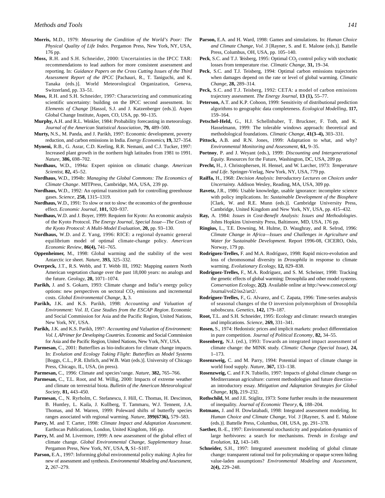- **Morris,** M.D., 1979: *Measuring the Condition of the World's Poor: The Physical Quality of Life Index*. Pergamon Press, New York, NY, USA, 176 pp.
- Moss, R.H. and S.H. Schneider, 2000: Uncertainties in the IPCC TAR: recommendations to lead authors for more consistent assessment and reporting. In: *Guidance Papers on the Cross Cutting Issues of the Third Assessment Report of the IPCC* [Pachauri, R., T. Taniguchi, and K. Tanaka (eds.)]. World Meteorological Organization, Geneva, Switzerland, pp. 33–51.
- Moss, R.H. and S.H. Schneider, 1997: Characterizing and communicating scientific uncertainty: building on the IPCC second assessment. In: *Elements of Change* [Hassol, S.J. and J. Katzenberger (eds.)]. Aspen Global Change Institute, Aspen, CO, USA, pp. 90–135.
- **Murphy, A.H.** and R.L. Winkler, 1984: Probability forecasting in meteorology. *Journal of the American Statistical Association*, **79,** 489–500.
- **Murty,** N.S., M. Panda, and J. Parikh, 1997: Economic development, poverty reduction, and carbon emissions in India. *Energy Economics*, 19, 327-354.
- **Myneni,** R.B., G. Asrar, C.D. Keeling, R.R. Nemani, and C.J. Tucker, 1997: Increased plant growth in the northern high latitudes from 1981 to 1991. *Nature*, **386,** 698–702.
- **Nordhaus,** W.D., 1994a: Expert opinion on climatic change. *American Scientist*, **82,** 45–52.
- **Nordhaus,** W.D., 1994b: *Managing the Global Commons: The Economics of Climate Change*. MITPress, Cambridge, MA, USA, 239 pp.
- **Nordhaus,** W.D., 1992: An optimal transition path for controlling greenhouse gases. *Science*, **258,** 1315–1319.
- Nordhaus, W.D., 1991: To slow or not to slow: the economics of the greenhouse effect. *Economic Journal*, **101,** 920–937.
- Nordhaus, W.D. and J. Boyer, 1999: Requiem for Kyoto: An economic analysis of the Kyoto Protocol. *The Energy Journal*, *Special Issue—The Costs of the Kyoto Protocol: A Multi-Model Evaluation*, **20,** pp. 93–130.
- Nordhaus, W.D. and Z. Yang, 1996: RICE: a regional dynamic general equilibrium model of optimal climate-change policy. American *Economic Review*, **86(4),** 741–765.
- **Oppenheimer,** M., 1998: Global warming and the stability of the west Antarctic ice sheet. *Nature*, **393,** 325–332.
- **Overpeck,** J.T., R.S. Webb, and T. Webb III, 1992: Mapping eastern North American vegetation change over the past 18,000 years: no analogs and the future. *Geology*, **20,** 1071–1074.
- Parikh, J. and S. Gokarn, 1993: Climate change and India's energy policy options: new perspectives on sectoral  $CO<sub>2</sub>$  emissions and incremental costs. *Global Environmental Change*, **3,** 3.
- Parikh, J.K. and K.S. Parikh, 1998: *Accounting and Valuation of Environment: Vol. II, Case Studies from the ESCAP Region*. Economic and Social Commission for Asia and the Pacific Region, United Nations, New York, NY, USA.
- Parikh, J.K. and K.S. Parikh, 1997: *Accounting and Valuation of Environment*: *Vol. I, APrimer for Developing Countries*. Economic and Social Commission for Asia and the Pacific Region, United Nations, New York, NY, USA.
- **Parmesan,** C., 2001: Butterflies as bio-indicators for climate change impacts*.* In: *Evolution and Ecology Taking Flight: Butterflies as Model Systems* [Boggs, C.L., P.R. Ehrlich, and W.B. Watt (eds.)]. University of Chicago Press, Chicago, IL, USA, (in press).
- **Parmesan,** C., 1996: Climate and species'range. *Nature*, **382,** 765–766.
- **Parmesan,** C., T.L. Root, and M. Willig, 2000: Impacts of extreme weather and climate on terrestrial biota. *Bulletin of the American Meteorological Society*, **81,** 443–450.
- **Parmesan,** C., N. Ryrholm, C. Stefanescu, J. Hill, C. Thomas, H. Descimon, B. Huntley, L. Kaila, J. Kullberg, T. Tammaru, W.J. Tennent, J.A. Thomas, and M. Warren, 1999: Poleward shifts of butterfly species ranges associated with regional warming. *Nature*, **399(6736),** 579–583.
- **Parry,** M. and T. Carter, 1998: *Climate Impact and Adaptation Assessment*. Earthscan Publications, London, United Kingdom, 166 pp.
- **Parry,** M. and M. Livermore, 1999: A new assessment of the global effect of climate change. *Global Environmental Change, Supplementary Issue*. Pergamon Press, New York, NY, USA, **9,** S1–S107.
- **Parson,** E.A., 1997: Informing global environmental policy making: A plea for new of assessment and synthesis. *Environmental Modeling and Assessment*, **2,** 267–279.
- **Parson,** E.A. and H. Ward, 1998: Games and simulations. In: *Human Choice and Climate Change, Vol. 3* [Rayner, S. and E. Malone (eds.)]. Battelle Press, Columbus, OH, USA, pp. 105–140.
- **Peck**, S.C. and T.J. Teisberg, 1995: Optimal CO<sub>2</sub> control policy with stochastic losses from temperature rise. *Climatic Change*, **31,** 19–34.
- **Peck**, S.C. and T.J. Teisberg, 1994: Optimal carbon emissions trajectories when damages depend on the rate or level of global warming. *Climatic Change*, **28,** 289–314.
- Peck, S.C. and T.J. Teisberg, 1992: CETA: a model of carbon emissions trajectory assessment. *The Energy Journal*, **13** (1), 55–77.
- **Peterson,** A.T. and K.P. Cohoon, 1999: Sensitivity of distributional prediction algorithms to geographic data completeness. *Ecological Modelling*, **117,** 159–164.
- Petschel-Held, G., H.J. Schellnhuber, T. Bruckner, F. Toth, and K. Hasselmann, 1999: The tolerable windows approach: theoretical and methodological foundations. *Climatic Change*, **41(3–4),** 303–331.
- Pittock, A.B. and R.N. Jones, 1999: Adaptation to what, and why? *Environmental Monitoring and Assessment*, **61,** 9–35.
- **Portnoy**, P. and J. Weyant (eds.), 1999: *Discounting and Intergenerational Equity.* Resources for the Future, Washington, DC, USA, 209 pp.
- **Precht,** H., J. Christophersen, H. Hensel, and W. Larcher, 1973: *Temperature and Life*. Springer-Verlag, New York, NY, USA, 779 pp.
- **Raiffa,** H., 1968: *Decision Analysis: Introductory Lectures on Choices under Uncertainty.* Addison Wesley, Reading, MA, USA, 309 pp.
- **Ravetz,** J.R., 1986: Usable knowledge, usable ignorance: incomplete science with policy implications. In: *Sustainable Development of the Biosphere* [Clark, W. and R.E. Munn (eds.)]. Cambridge University Press, Cambridge, United Kingdom and New York, NY, USA, pp. 415–432.
- **Ray,** A. 1984: *Issues in Cost-Benefit Analysis: Issues and Methodologies*. Johns Hopkins University Press, Baltimore, MD, USA, 176 pp.
- **Ringius,** L., T.E. Downing, M. Hulme, D. Waughray, and R. Selrod, 1996: *Climate Change in Africa—Issues and Challenges in Agriculture and Water for Sustainable Development*. Report 1996-08, CICERO, Oslo, Norway, 179 pp.
- **Rodríguez-Trelles,** F. and M.A. Rodríguez, 1998: Rapid micro-evolution and loss of chromosomal diversity in *Drosophila* in response to climate warming. *Evolutionary Ecology,* **12,** 829–838.
- **Rodríguez-Trelles,** F., M.A. Rodríguez, and S. M. Scheiner, 1998: Tracking the genetic effects of global warming: Drosophila and other model systems. *Conservation Ecology*, 2(2). Available online at http://www.consecol.org/ Journal/vol2/iss2/art2/.
- **Rodríguez-Trelles,** F., G. Alvarez, and C. Zapata, 1996: Time-series analysis of seasonal changes of the O inversion polymorphism of Drosophila s u bobscura. *Genetics*, **142,** 179–187.
- **Root,** T.L. and S.H. Schneider, 1995: Ecology and climate: research strategies and implications. *Science*, **269,** 331–341.
- **Rosen, S., 1974: Hedonistic prices and implicit markets: product differentiation** in pure competition. *Journal of Political Economy*, **82,** 34–55.
- **Rosenberg, N.J.** (ed.), 1993: Towards an integrated impact assessment of climate change: the MINK study. *Climatic Change (Special Issue)*, 24, 1–173.
- **Rosenzweig,** C. and M. Parry, 1994: Potential impact of climate change in world food supply. *Nature*, **367,** 133–138.
- **Rosenzweig,** C. and F.N. Tubiello, 1997: Impacts of global climate change on Mediterranean agriculture: current methodologies and future direction an introductory essay. *Mitigation and Adaptation Strategies for Global Change*, **1(3),** 219–232.
- Rothschild, M. and J.E. Stiglitz, 1973: Some further results in the measurement of inequality. *Journal of Economic Theory*, **6,** 188–204.
- **Rotmans,** J. and H. Dowlatabadi, 1998: Integrated assessment modeling. In: *Human Choice and Climate Change, Vol. 3* [Rayner, S. and E. Malone (eds.)]. Battelle Press, Columbus, OH, USA, pp. 291–378.
- **Saether,** B.-E., 1997: Environmental stochasticity and population dynamics of large herbivores: a search for mechanisms. *Trends in Ecology and Evolution*, **12,** 143–149.
- **Schneider,** S.H., 1997: Integrated assessment modeling of global climate change: transparent rational tool for policymaking or opaque screen hiding value-laden assumptions? *Environmental Modeling and Assessment,* **2(4),** 229–248.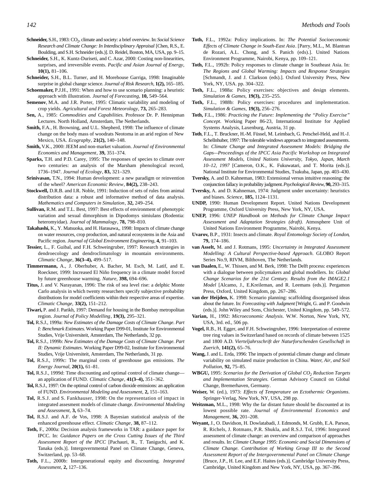Schneider, S.H., 1983: CO<sub>2</sub>, climate and society: a brief overview. In: *Social Science Research and Climate Change: In Interdisciplinary Appraisal [Chen, R.S., E.* Boulding, and S.H. Schneider (eds.)]. D. Reidel, Boston, MA, USA, pp. 9–15.

- Schneider, S.H., K. Kuntz-Duriseti, and C. Azar, 2000: Costing non-linearities, surprises, and irreversible events. *Pacific and Asian Journal of Energy*, **10(1),** 81–106.
- **Schneider,** S.H., B.L. Turner, and H. Morehouse Garriga, 1998: Imaginable surprise in global change science. *Journal of Risk Research*, **1(2)**, **165**–185.
- **Schoemaker, P.J.H., 1991: When and how to use scenario planning: a heuristic** approach with illustration. *Journal of Forecasting*, **10,** 549–564.
- **Semenov**, M.A. and J.R. Porter, 1995: Climatic variability and modeling of crop yields. *Agricultural and Forest Meteorology*, **73,** 265–283.
- **Sen,** A., 1985: *Commodities and Capabilities*. Professor Dr. P. Hennipman Lectures. North Holland, Amsterdam, The Netherlands.
- **Smith,** F.A., H. Browning, and U.L. Shepherd, 1998: The influence of climate change on the body mass of woodrats Neotoma in an arid region of New Mexico, USA. *Ecography*, **21(2),** 140–148.
- **Smith,** V.K., 2000: JEEM and non-market valuation. *Journal of Environmental Economics and Management*, **39,** 351–374.
- **Sparks,** T.H. and P.D. Carey, 1995: The responses of species to climate over two centuries: an analysis of the Marsham phenological record, 1736–1947. *Journal of Ecology*, **83,** 321–329.
- **Srinivasan,** T.N., 1994: Human development: a new paradigm or reinvention of the wheel? *American Economic Review*, **84(2),** 238–243.
- Stockwell, D.R.B. and I.R. Noble, 1991: Induction of sets of rules from animal distribution data: a robust and informative method of data analysis. *Mathematics and Computers in Simulation*, **32,** 249–254.
- **Sullivan, R.M.** and T.L. Best, 1997: Best effects of environment of phenotypic variation and sexual dimorphism in Dipodomys simiulans (Rodentia: heteromyidae). *Journal of Mammalogy*, **78,** 798–810.
- Takahashi, K., Y. Matsuoka, and H. Harasawa,, 1998: Impacts of climate change on water resources, crop production, and natural ecosystems in the Asia and Pacific region. *Journal of Global Environment Engineering*, 4, 91–103.
- **Tessier,** L., F. Guibal, and F.H. Schweingruber, 1997: Research strategies in dendroecology and dendroclimatology in mountain environments. *Climatic Change*, **36(3–4),** 499–517.
- **Timmermann,** A., J. Oberhuber, A. Bacher, M. Esch, M. Latif, and E. Roeckner, 1999: Increased El Niño frequency in a climate model forced by future greenhouse warming. *Nature*, **398,** 694–696.
- **Titus,** J. and V. Narayanan, 1996: The risk of sea level rise: a delphic Monte Carlo analysis in which twenty researchers specify subjective probability distributions for model coefficients within their respective areas of expertise. *Climatic Change,* **33(2),** 151–212.
- **Tiwari,** P. and J. Parikh, 1997: Demand for housing in the Bombay metropolitan region. *Journal of Policy Modelling*, **19(3),** 295–321.
- Tol, R.S.J., 1999a: *New Estimates of the Damage Costs of Climate Change. Part I: Benchmark Estimates*. Working Paper D99-01, Institute for Environmental Studies, Vrije Universiteit, Amsterdam, The Netherlands, 32 pp.
- Tol, R.S.J., 1999b: New Estimates of the Damage Costs of Climate Change. Part *II: Dynamic Estimates*. Working Paper D99-02, Institute for Environmental Studies, Vrije Universiteit, Amsterdam, The Netherlands, 31 pp.
- **Tol,** R.S.J., 1999c: The marginal costs of greenhouse gas emissions. *The Energy Journal*, **20(1),** 61–81.
- **Tol,** R.S.J., 1999d: Time discounting and optimal control of climate change an application of FUND. *Climatic Change*, **41(3–4),** 351–362.
- Tol, R.S.J., 1997: On the optimal control of carbon dioxide emissions: an application of FUND. *Environmental Modeling and Assessment*, 2, 151-163.
- Tol, R.S.J. and S. Fankhauser, 1998: On the representation of impact in integrated assesment models of climate change. *Environmental Modeling and Assessment*, **3,** 63–74.
- **Tol,** R.S.J. and A.F. de Vos, 1998: A Bayesian statistical analysis of the enhanced greenhouse effect. *Climatic Change*, **38,** 87–112.
- **Toth,** F., 2000a: Decision analysis frameworks in TAR: a guidance paper for IPCC. In: *Guidance Papers on the Cross Cutting Issues of the Third Assessment Report of the IPCC* [Pachauri, R., T. Taniguchi, and K. Tanaka (eds.)]. Intergovernmental Panel on Climate Change, Geneva, Switzerland, pp. 53–68.
- Toth, F.L., 2000b: Intergenerational equity and discounting. Integrated *Assessment*, **2,** 127–136.
- **Toth,** F.L., 1992a: Policy implications. In: *The Potential Socioeconomic Effects of Climate Change in South-East Asia*. [Parry, M.L., M. Blantran de Rozari, A.L. Chong, and S. Panich (eds).]. United Nations Environment Programme, Nairobi, Kenya, pp. 109–121.
- **Toth,** F.L., 1992b: Policy responses to climate change in Southeast Asia. In: *The Regions and Global Warming: Impacts and Response Strategies* [Schmandt, J. and J. Clarkson (eds).]. Oxford University Press, New York, NY, USA. pp. 304–322.
- Toth, F.L., 1988a: Policy exercises: objectives and design elements. *Simulation & Games,* **19(3),** 235–255.
- Toth, F.L., 1988b: Policy exercises: procedures and implementation. *Simulation & Games,* **19(3),** 256–276.
- **Toth,** F.L., 1986: *Practicing the Future: Implementing the "Policy Exercise" Concept*. Working Paper 86-23, International Institute for Applied Systems Analysis, Laxenburg, Austria, 31 pp.
- Toth, F.L., T. Bruckner, H.-M. Füssel, M. Leimbach, G. Petschel-Held, and H.-J. Schellnhuber, 1997: The tolerable windows approach to integrated assessments. In: *Climate Change and Integrated Assessment Models: Bridging the* Gaps-Proceedings of the IPCC Asia Pacific Workshop on Integrated Assessment Models, United Nations University, Tokyo, Japan, March *10–12, 1997* [Cameron, O.K., K. Fukuwatari, and T. Morita (eds.)]. National Institute for Environmental Studies, Tsukuba, Japan, pp. 403–430.
- **Tversky,** A. and D. Kahneman, 1983: Extensional versus intuitive reasoning: the conjunction fallacy in probability judgment. *Psychological Review*, 90, 293-315.
- **Tversky,** A. and D. Kahneman, 1974: Judgment under uncertainty: heuristics and biases. *Science*, **185,** 1124–1131.
- **UNDP,** 1990: Human Development Report. United Nations Development Programme, Oxford University Press, New York, NY, USA.
- **UNEP,** 1996: *UNEP Handbook on Methods for Climate Change Impact Assessment and Adaptation Strategies (draft).* Atmosphere Unit of United Nations Environment Programme, Nairobi, Kenya.
- **Uvarov,** B.P., 1931: Insects and climate. *Royal Entomology Society of London*, **79,** 174–186.
- **van Asselt,** M. and J. Rotmans, 1995: *Uncertainty in Integrated Assessment Modelling: A Cultural Perspective-based Approach*. GLOBO Report Series No.9, RIVM, Bilthoven, The Netherlands.
- **van Daalen,** E., W. Thissen, and M. Berk, 1998: The Delft process: experiences with a dialogue between policymakers and global modellers. In: *Global Change Scenarios for the 21st Century. Results from the IMAGE2.1 Model* [Alcamo, J., E.Kreileman, and R. Leemans (eds.)]. Pergamon Press, Oxford, United Kingdom, pp. 267–286.
- **van der Heijden,** K. 1998: Scenario planning: scaffolding disorganised ideas about the future. In: *Forecasting with Judgment* [Wright, G. and P. Goodwin (eds.)]. John Wiley and Sons, Chichester, United Kingdom, pp. 549–572.
- **Varian,** H., 1992: *Microeconomic Analysis*. W.W. Norton, New York, NY, USA, 3rd. ed., 506 pp.
- Vogel, R.B., H. Egger, and F.H. Schweingruber, 1996: Interpretation of extreme tree ring values in Switzerland based on records of climate between 1525 and 1800 A.D. *Vierteljahrsschrift der Naturforschenden Gesellschaft in Zuerich*, **141(2),** 65–76.
- **Wang, J.** and L. Erda, 1996: The impacts of potential climate change and climate variability on simulated maize production in China. *Water, Air, and Soil Pollution*, **92,** 75–85.
- **WBGU,** 1995: *Scenarios for the Derivation of Global CO<sup>2</sup> Reduction Targets and Implementation Strategies*. German Advisory Council on Global Change, Bremerhaven, Germany.
- **Weiser,** W. (ed.), 1973: *Effects of Temperature on Ectothermic Organisms*. Springer-Verlag, New York, NY, USA, 298 pp.
- **Weitzman,** M.L., 1998: Why the far distant future should be discounted at its lowest possible rate. *Journal of Environmental Economics and Management*, **36,** 201–208.
- Weyant, J., O. Davidson, H. Dowlatabadi, J. Edmonds, M. Grubb, E.A. Parson, R. Richels, J. Rotmans, P.R. Shukla, and R.S.J. Tol, 1996: Integrated assessment of climate change: an overview and comparison of approaches and results. In: *Climate Change 1995: Economic and Social Dimensions of Climate Change. Contribution of Working Group III to the Second Assessment Report of the Intergovernmental Panel on Climate Change* [Bruce, J.P., H. Lee, and E.F. Haites (eds.)]. Cambridge University Press, Cambridge, United Kingdom and New York, NY, USA, pp. 367–396.